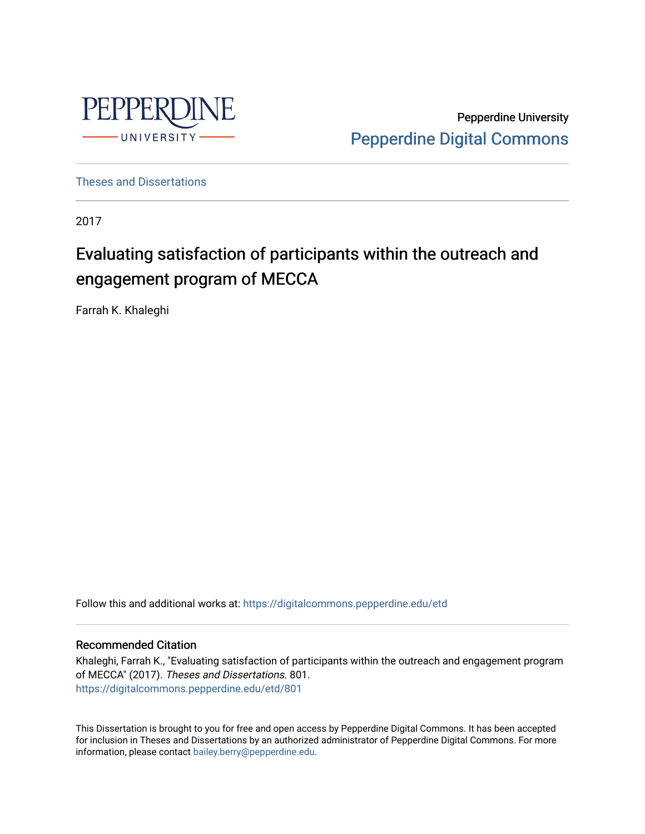

Pepperdine University [Pepperdine Digital Commons](https://digitalcommons.pepperdine.edu/) 

[Theses and Dissertations](https://digitalcommons.pepperdine.edu/etd)

2017

# Evaluating satisfaction of participants within the outreach and engagement program of MECCA

Farrah K. Khaleghi

Follow this and additional works at: [https://digitalcommons.pepperdine.edu/etd](https://digitalcommons.pepperdine.edu/etd?utm_source=digitalcommons.pepperdine.edu%2Fetd%2F801&utm_medium=PDF&utm_campaign=PDFCoverPages) 

## Recommended Citation

Khaleghi, Farrah K., "Evaluating satisfaction of participants within the outreach and engagement program of MECCA" (2017). Theses and Dissertations. 801. [https://digitalcommons.pepperdine.edu/etd/801](https://digitalcommons.pepperdine.edu/etd/801?utm_source=digitalcommons.pepperdine.edu%2Fetd%2F801&utm_medium=PDF&utm_campaign=PDFCoverPages) 

This Dissertation is brought to you for free and open access by Pepperdine Digital Commons. It has been accepted for inclusion in Theses and Dissertations by an authorized administrator of Pepperdine Digital Commons. For more information, please contact [bailey.berry@pepperdine.edu.](mailto:bailey.berry@pepperdine.edu)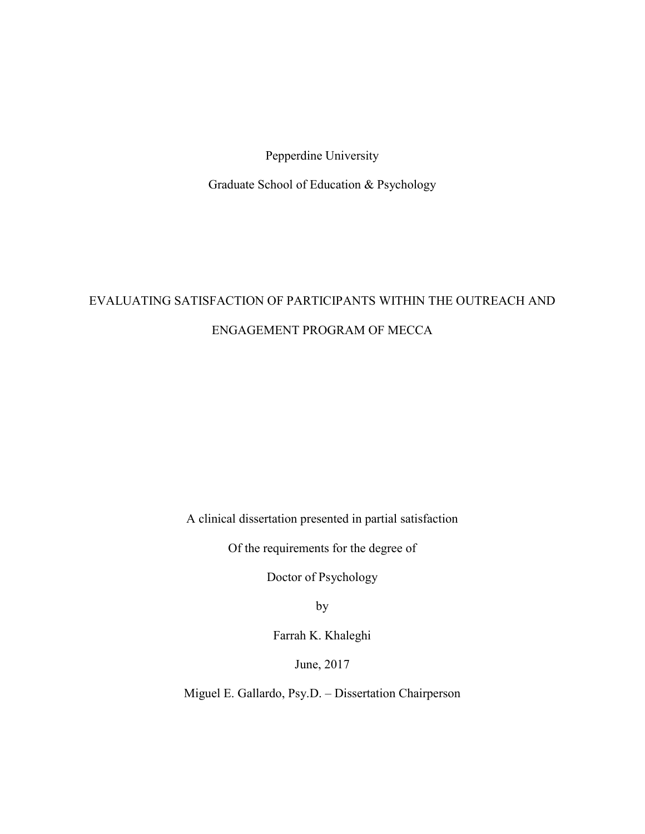Pepperdine University

Graduate School of Education & Psychology

# EVALUATING SATISFACTION OF PARTICIPANTS WITHIN THE OUTREACH AND ENGAGEMENT PROGRAM OF MECCA

A clinical dissertation presented in partial satisfaction

Of the requirements for the degree of

Doctor of Psychology

by

Farrah K. Khaleghi

June, 2017

Miguel E. Gallardo, Psy.D. – Dissertation Chairperson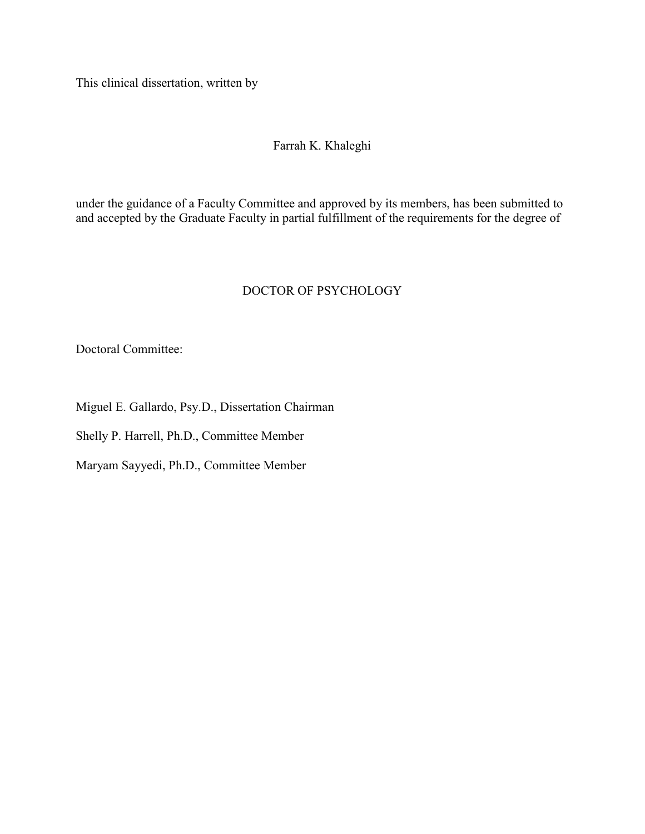This clinical dissertation, written by

## Farrah K. Khaleghi

under the guidance of a Faculty Committee and approved by its members, has been submitted to and accepted by the Graduate Faculty in partial fulfillment of the requirements for the degree of

## DOCTOR OF PSYCHOLOGY

Doctoral Committee:

Miguel E. Gallardo, Psy.D., Dissertation Chairman

Shelly P. Harrell, Ph.D., Committee Member

Maryam Sayyedi, Ph.D., Committee Member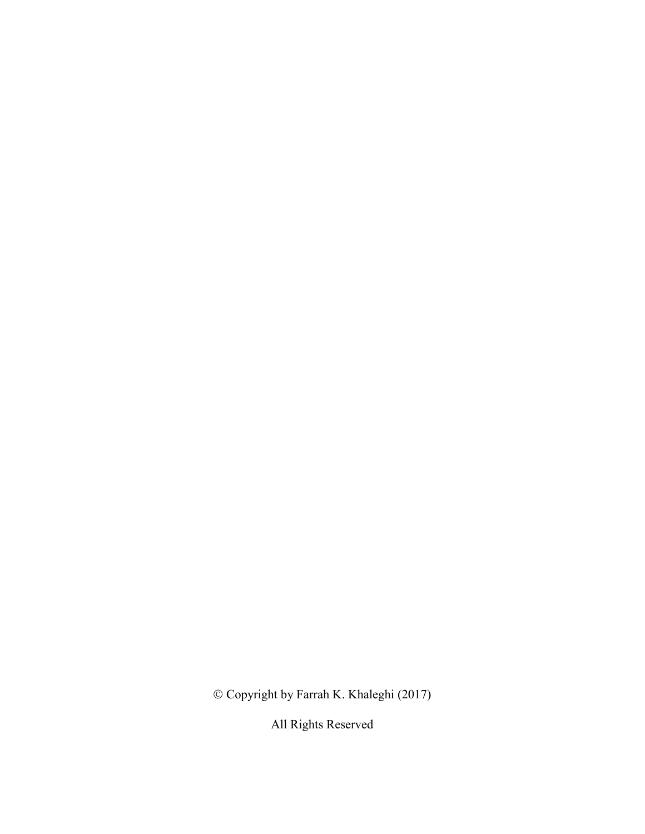Copyright by Farrah K. Khaleghi (2017)

All Rights Reserved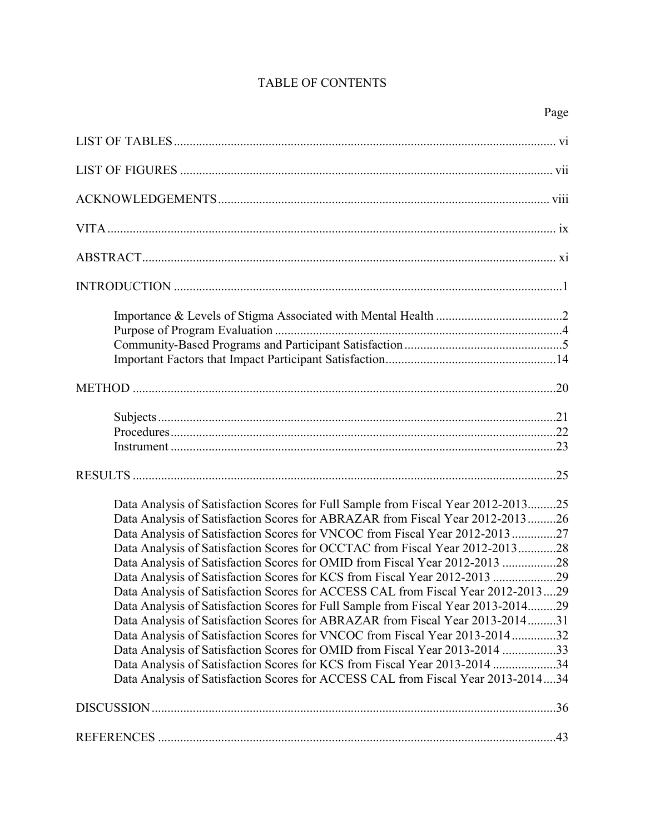## TABLE OF CONTENTS

| Data Analysis of Satisfaction Scores for Full Sample from Fiscal Year 2012-201325 |  |
|-----------------------------------------------------------------------------------|--|
| Data Analysis of Satisfaction Scores for ABRAZAR from Fiscal Year 2012-201326     |  |
| Data Analysis of Satisfaction Scores for VNCOC from Fiscal Year 2012-2013 27      |  |
| Data Analysis of Satisfaction Scores for OCCTAC from Fiscal Year 2012-201328      |  |
| Data Analysis of Satisfaction Scores for OMID from Fiscal Year 2012-2013 28       |  |
| Data Analysis of Satisfaction Scores for KCS from Fiscal Year 2012-2013 29        |  |
| Data Analysis of Satisfaction Scores for ACCESS CAL from Fiscal Year 2012-201329  |  |
| Data Analysis of Satisfaction Scores for Full Sample from Fiscal Year 2013-201429 |  |
| Data Analysis of Satisfaction Scores for ABRAZAR from Fiscal Year 2013-201431     |  |
| Data Analysis of Satisfaction Scores for VNCOC from Fiscal Year 2013-201432       |  |
| Data Analysis of Satisfaction Scores for OMID from Fiscal Year 2013-2014 33       |  |
| Data Analysis of Satisfaction Scores for KCS from Fiscal Year 2013-2014 34        |  |
| Data Analysis of Satisfaction Scores for ACCESS CAL from Fiscal Year 2013-201434  |  |
|                                                                                   |  |
|                                                                                   |  |
|                                                                                   |  |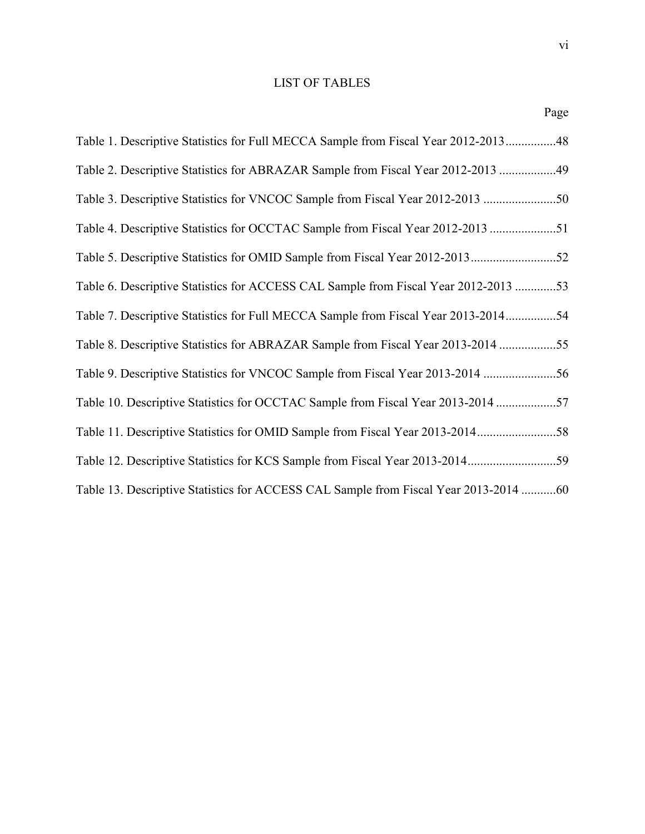## LIST OF TABLES

Page

| Table 1. Descriptive Statistics for Full MECCA Sample from Fiscal Year 2012-201348   |  |
|--------------------------------------------------------------------------------------|--|
| Table 2. Descriptive Statistics for ABRAZAR Sample from Fiscal Year 2012-2013 49     |  |
| Table 3. Descriptive Statistics for VNCOC Sample from Fiscal Year 2012-2013          |  |
| Table 4. Descriptive Statistics for OCCTAC Sample from Fiscal Year 2012-2013 51      |  |
|                                                                                      |  |
| Table 6. Descriptive Statistics for ACCESS CAL Sample from Fiscal Year 2012-2013 53  |  |
| Table 7. Descriptive Statistics for Full MECCA Sample from Fiscal Year 2013-201454   |  |
| Table 8. Descriptive Statistics for ABRAZAR Sample from Fiscal Year 2013-2014 55     |  |
| Table 9. Descriptive Statistics for VNCOC Sample from Fiscal Year 2013-2014 56       |  |
| Table 10. Descriptive Statistics for OCCTAC Sample from Fiscal Year 2013-2014 57     |  |
| Table 11. Descriptive Statistics for OMID Sample from Fiscal Year 2013-2014          |  |
| Table 12. Descriptive Statistics for KCS Sample from Fiscal Year 2013-201459         |  |
| Table 13. Descriptive Statistics for ACCESS CAL Sample from Fiscal Year 2013-2014 60 |  |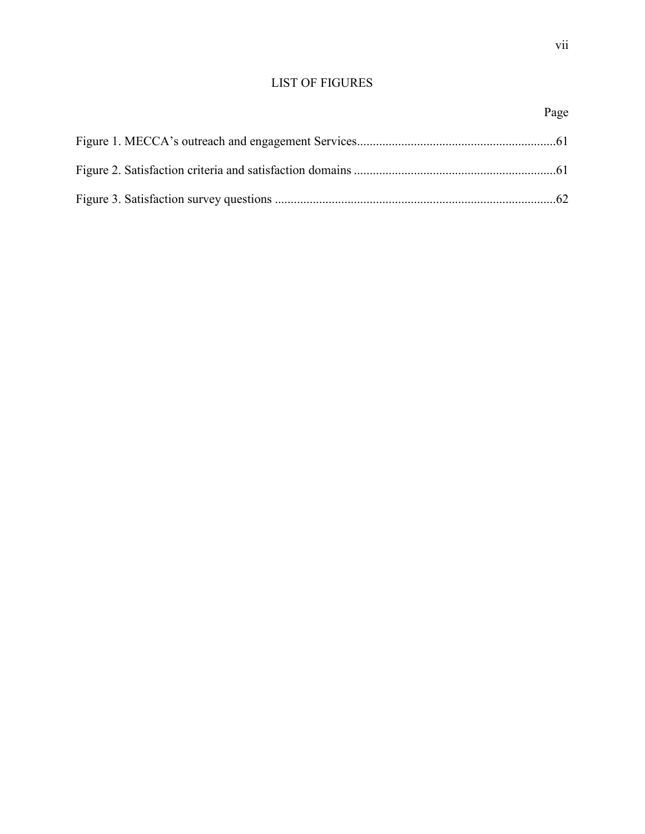## LIST OF FIGURES

## Page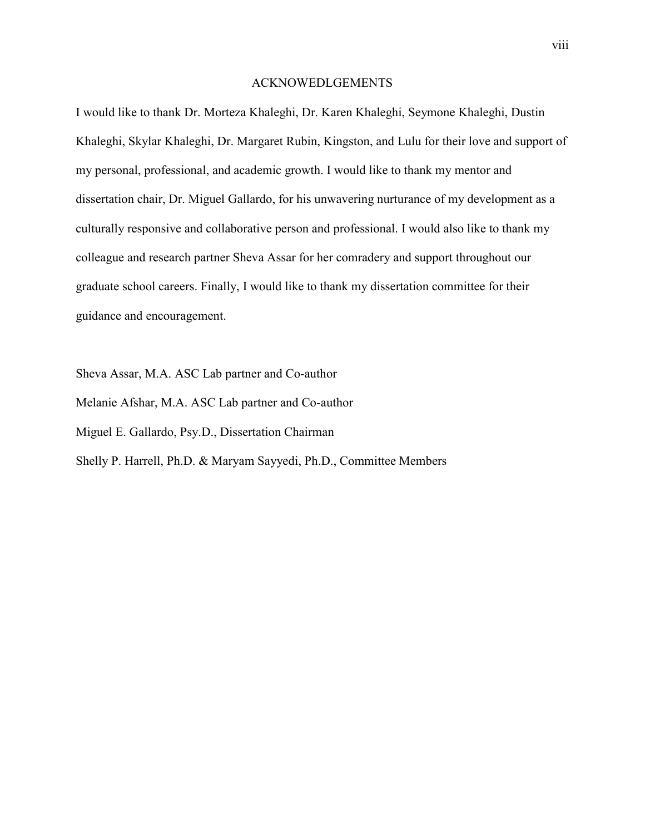## ACKNOWEDLGEMENTS

I would like to thank Dr. Morteza Khaleghi, Dr. Karen Khaleghi, Seymone Khaleghi, Dustin Khaleghi, Skylar Khaleghi, Dr. Margaret Rubin, Kingston, and Lulu for their love and support of my personal, professional, and academic growth. I would like to thank my mentor and dissertation chair, Dr. Miguel Gallardo, for his unwavering nurturance of my development as a culturally responsive and collaborative person and professional. I would also like to thank my colleague and research partner Sheva Assar for her comradery and support throughout our graduate school careers. Finally, I would like to thank my dissertation committee for their guidance and encouragement.

Sheva Assar, M.A. ASC Lab partner and Co-author Melanie Afshar, M.A. ASC Lab partner and Co-author Miguel E. Gallardo, Psy.D., Dissertation Chairman Shelly P. Harrell, Ph.D. & Maryam Sayyedi, Ph.D., Committee Members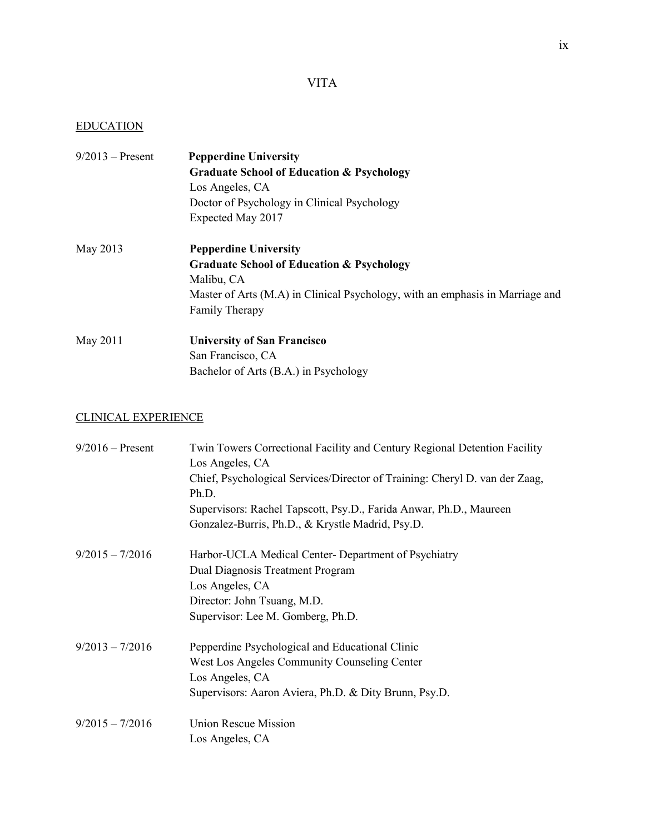## VITA

## EDUCATION

| $9/2013$ – Present | <b>Pepperdine University</b>                                                  |
|--------------------|-------------------------------------------------------------------------------|
|                    | <b>Graduate School of Education &amp; Psychology</b>                          |
|                    | Los Angeles, CA                                                               |
|                    | Doctor of Psychology in Clinical Psychology                                   |
|                    | Expected May 2017                                                             |
| May 2013           | <b>Pepperdine University</b>                                                  |
|                    | <b>Graduate School of Education &amp; Psychology</b>                          |
|                    | Malibu, CA                                                                    |
|                    | Master of Arts (M.A) in Clinical Psychology, with an emphasis in Marriage and |
|                    | Family Therapy                                                                |
| May 2011           | <b>University of San Francisco</b>                                            |
|                    | San Francisco, CA                                                             |
|                    | Bachelor of Arts (B.A.) in Psychology                                         |

## CLINICAL EXPERIENCE

| $9/2016$ – Present | Twin Towers Correctional Facility and Century Regional Detention Facility<br>Los Angeles, CA |
|--------------------|----------------------------------------------------------------------------------------------|
|                    | Chief, Psychological Services/Director of Training: Cheryl D. van der Zaag,<br>Ph.D.         |
|                    | Supervisors: Rachel Tapscott, Psy.D., Farida Anwar, Ph.D., Maureen                           |
|                    | Gonzalez-Burris, Ph.D., & Krystle Madrid, Psy.D.                                             |
| $9/2015 - 7/2016$  | Harbor-UCLA Medical Center-Department of Psychiatry                                          |
|                    | Dual Diagnosis Treatment Program                                                             |
|                    | Los Angeles, CA                                                                              |
|                    | Director: John Tsuang, M.D.                                                                  |
|                    | Supervisor: Lee M. Gomberg, Ph.D.                                                            |
| $9/2013 - 7/2016$  | Pepperdine Psychological and Educational Clinic                                              |
|                    | West Los Angeles Community Counseling Center                                                 |
|                    | Los Angeles, CA                                                                              |
|                    | Supervisors: Aaron Aviera, Ph.D. & Dity Brunn, Psy.D.                                        |
| $9/2015 - 7/2016$  | <b>Union Rescue Mission</b>                                                                  |
|                    | Los Angeles, CA                                                                              |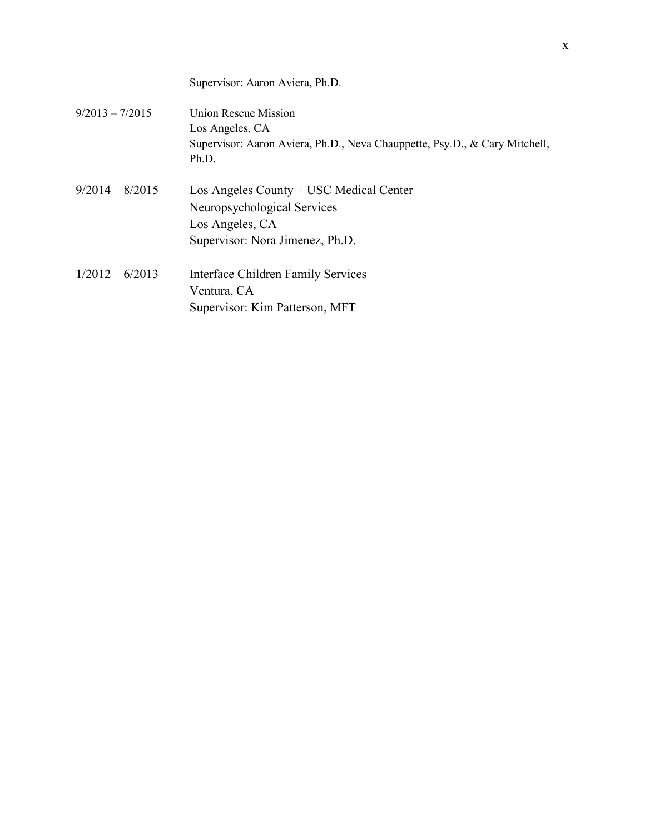|                   | Supervisor: Aaron Aviera, Ph.D.                                                                                                |
|-------------------|--------------------------------------------------------------------------------------------------------------------------------|
| $9/2013 - 7/2015$ | Union Rescue Mission<br>Los Angeles, CA<br>Supervisor: Aaron Aviera, Ph.D., Neva Chauppette, Psy.D., & Cary Mitchell,<br>Ph.D. |
| $9/2014 - 8/2015$ | Los Angeles County + USC Medical Center<br>Neuropsychological Services<br>Los Angeles, CA<br>Supervisor: Nora Jimenez, Ph.D.   |
| $1/2012 - 6/2013$ | Interface Children Family Services<br>Ventura, CA<br>Supervisor: Kim Patterson, MFT                                            |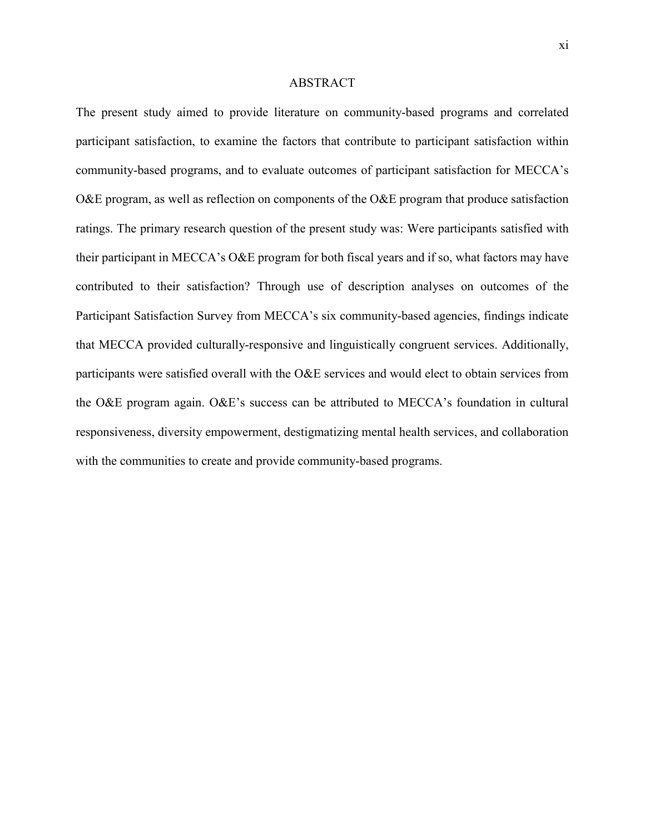### ABSTRACT

The present study aimed to provide literature on community-based programs and correlated participant satisfaction, to examine the factors that contribute to participant satisfaction within community-based programs, and to evaluate outcomes of participant satisfaction for MECCA's O&E program, as well as reflection on components of the O&E program that produce satisfaction ratings. The primary research question of the present study was: Were participants satisfied with their participant in MECCA's O&E program for both fiscal years and if so, what factors may have contributed to their satisfaction? Through use of description analyses on outcomes of the Participant Satisfaction Survey from MECCA's six community-based agencies, findings indicate that MECCA provided culturally-responsive and linguistically congruent services. Additionally, participants were satisfied overall with the O&E services and would elect to obtain services from the O&E program again. O&E's success can be attributed to MECCA's foundation in cultural responsiveness, diversity empowerment, destigmatizing mental health services, and collaboration with the communities to create and provide community-based programs.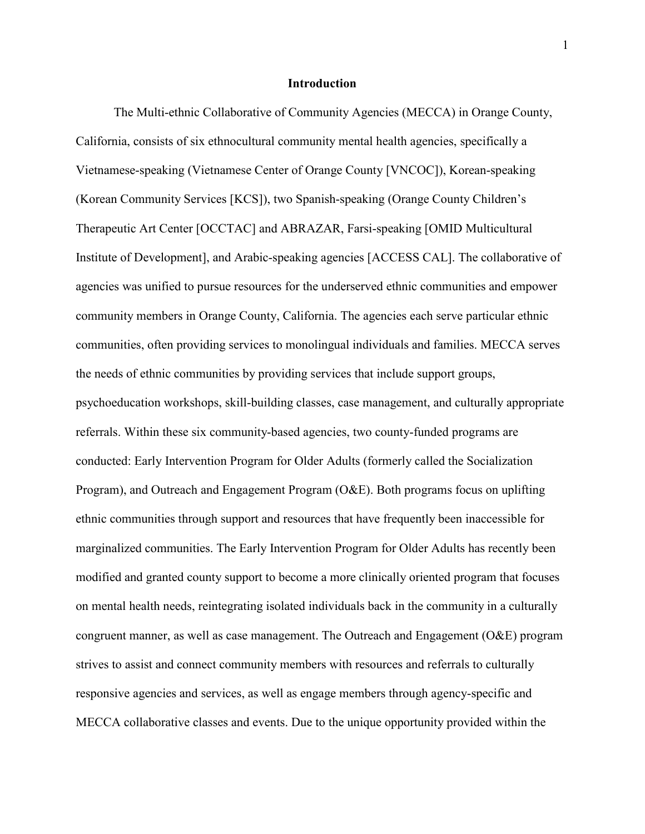#### **Introduction**

The Multi-ethnic Collaborative of Community Agencies (MECCA) in Orange County, California, consists of six ethnocultural community mental health agencies, specifically a Vietnamese-speaking (Vietnamese Center of Orange County [VNCOC]), Korean-speaking (Korean Community Services [KCS]), two Spanish-speaking (Orange County Children's Therapeutic Art Center [OCCTAC] and ABRAZAR, Farsi-speaking [OMID Multicultural Institute of Development], and Arabic-speaking agencies [ACCESS CAL]. The collaborative of agencies was unified to pursue resources for the underserved ethnic communities and empower community members in Orange County, California. The agencies each serve particular ethnic communities, often providing services to monolingual individuals and families. MECCA serves the needs of ethnic communities by providing services that include support groups, psychoeducation workshops, skill-building classes, case management, and culturally appropriate referrals. Within these six community-based agencies, two county-funded programs are conducted: Early Intervention Program for Older Adults (formerly called the Socialization Program), and Outreach and Engagement Program (O&E). Both programs focus on uplifting ethnic communities through support and resources that have frequently been inaccessible for marginalized communities. The Early Intervention Program for Older Adults has recently been modified and granted county support to become a more clinically oriented program that focuses on mental health needs, reintegrating isolated individuals back in the community in a culturally congruent manner, as well as case management. The Outreach and Engagement (O&E) program strives to assist and connect community members with resources and referrals to culturally responsive agencies and services, as well as engage members through agency-specific and MECCA collaborative classes and events. Due to the unique opportunity provided within the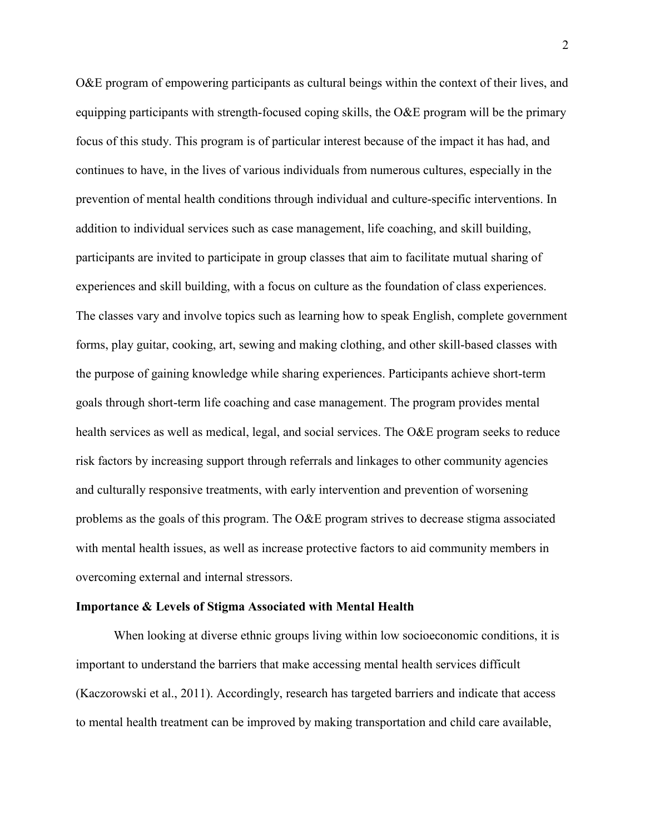O&E program of empowering participants as cultural beings within the context of their lives, and equipping participants with strength-focused coping skills, the O&E program will be the primary focus of this study. This program is of particular interest because of the impact it has had, and continues to have, in the lives of various individuals from numerous cultures, especially in the prevention of mental health conditions through individual and culture-specific interventions. In addition to individual services such as case management, life coaching, and skill building, participants are invited to participate in group classes that aim to facilitate mutual sharing of experiences and skill building, with a focus on culture as the foundation of class experiences. The classes vary and involve topics such as learning how to speak English, complete government forms, play guitar, cooking, art, sewing and making clothing, and other skill-based classes with the purpose of gaining knowledge while sharing experiences. Participants achieve short-term goals through short-term life coaching and case management. The program provides mental health services as well as medical, legal, and social services. The O&E program seeks to reduce risk factors by increasing support through referrals and linkages to other community agencies and culturally responsive treatments, with early intervention and prevention of worsening problems as the goals of this program. The O&E program strives to decrease stigma associated with mental health issues, as well as increase protective factors to aid community members in overcoming external and internal stressors.

#### **Importance & Levels of Stigma Associated with Mental Health**

When looking at diverse ethnic groups living within low socioeconomic conditions, it is important to understand the barriers that make accessing mental health services difficult (Kaczorowski et al., 2011). Accordingly, research has targeted barriers and indicate that access to mental health treatment can be improved by making transportation and child care available,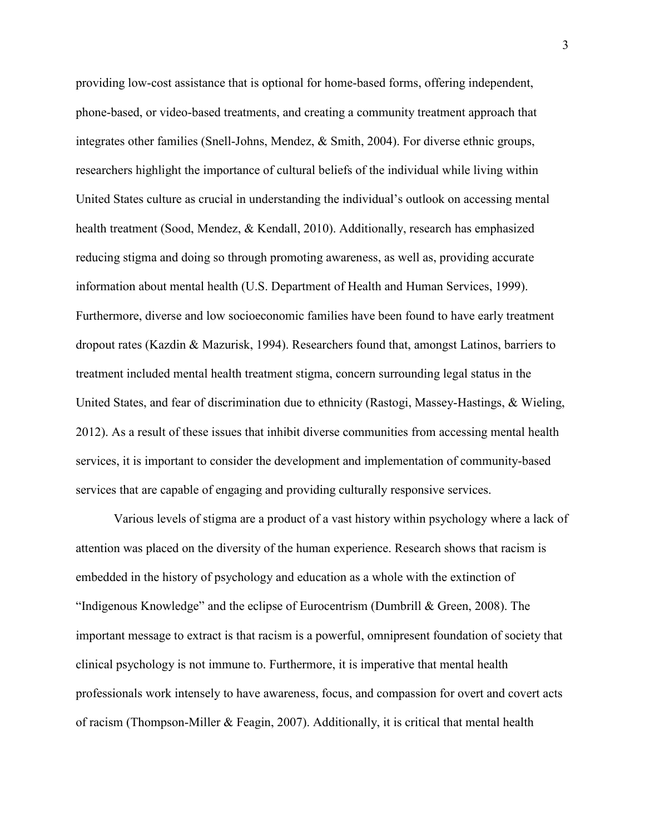providing low-cost assistance that is optional for home-based forms, offering independent, phone-based, or video-based treatments, and creating a community treatment approach that integrates other families (Snell-Johns, Mendez, & Smith, 2004). For diverse ethnic groups, researchers highlight the importance of cultural beliefs of the individual while living within United States culture as crucial in understanding the individual's outlook on accessing mental health treatment (Sood, Mendez, & Kendall, 2010). Additionally, research has emphasized reducing stigma and doing so through promoting awareness, as well as, providing accurate information about mental health (U.S. Department of Health and Human Services, 1999). Furthermore, diverse and low socioeconomic families have been found to have early treatment dropout rates (Kazdin & Mazurisk, 1994). Researchers found that, amongst Latinos, barriers to treatment included mental health treatment stigma, concern surrounding legal status in the United States, and fear of discrimination due to ethnicity (Rastogi, Massey-Hastings, & Wieling, 2012). As a result of these issues that inhibit diverse communities from accessing mental health services, it is important to consider the development and implementation of community-based services that are capable of engaging and providing culturally responsive services.

Various levels of stigma are a product of a vast history within psychology where a lack of attention was placed on the diversity of the human experience. Research shows that racism is embedded in the history of psychology and education as a whole with the extinction of "Indigenous Knowledge" and the eclipse of Eurocentrism (Dumbrill & Green, 2008). The important message to extract is that racism is a powerful, omnipresent foundation of society that clinical psychology is not immune to. Furthermore, it is imperative that mental health professionals work intensely to have awareness, focus, and compassion for overt and covert acts of racism (Thompson-Miller & Feagin, 2007). Additionally, it is critical that mental health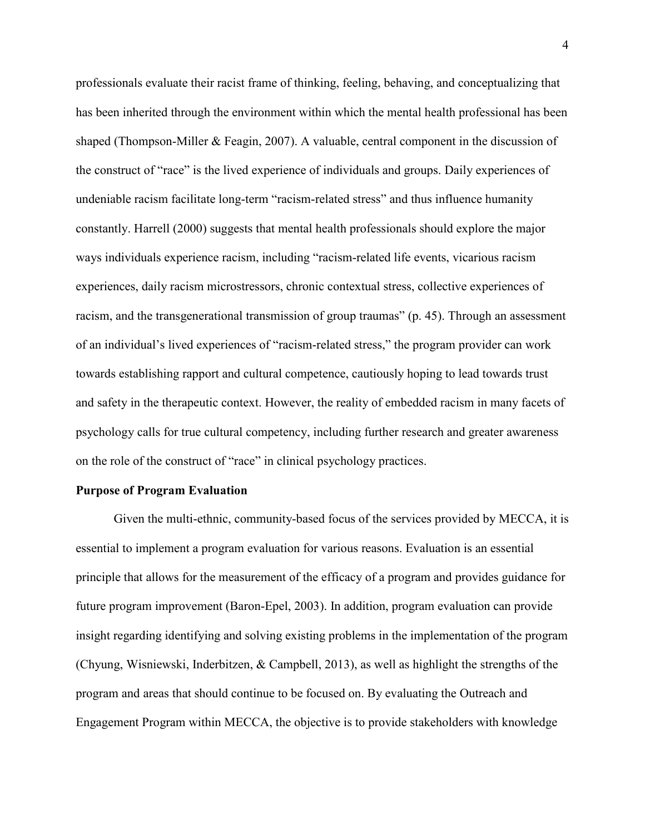professionals evaluate their racist frame of thinking, feeling, behaving, and conceptualizing that has been inherited through the environment within which the mental health professional has been shaped (Thompson-Miller & Feagin, 2007). A valuable, central component in the discussion of the construct of "race" is the lived experience of individuals and groups. Daily experiences of undeniable racism facilitate long-term "racism-related stress" and thus influence humanity constantly. Harrell (2000) suggests that mental health professionals should explore the major ways individuals experience racism, including "racism-related life events, vicarious racism experiences, daily racism microstressors, chronic contextual stress, collective experiences of racism, and the transgenerational transmission of group traumas" (p. 45). Through an assessment of an individual's lived experiences of "racism-related stress," the program provider can work towards establishing rapport and cultural competence, cautiously hoping to lead towards trust and safety in the therapeutic context. However, the reality of embedded racism in many facets of psychology calls for true cultural competency, including further research and greater awareness on the role of the construct of "race" in clinical psychology practices.

#### **Purpose of Program Evaluation**

Given the multi-ethnic, community-based focus of the services provided by MECCA, it is essential to implement a program evaluation for various reasons. Evaluation is an essential principle that allows for the measurement of the efficacy of a program and provides guidance for future program improvement (Baron-Epel, 2003). In addition, program evaluation can provide insight regarding identifying and solving existing problems in the implementation of the program (Chyung, Wisniewski, Inderbitzen, & Campbell, 2013), as well as highlight the strengths of the program and areas that should continue to be focused on. By evaluating the Outreach and Engagement Program within MECCA, the objective is to provide stakeholders with knowledge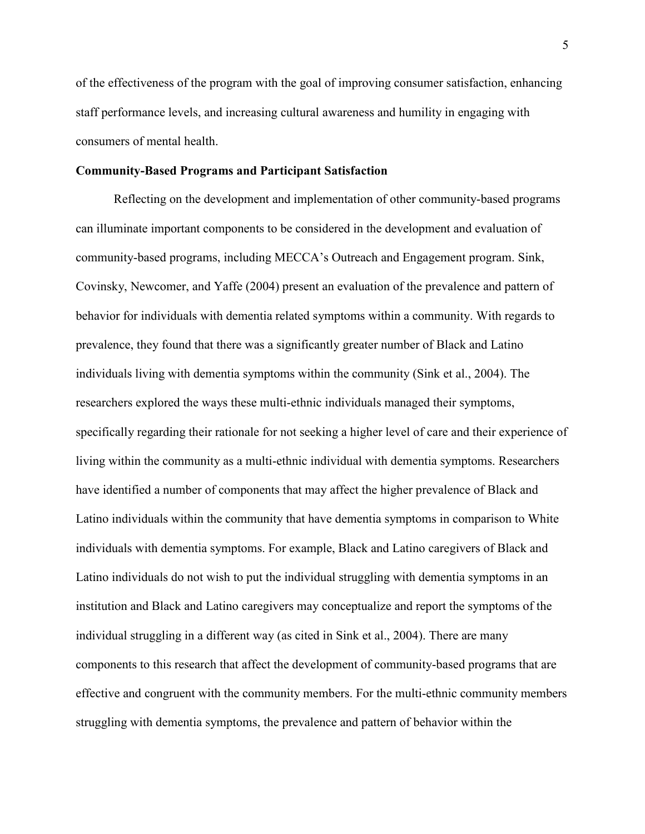of the effectiveness of the program with the goal of improving consumer satisfaction, enhancing staff performance levels, and increasing cultural awareness and humility in engaging with consumers of mental health.

### **Community-Based Programs and Participant Satisfaction**

Reflecting on the development and implementation of other community-based programs can illuminate important components to be considered in the development and evaluation of community-based programs, including MECCA's Outreach and Engagement program. Sink, Covinsky, Newcomer, and Yaffe (2004) present an evaluation of the prevalence and pattern of behavior for individuals with dementia related symptoms within a community. With regards to prevalence, they found that there was a significantly greater number of Black and Latino individuals living with dementia symptoms within the community (Sink et al., 2004). The researchers explored the ways these multi-ethnic individuals managed their symptoms, specifically regarding their rationale for not seeking a higher level of care and their experience of living within the community as a multi-ethnic individual with dementia symptoms. Researchers have identified a number of components that may affect the higher prevalence of Black and Latino individuals within the community that have dementia symptoms in comparison to White individuals with dementia symptoms. For example, Black and Latino caregivers of Black and Latino individuals do not wish to put the individual struggling with dementia symptoms in an institution and Black and Latino caregivers may conceptualize and report the symptoms of the individual struggling in a different way (as cited in Sink et al., 2004). There are many components to this research that affect the development of community-based programs that are effective and congruent with the community members. For the multi-ethnic community members struggling with dementia symptoms, the prevalence and pattern of behavior within the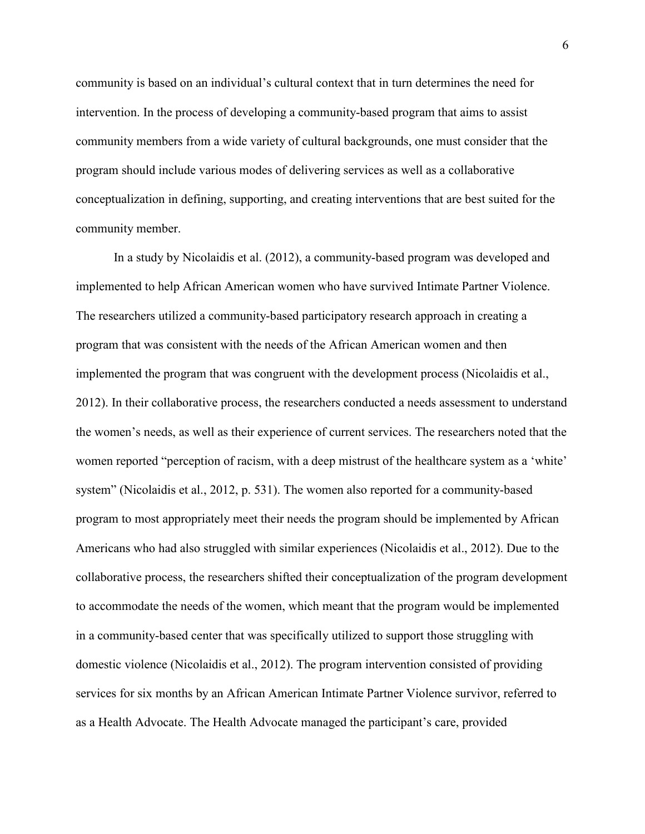community is based on an individual's cultural context that in turn determines the need for intervention. In the process of developing a community-based program that aims to assist community members from a wide variety of cultural backgrounds, one must consider that the program should include various modes of delivering services as well as a collaborative conceptualization in defining, supporting, and creating interventions that are best suited for the community member.

In a study by Nicolaidis et al. (2012), a community-based program was developed and implemented to help African American women who have survived Intimate Partner Violence. The researchers utilized a community-based participatory research approach in creating a program that was consistent with the needs of the African American women and then implemented the program that was congruent with the development process (Nicolaidis et al., 2012). In their collaborative process, the researchers conducted a needs assessment to understand the women's needs, as well as their experience of current services. The researchers noted that the women reported "perception of racism, with a deep mistrust of the healthcare system as a 'white' system" (Nicolaidis et al., 2012, p. 531). The women also reported for a community-based program to most appropriately meet their needs the program should be implemented by African Americans who had also struggled with similar experiences (Nicolaidis et al., 2012). Due to the collaborative process, the researchers shifted their conceptualization of the program development to accommodate the needs of the women, which meant that the program would be implemented in a community-based center that was specifically utilized to support those struggling with domestic violence (Nicolaidis et al., 2012). The program intervention consisted of providing services for six months by an African American Intimate Partner Violence survivor, referred to as a Health Advocate. The Health Advocate managed the participant's care, provided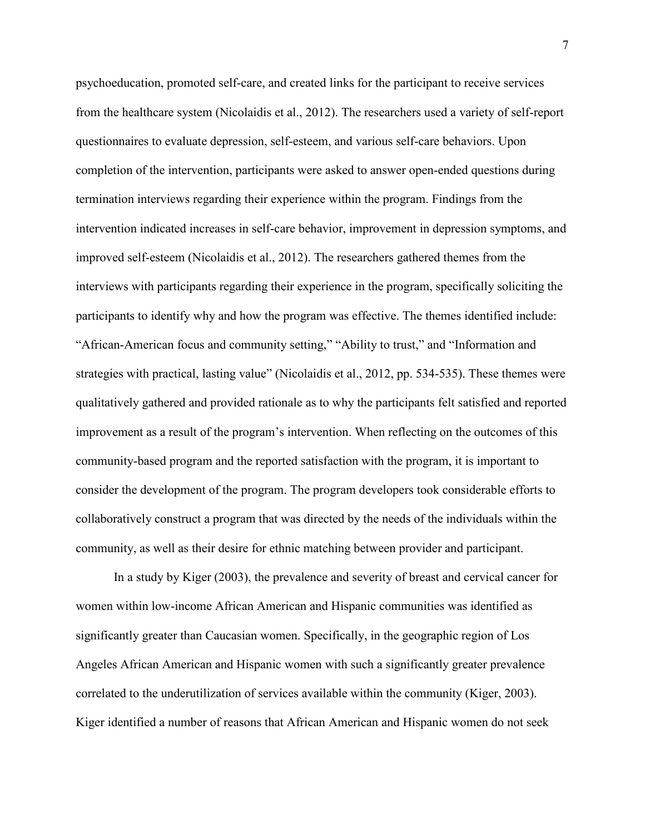psychoeducation, promoted self-care, and created links for the participant to receive services from the healthcare system (Nicolaidis et al., 2012). The researchers used a variety of self-report questionnaires to evaluate depression, self-esteem, and various self-care behaviors. Upon completion of the intervention, participants were asked to answer open-ended questions during termination interviews regarding their experience within the program. Findings from the intervention indicated increases in self-care behavior, improvement in depression symptoms, and improved self-esteem (Nicolaidis et al., 2012). The researchers gathered themes from the interviews with participants regarding their experience in the program, specifically soliciting the participants to identify why and how the program was effective. The themes identified include: "African-American focus and community setting," "Ability to trust," and "Information and strategies with practical, lasting value" (Nicolaidis et al., 2012, pp. 534-535). These themes were qualitatively gathered and provided rationale as to why the participants felt satisfied and reported improvement as a result of the program's intervention. When reflecting on the outcomes of this community-based program and the reported satisfaction with the program, it is important to consider the development of the program. The program developers took considerable efforts to collaboratively construct a program that was directed by the needs of the individuals within the community, as well as their desire for ethnic matching between provider and participant.

In a study by Kiger (2003), the prevalence and severity of breast and cervical cancer for women within low-income African American and Hispanic communities was identified as significantly greater than Caucasian women. Specifically, in the geographic region of Los Angeles African American and Hispanic women with such a significantly greater prevalence correlated to the underutilization of services available within the community (Kiger, 2003). Kiger identified a number of reasons that African American and Hispanic women do not seek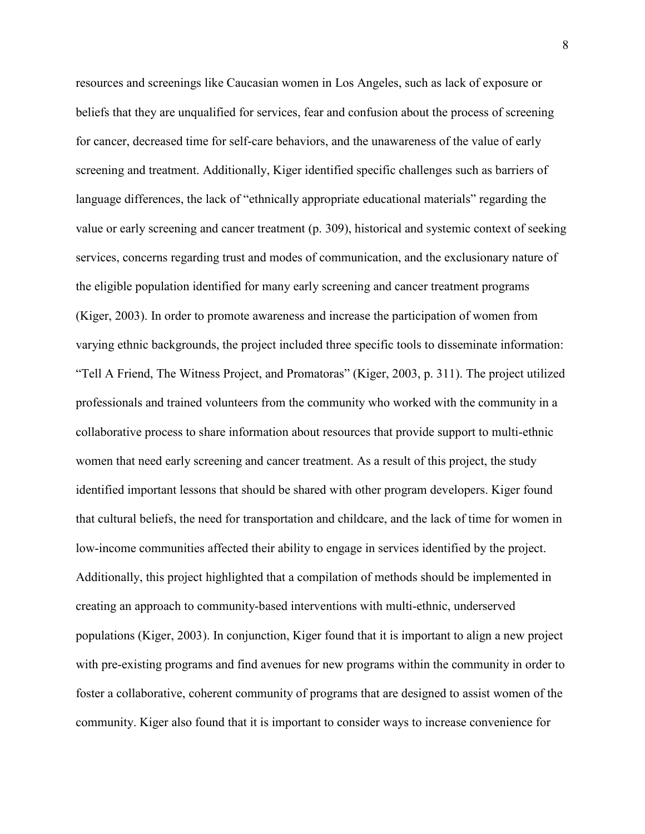resources and screenings like Caucasian women in Los Angeles, such as lack of exposure or beliefs that they are unqualified for services, fear and confusion about the process of screening for cancer, decreased time for self-care behaviors, and the unawareness of the value of early screening and treatment. Additionally, Kiger identified specific challenges such as barriers of language differences, the lack of "ethnically appropriate educational materials" regarding the value or early screening and cancer treatment (p. 309), historical and systemic context of seeking services, concerns regarding trust and modes of communication, and the exclusionary nature of the eligible population identified for many early screening and cancer treatment programs (Kiger, 2003). In order to promote awareness and increase the participation of women from varying ethnic backgrounds, the project included three specific tools to disseminate information: "Tell A Friend, The Witness Project, and Promatoras" (Kiger, 2003, p. 311). The project utilized professionals and trained volunteers from the community who worked with the community in a collaborative process to share information about resources that provide support to multi-ethnic women that need early screening and cancer treatment. As a result of this project, the study identified important lessons that should be shared with other program developers. Kiger found that cultural beliefs, the need for transportation and childcare, and the lack of time for women in low-income communities affected their ability to engage in services identified by the project. Additionally, this project highlighted that a compilation of methods should be implemented in creating an approach to community-based interventions with multi-ethnic, underserved populations (Kiger, 2003). In conjunction, Kiger found that it is important to align a new project with pre-existing programs and find avenues for new programs within the community in order to foster a collaborative, coherent community of programs that are designed to assist women of the community. Kiger also found that it is important to consider ways to increase convenience for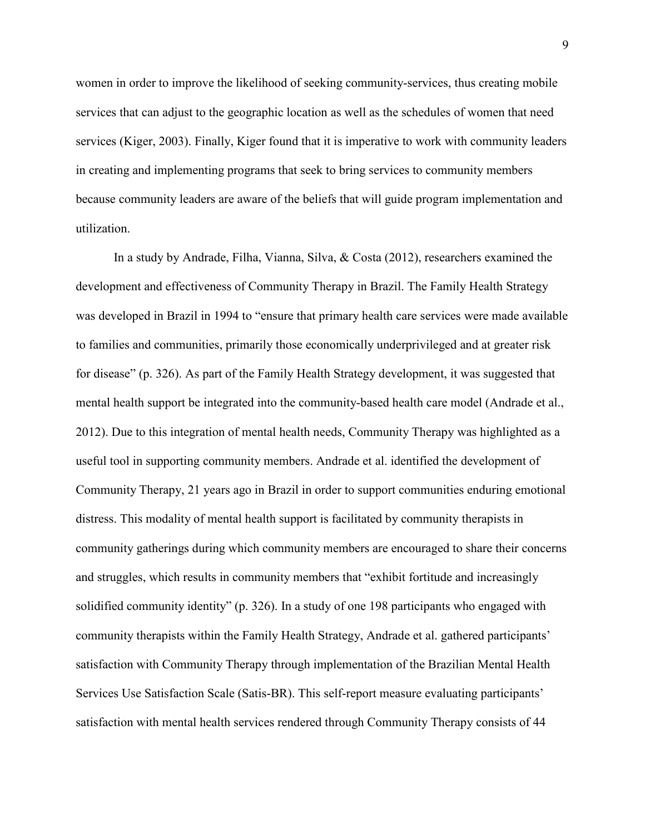women in order to improve the likelihood of seeking community-services, thus creating mobile services that can adjust to the geographic location as well as the schedules of women that need services (Kiger, 2003). Finally, Kiger found that it is imperative to work with community leaders in creating and implementing programs that seek to bring services to community members because community leaders are aware of the beliefs that will guide program implementation and utilization.

In a study by Andrade, Filha, Vianna, Silva, & Costa (2012), researchers examined the development and effectiveness of Community Therapy in Brazil. The Family Health Strategy was developed in Brazil in 1994 to "ensure that primary health care services were made available to families and communities, primarily those economically underprivileged and at greater risk for disease" (p. 326). As part of the Family Health Strategy development, it was suggested that mental health support be integrated into the community-based health care model (Andrade et al., 2012). Due to this integration of mental health needs, Community Therapy was highlighted as a useful tool in supporting community members. Andrade et al. identified the development of Community Therapy, 21 years ago in Brazil in order to support communities enduring emotional distress. This modality of mental health support is facilitated by community therapists in community gatherings during which community members are encouraged to share their concerns and struggles, which results in community members that "exhibit fortitude and increasingly solidified community identity" (p. 326). In a study of one 198 participants who engaged with community therapists within the Family Health Strategy, Andrade et al. gathered participants' satisfaction with Community Therapy through implementation of the Brazilian Mental Health Services Use Satisfaction Scale (Satis-BR). This self-report measure evaluating participants' satisfaction with mental health services rendered through Community Therapy consists of 44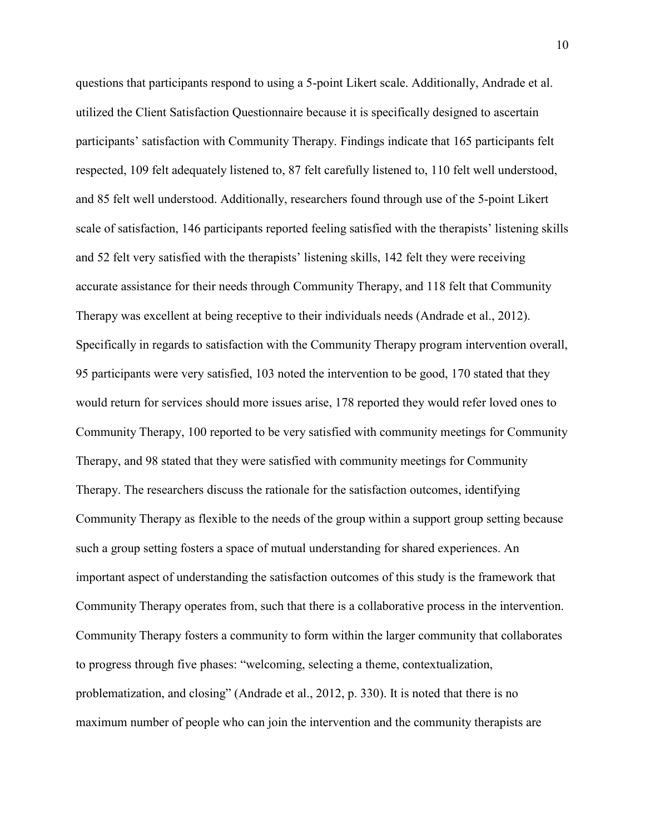questions that participants respond to using a 5-point Likert scale. Additionally, Andrade et al. utilized the Client Satisfaction Questionnaire because it is specifically designed to ascertain participants' satisfaction with Community Therapy. Findings indicate that 165 participants felt respected, 109 felt adequately listened to, 87 felt carefully listened to, 110 felt well understood, and 85 felt well understood. Additionally, researchers found through use of the 5-point Likert scale of satisfaction, 146 participants reported feeling satisfied with the therapists' listening skills and 52 felt very satisfied with the therapists' listening skills, 142 felt they were receiving accurate assistance for their needs through Community Therapy, and 118 felt that Community Therapy was excellent at being receptive to their individuals needs (Andrade et al., 2012). Specifically in regards to satisfaction with the Community Therapy program intervention overall, 95 participants were very satisfied, 103 noted the intervention to be good, 170 stated that they would return for services should more issues arise, 178 reported they would refer loved ones to Community Therapy, 100 reported to be very satisfied with community meetings for Community Therapy, and 98 stated that they were satisfied with community meetings for Community Therapy. The researchers discuss the rationale for the satisfaction outcomes, identifying Community Therapy as flexible to the needs of the group within a support group setting because such a group setting fosters a space of mutual understanding for shared experiences. An important aspect of understanding the satisfaction outcomes of this study is the framework that Community Therapy operates from, such that there is a collaborative process in the intervention. Community Therapy fosters a community to form within the larger community that collaborates to progress through five phases: "welcoming, selecting a theme, contextualization, problematization, and closing" (Andrade et al., 2012, p. 330). It is noted that there is no maximum number of people who can join the intervention and the community therapists are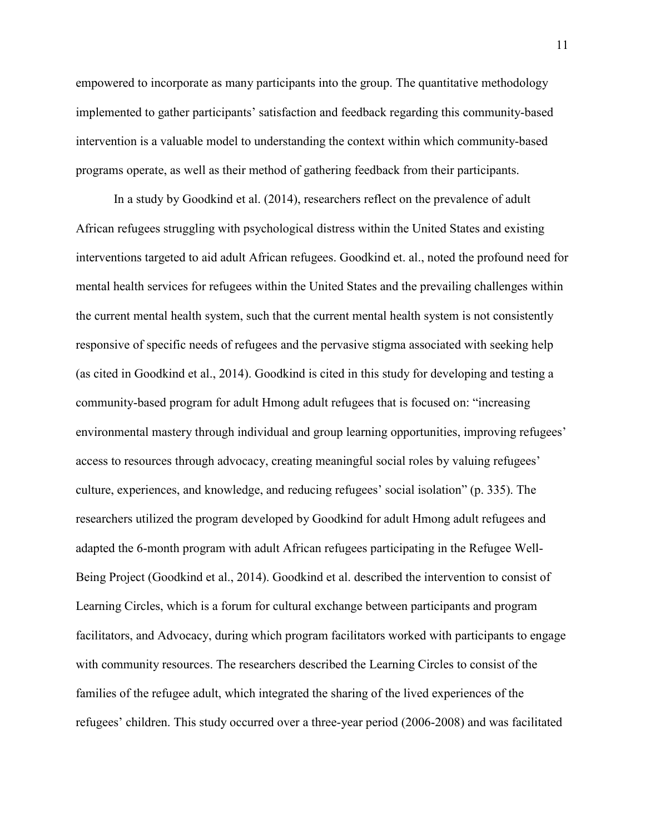empowered to incorporate as many participants into the group. The quantitative methodology implemented to gather participants' satisfaction and feedback regarding this community-based intervention is a valuable model to understanding the context within which community-based programs operate, as well as their method of gathering feedback from their participants.

In a study by Goodkind et al. (2014), researchers reflect on the prevalence of adult African refugees struggling with psychological distress within the United States and existing interventions targeted to aid adult African refugees. Goodkind et. al., noted the profound need for mental health services for refugees within the United States and the prevailing challenges within the current mental health system, such that the current mental health system is not consistently responsive of specific needs of refugees and the pervasive stigma associated with seeking help (as cited in Goodkind et al., 2014). Goodkind is cited in this study for developing and testing a community-based program for adult Hmong adult refugees that is focused on: "increasing environmental mastery through individual and group learning opportunities, improving refugees' access to resources through advocacy, creating meaningful social roles by valuing refugees' culture, experiences, and knowledge, and reducing refugees' social isolation" (p. 335). The researchers utilized the program developed by Goodkind for adult Hmong adult refugees and adapted the 6-month program with adult African refugees participating in the Refugee Well-Being Project (Goodkind et al., 2014). Goodkind et al. described the intervention to consist of Learning Circles, which is a forum for cultural exchange between participants and program facilitators, and Advocacy, during which program facilitators worked with participants to engage with community resources. The researchers described the Learning Circles to consist of the families of the refugee adult, which integrated the sharing of the lived experiences of the refugees' children. This study occurred over a three-year period (2006-2008) and was facilitated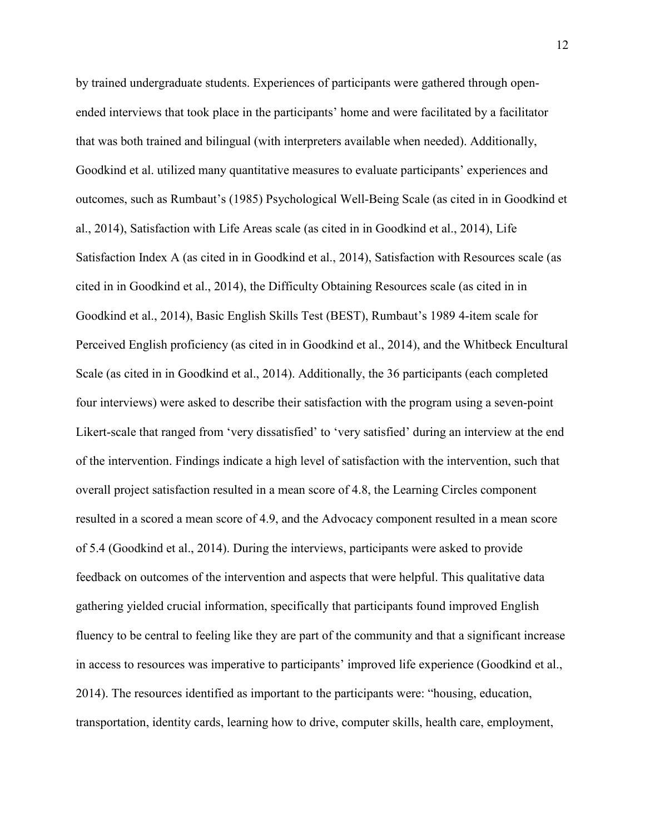by trained undergraduate students. Experiences of participants were gathered through openended interviews that took place in the participants' home and were facilitated by a facilitator that was both trained and bilingual (with interpreters available when needed). Additionally, Goodkind et al. utilized many quantitative measures to evaluate participants' experiences and outcomes, such as Rumbaut's (1985) Psychological Well-Being Scale (as cited in in Goodkind et al., 2014), Satisfaction with Life Areas scale (as cited in in Goodkind et al., 2014), Life Satisfaction Index A (as cited in in Goodkind et al., 2014), Satisfaction with Resources scale (as cited in in Goodkind et al., 2014), the Difficulty Obtaining Resources scale (as cited in in Goodkind et al., 2014), Basic English Skills Test (BEST), Rumbaut's 1989 4-item scale for Perceived English proficiency (as cited in in Goodkind et al., 2014), and the Whitbeck Encultural Scale (as cited in in Goodkind et al., 2014). Additionally, the 36 participants (each completed four interviews) were asked to describe their satisfaction with the program using a seven-point Likert-scale that ranged from 'very dissatisfied' to 'very satisfied' during an interview at the end of the intervention. Findings indicate a high level of satisfaction with the intervention, such that overall project satisfaction resulted in a mean score of 4.8, the Learning Circles component resulted in a scored a mean score of 4.9, and the Advocacy component resulted in a mean score of 5.4 (Goodkind et al., 2014). During the interviews, participants were asked to provide feedback on outcomes of the intervention and aspects that were helpful. This qualitative data gathering yielded crucial information, specifically that participants found improved English fluency to be central to feeling like they are part of the community and that a significant increase in access to resources was imperative to participants' improved life experience (Goodkind et al., 2014). The resources identified as important to the participants were: "housing, education, transportation, identity cards, learning how to drive, computer skills, health care, employment,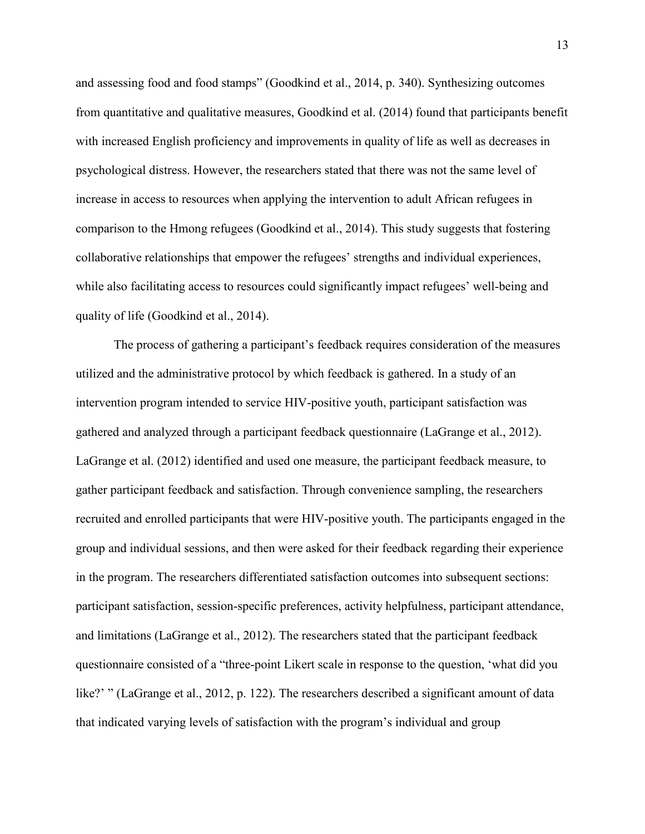and assessing food and food stamps" (Goodkind et al., 2014, p. 340). Synthesizing outcomes from quantitative and qualitative measures, Goodkind et al. (2014) found that participants benefit with increased English proficiency and improvements in quality of life as well as decreases in psychological distress. However, the researchers stated that there was not the same level of increase in access to resources when applying the intervention to adult African refugees in comparison to the Hmong refugees (Goodkind et al., 2014). This study suggests that fostering collaborative relationships that empower the refugees' strengths and individual experiences, while also facilitating access to resources could significantly impact refugees' well-being and quality of life (Goodkind et al., 2014).

The process of gathering a participant's feedback requires consideration of the measures utilized and the administrative protocol by which feedback is gathered. In a study of an intervention program intended to service HIV-positive youth, participant satisfaction was gathered and analyzed through a participant feedback questionnaire (LaGrange et al., 2012). LaGrange et al. (2012) identified and used one measure, the participant feedback measure, to gather participant feedback and satisfaction. Through convenience sampling, the researchers recruited and enrolled participants that were HIV-positive youth. The participants engaged in the group and individual sessions, and then were asked for their feedback regarding their experience in the program. The researchers differentiated satisfaction outcomes into subsequent sections: participant satisfaction, session-specific preferences, activity helpfulness, participant attendance, and limitations (LaGrange et al., 2012). The researchers stated that the participant feedback questionnaire consisted of a "three-point Likert scale in response to the question, 'what did you like?' " (LaGrange et al., 2012, p. 122). The researchers described a significant amount of data that indicated varying levels of satisfaction with the program's individual and group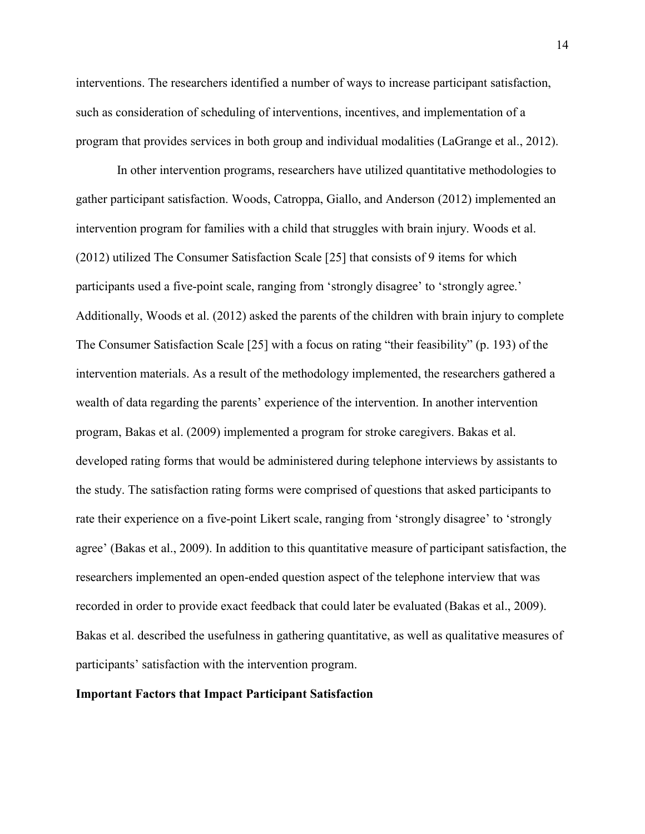interventions. The researchers identified a number of ways to increase participant satisfaction, such as consideration of scheduling of interventions, incentives, and implementation of a program that provides services in both group and individual modalities (LaGrange et al., 2012).

In other intervention programs, researchers have utilized quantitative methodologies to gather participant satisfaction. Woods, Catroppa, Giallo, and Anderson (2012) implemented an intervention program for families with a child that struggles with brain injury. Woods et al. (2012) utilized The Consumer Satisfaction Scale [25] that consists of 9 items for which participants used a five-point scale, ranging from 'strongly disagree' to 'strongly agree.' Additionally, Woods et al. (2012) asked the parents of the children with brain injury to complete The Consumer Satisfaction Scale [25] with a focus on rating "their feasibility" (p. 193) of the intervention materials. As a result of the methodology implemented, the researchers gathered a wealth of data regarding the parents' experience of the intervention. In another intervention program, Bakas et al. (2009) implemented a program for stroke caregivers. Bakas et al. developed rating forms that would be administered during telephone interviews by assistants to the study. The satisfaction rating forms were comprised of questions that asked participants to rate their experience on a five-point Likert scale, ranging from 'strongly disagree' to 'strongly agree' (Bakas et al., 2009). In addition to this quantitative measure of participant satisfaction, the researchers implemented an open-ended question aspect of the telephone interview that was recorded in order to provide exact feedback that could later be evaluated (Bakas et al., 2009). Bakas et al. described the usefulness in gathering quantitative, as well as qualitative measures of participants' satisfaction with the intervention program.

## **Important Factors that Impact Participant Satisfaction**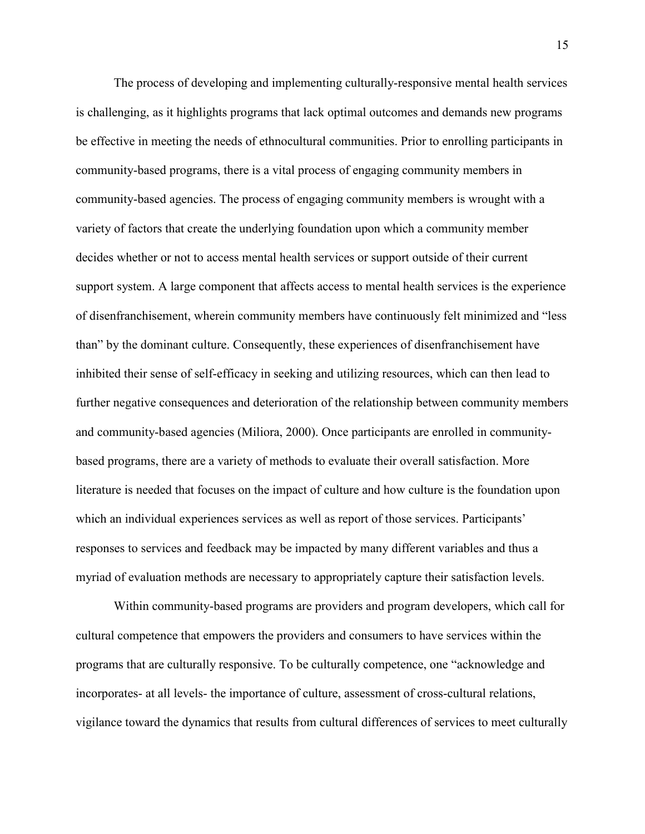The process of developing and implementing culturally-responsive mental health services is challenging, as it highlights programs that lack optimal outcomes and demands new programs be effective in meeting the needs of ethnocultural communities. Prior to enrolling participants in community-based programs, there is a vital process of engaging community members in community-based agencies. The process of engaging community members is wrought with a variety of factors that create the underlying foundation upon which a community member decides whether or not to access mental health services or support outside of their current support system. A large component that affects access to mental health services is the experience of disenfranchisement, wherein community members have continuously felt minimized and "less than" by the dominant culture. Consequently, these experiences of disenfranchisement have inhibited their sense of self-efficacy in seeking and utilizing resources, which can then lead to further negative consequences and deterioration of the relationship between community members and community-based agencies (Miliora, 2000). Once participants are enrolled in communitybased programs, there are a variety of methods to evaluate their overall satisfaction. More literature is needed that focuses on the impact of culture and how culture is the foundation upon which an individual experiences services as well as report of those services. Participants' responses to services and feedback may be impacted by many different variables and thus a myriad of evaluation methods are necessary to appropriately capture their satisfaction levels.

Within community-based programs are providers and program developers, which call for cultural competence that empowers the providers and consumers to have services within the programs that are culturally responsive. To be culturally competence, one "acknowledge and incorporates- at all levels- the importance of culture, assessment of cross-cultural relations, vigilance toward the dynamics that results from cultural differences of services to meet culturally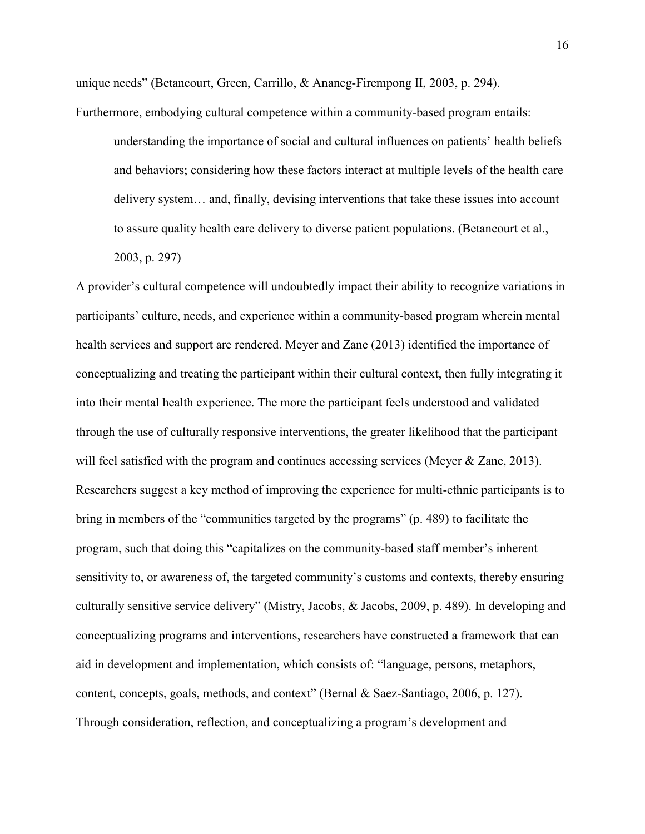unique needs" (Betancourt, Green, Carrillo, & Ananeg-Firempong II, 2003, p. 294).

Furthermore, embodying cultural competence within a community-based program entails:

understanding the importance of social and cultural influences on patients' health beliefs and behaviors; considering how these factors interact at multiple levels of the health care delivery system… and, finally, devising interventions that take these issues into account to assure quality health care delivery to diverse patient populations. (Betancourt et al.,

2003, p. 297)

A provider's cultural competence will undoubtedly impact their ability to recognize variations in participants' culture, needs, and experience within a community-based program wherein mental health services and support are rendered. Meyer and Zane (2013) identified the importance of conceptualizing and treating the participant within their cultural context, then fully integrating it into their mental health experience. The more the participant feels understood and validated through the use of culturally responsive interventions, the greater likelihood that the participant will feel satisfied with the program and continues accessing services (Meyer & Zane, 2013). Researchers suggest a key method of improving the experience for multi-ethnic participants is to bring in members of the "communities targeted by the programs" (p. 489) to facilitate the program, such that doing this "capitalizes on the community-based staff member's inherent sensitivity to, or awareness of, the targeted community's customs and contexts, thereby ensuring culturally sensitive service delivery" (Mistry, Jacobs, & Jacobs, 2009, p. 489). In developing and conceptualizing programs and interventions, researchers have constructed a framework that can aid in development and implementation, which consists of: "language, persons, metaphors, content, concepts, goals, methods, and context" (Bernal & Saez-Santiago, 2006, p. 127). Through consideration, reflection, and conceptualizing a program's development and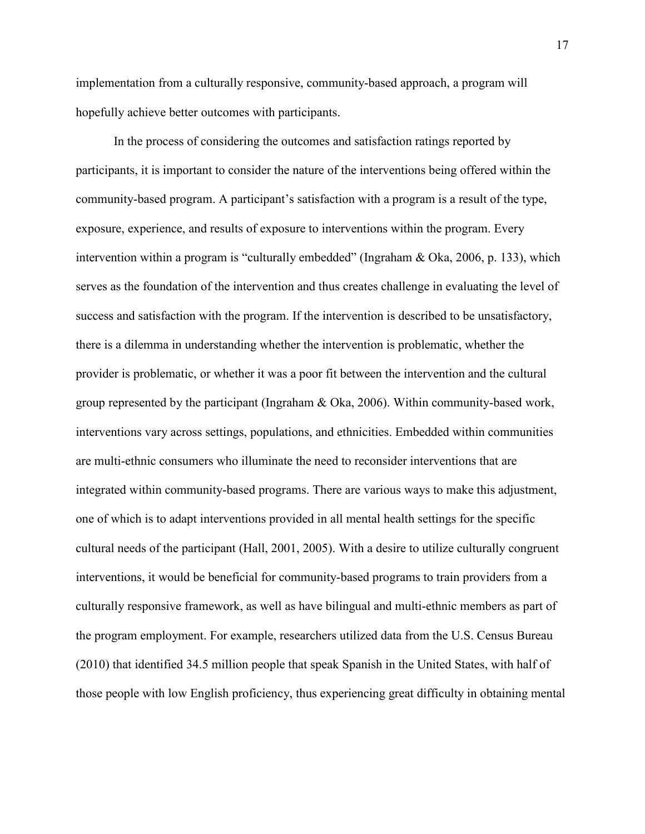implementation from a culturally responsive, community-based approach, a program will hopefully achieve better outcomes with participants.

In the process of considering the outcomes and satisfaction ratings reported by participants, it is important to consider the nature of the interventions being offered within the community-based program. A participant's satisfaction with a program is a result of the type, exposure, experience, and results of exposure to interventions within the program. Every intervention within a program is "culturally embedded" (Ingraham & Oka, 2006, p. 133), which serves as the foundation of the intervention and thus creates challenge in evaluating the level of success and satisfaction with the program. If the intervention is described to be unsatisfactory, there is a dilemma in understanding whether the intervention is problematic, whether the provider is problematic, or whether it was a poor fit between the intervention and the cultural group represented by the participant (Ingraham & Oka, 2006). Within community-based work, interventions vary across settings, populations, and ethnicities. Embedded within communities are multi-ethnic consumers who illuminate the need to reconsider interventions that are integrated within community-based programs. There are various ways to make this adjustment, one of which is to adapt interventions provided in all mental health settings for the specific cultural needs of the participant (Hall, 2001, 2005). With a desire to utilize culturally congruent interventions, it would be beneficial for community-based programs to train providers from a culturally responsive framework, as well as have bilingual and multi-ethnic members as part of the program employment. For example, researchers utilized data from the U.S. Census Bureau (2010) that identified 34.5 million people that speak Spanish in the United States, with half of those people with low English proficiency, thus experiencing great difficulty in obtaining mental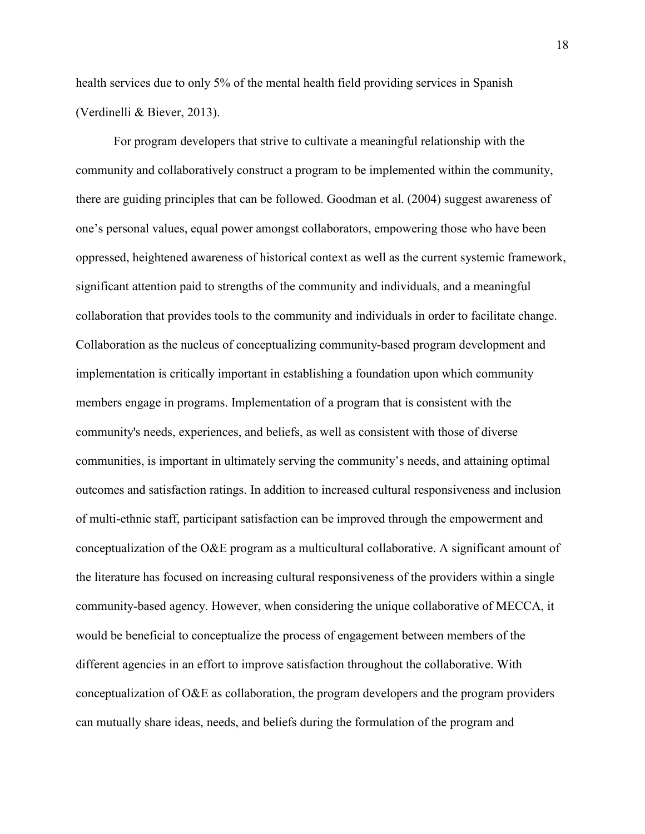health services due to only 5% of the mental health field providing services in Spanish (Verdinelli & Biever, 2013).

For program developers that strive to cultivate a meaningful relationship with the community and collaboratively construct a program to be implemented within the community, there are guiding principles that can be followed. Goodman et al. (2004) suggest awareness of one's personal values, equal power amongst collaborators, empowering those who have been oppressed, heightened awareness of historical context as well as the current systemic framework, significant attention paid to strengths of the community and individuals, and a meaningful collaboration that provides tools to the community and individuals in order to facilitate change. Collaboration as the nucleus of conceptualizing community-based program development and implementation is critically important in establishing a foundation upon which community members engage in programs. Implementation of a program that is consistent with the community's needs, experiences, and beliefs, as well as consistent with those of diverse communities, is important in ultimately serving the community's needs, and attaining optimal outcomes and satisfaction ratings. In addition to increased cultural responsiveness and inclusion of multi-ethnic staff, participant satisfaction can be improved through the empowerment and conceptualization of the O&E program as a multicultural collaborative. A significant amount of the literature has focused on increasing cultural responsiveness of the providers within a single community-based agency. However, when considering the unique collaborative of MECCA, it would be beneficial to conceptualize the process of engagement between members of the different agencies in an effort to improve satisfaction throughout the collaborative. With conceptualization of O&E as collaboration, the program developers and the program providers can mutually share ideas, needs, and beliefs during the formulation of the program and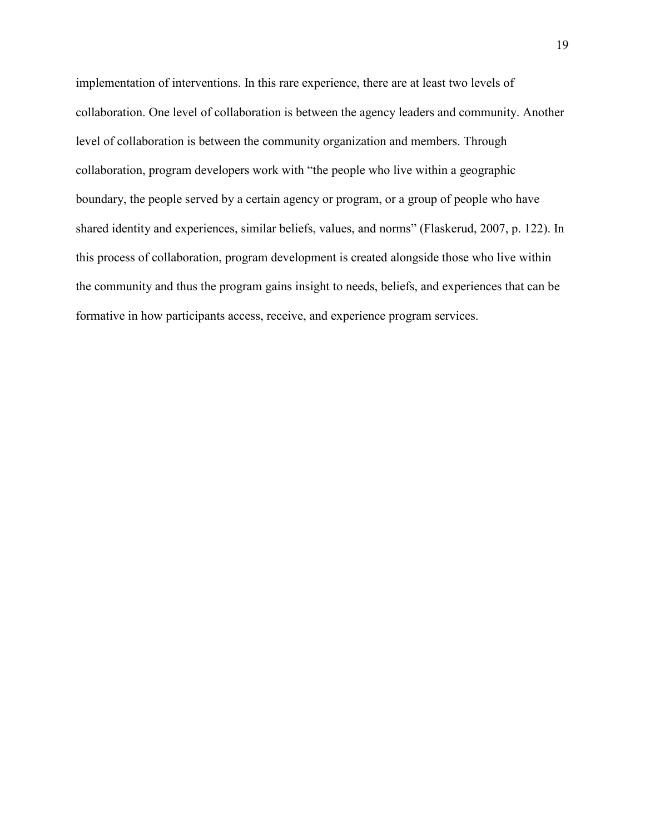implementation of interventions. In this rare experience, there are at least two levels of collaboration. One level of collaboration is between the agency leaders and community. Another level of collaboration is between the community organization and members. Through collaboration, program developers work with "the people who live within a geographic boundary, the people served by a certain agency or program, or a group of people who have shared identity and experiences, similar beliefs, values, and norms" (Flaskerud, 2007, p. 122). In this process of collaboration, program development is created alongside those who live within the community and thus the program gains insight to needs, beliefs, and experiences that can be formative in how participants access, receive, and experience program services.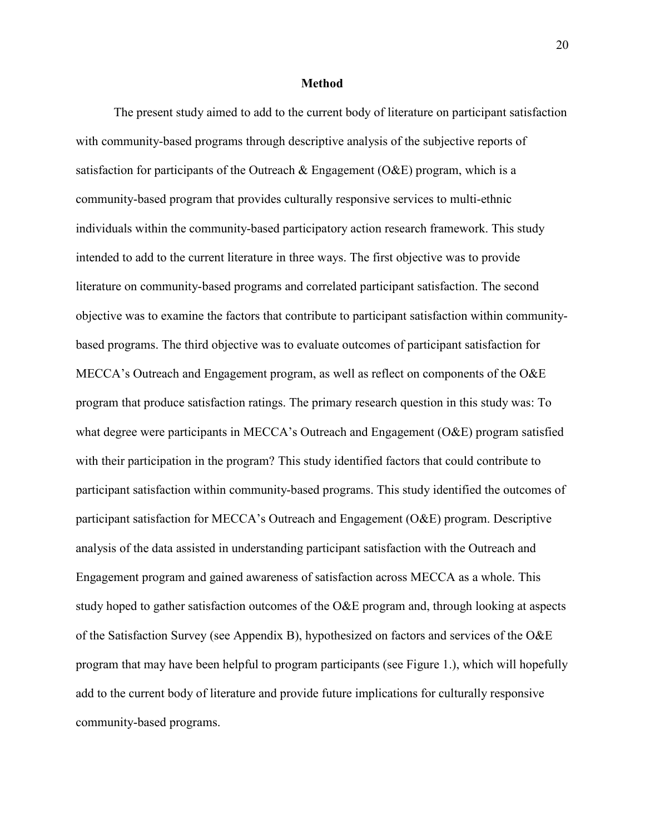#### **Method**

The present study aimed to add to the current body of literature on participant satisfaction with community-based programs through descriptive analysis of the subjective reports of satisfaction for participants of the Outreach  $\&$  Engagement (O $\&$ E) program, which is a community-based program that provides culturally responsive services to multi-ethnic individuals within the community-based participatory action research framework. This study intended to add to the current literature in three ways. The first objective was to provide literature on community-based programs and correlated participant satisfaction. The second objective was to examine the factors that contribute to participant satisfaction within communitybased programs. The third objective was to evaluate outcomes of participant satisfaction for MECCA's Outreach and Engagement program, as well as reflect on components of the O&E program that produce satisfaction ratings. The primary research question in this study was: To what degree were participants in MECCA's Outreach and Engagement (O&E) program satisfied with their participation in the program? This study identified factors that could contribute to participant satisfaction within community-based programs. This study identified the outcomes of participant satisfaction for MECCA's Outreach and Engagement (O&E) program. Descriptive analysis of the data assisted in understanding participant satisfaction with the Outreach and Engagement program and gained awareness of satisfaction across MECCA as a whole. This study hoped to gather satisfaction outcomes of the O&E program and, through looking at aspects of the Satisfaction Survey (see Appendix B), hypothesized on factors and services of the O&E program that may have been helpful to program participants (see Figure 1.), which will hopefully add to the current body of literature and provide future implications for culturally responsive community-based programs.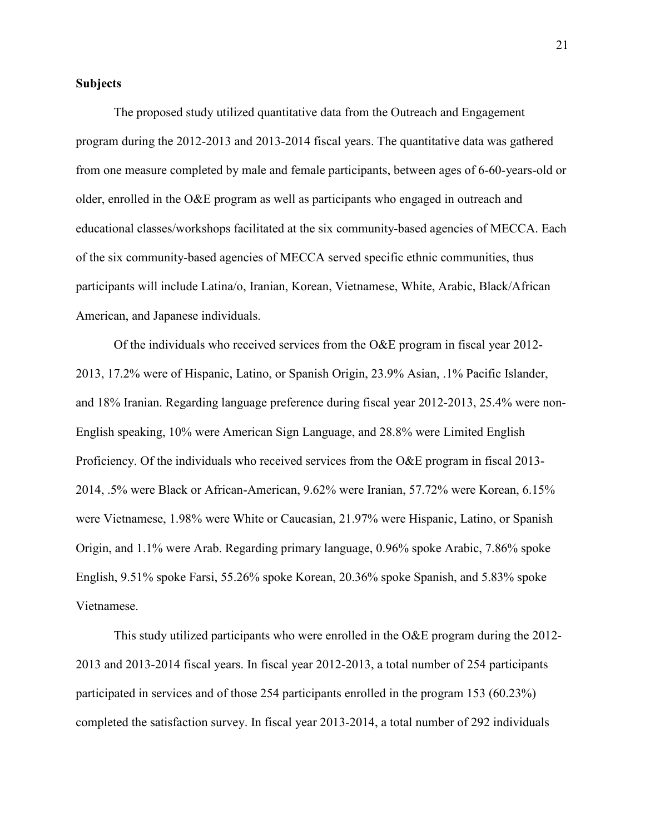## **Subjects**

The proposed study utilized quantitative data from the Outreach and Engagement program during the 2012-2013 and 2013-2014 fiscal years. The quantitative data was gathered from one measure completed by male and female participants, between ages of 6-60-years-old or older, enrolled in the O&E program as well as participants who engaged in outreach and educational classes/workshops facilitated at the six community-based agencies of MECCA. Each of the six community-based agencies of MECCA served specific ethnic communities, thus participants will include Latina/o, Iranian, Korean, Vietnamese, White, Arabic, Black/African American, and Japanese individuals.

Of the individuals who received services from the O&E program in fiscal year 2012-2013, 17.2% were of Hispanic, Latino, or Spanish Origin, 23.9% Asian, .1% Pacific Islander, and 18% Iranian. Regarding language preference during fiscal year 2012-2013, 25.4% were non-English speaking, 10% were American Sign Language, and 28.8% were Limited English Proficiency. Of the individuals who received services from the O&E program in fiscal 2013- 2014, .5% were Black or African-American, 9.62% were Iranian, 57.72% were Korean, 6.15% were Vietnamese, 1.98% were White or Caucasian, 21.97% were Hispanic, Latino, or Spanish Origin, and 1.1% were Arab. Regarding primary language, 0.96% spoke Arabic, 7.86% spoke English, 9.51% spoke Farsi, 55.26% spoke Korean, 20.36% spoke Spanish, and 5.83% spoke Vietnamese.

This study utilized participants who were enrolled in the O&E program during the 2012- 2013 and 2013-2014 fiscal years. In fiscal year 2012-2013, a total number of 254 participants participated in services and of those 254 participants enrolled in the program 153 (60.23%) completed the satisfaction survey. In fiscal year 2013-2014, a total number of 292 individuals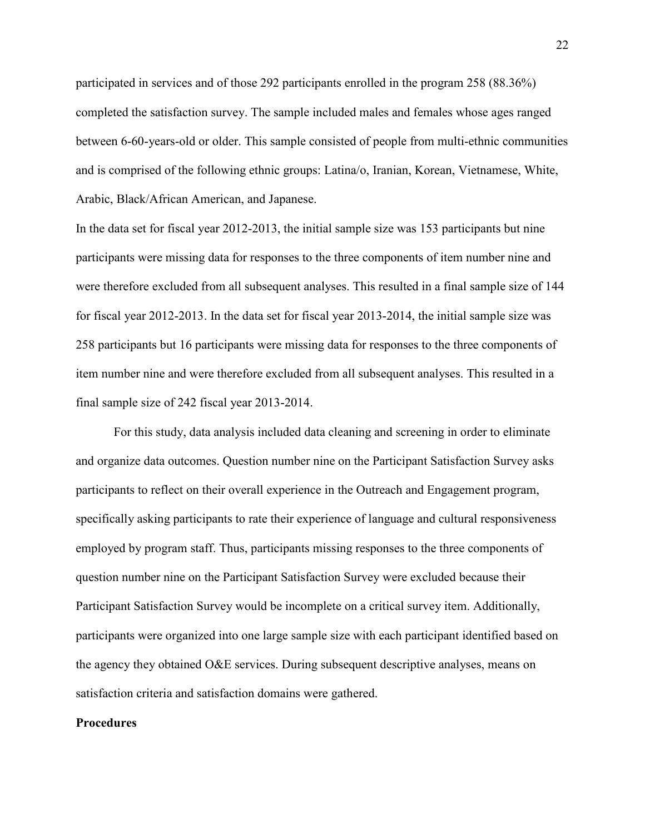participated in services and of those 292 participants enrolled in the program 258 (88.36%) completed the satisfaction survey. The sample included males and females whose ages ranged between 6-60-years-old or older. This sample consisted of people from multi-ethnic communities and is comprised of the following ethnic groups: Latina/o, Iranian, Korean, Vietnamese, White, Arabic, Black/African American, and Japanese.

In the data set for fiscal year 2012-2013, the initial sample size was 153 participants but nine participants were missing data for responses to the three components of item number nine and were therefore excluded from all subsequent analyses. This resulted in a final sample size of 144 for fiscal year 2012-2013. In the data set for fiscal year 2013-2014, the initial sample size was 258 participants but 16 participants were missing data for responses to the three components of item number nine and were therefore excluded from all subsequent analyses. This resulted in a final sample size of 242 fiscal year 2013-2014.

For this study, data analysis included data cleaning and screening in order to eliminate and organize data outcomes. Question number nine on the Participant Satisfaction Survey asks participants to reflect on their overall experience in the Outreach and Engagement program, specifically asking participants to rate their experience of language and cultural responsiveness employed by program staff. Thus, participants missing responses to the three components of question number nine on the Participant Satisfaction Survey were excluded because their Participant Satisfaction Survey would be incomplete on a critical survey item. Additionally, participants were organized into one large sample size with each participant identified based on the agency they obtained O&E services. During subsequent descriptive analyses, means on satisfaction criteria and satisfaction domains were gathered.

#### **Procedures**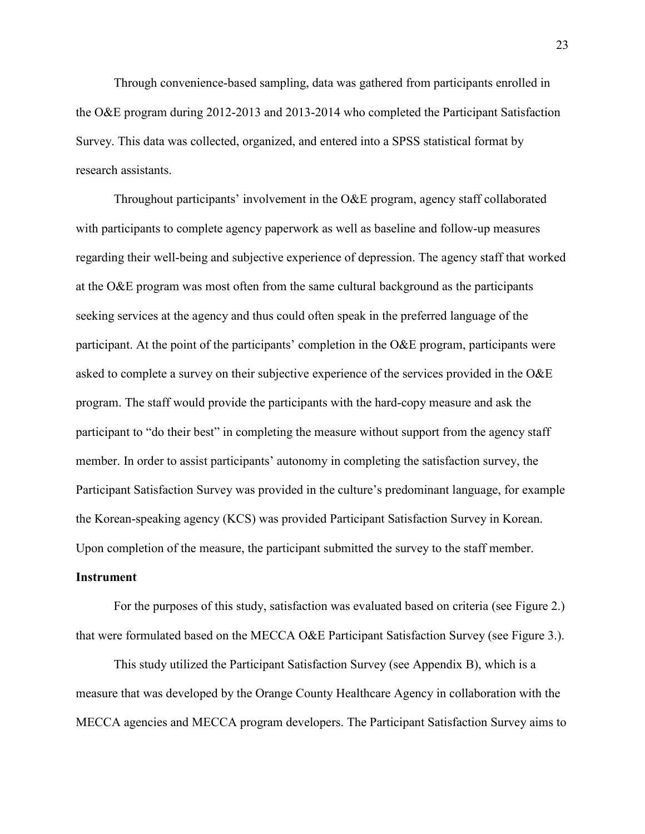Through convenience-based sampling, data was gathered from participants enrolled in the O&E program during 2012-2013 and 2013-2014 who completed the Participant Satisfaction Survey. This data was collected, organized, and entered into a SPSS statistical format by research assistants.

Throughout participants' involvement in the O&E program, agency staff collaborated with participants to complete agency paperwork as well as baseline and follow-up measures regarding their well-being and subjective experience of depression. The agency staff that worked at the O&E program was most often from the same cultural background as the participants seeking services at the agency and thus could often speak in the preferred language of the participant. At the point of the participants' completion in the O&E program, participants were asked to complete a survey on their subjective experience of the services provided in the O&E program. The staff would provide the participants with the hard-copy measure and ask the participant to "do their best" in completing the measure without support from the agency staff member. In order to assist participants' autonomy in completing the satisfaction survey, the Participant Satisfaction Survey was provided in the culture's predominant language, for example the Korean-speaking agency (KCS) was provided Participant Satisfaction Survey in Korean. Upon completion of the measure, the participant submitted the survey to the staff member.

#### **Instrument**

For the purposes of this study, satisfaction was evaluated based on criteria (see Figure 2.) that were formulated based on the MECCA O&E Participant Satisfaction Survey (see Figure 3.).

This study utilized the Participant Satisfaction Survey (see Appendix B), which is a measure that was developed by the Orange County Healthcare Agency in collaboration with the MECCA agencies and MECCA program developers. The Participant Satisfaction Survey aims to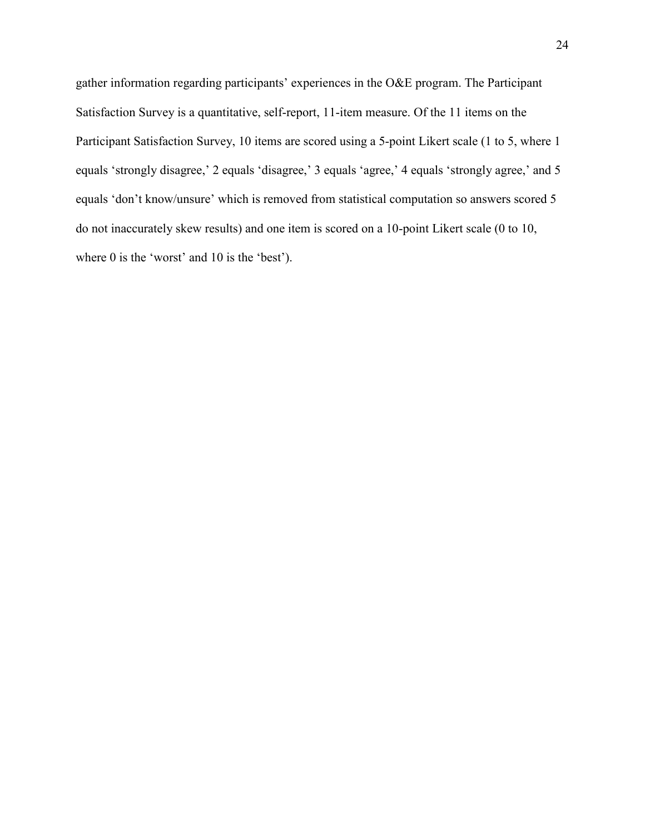gather information regarding participants' experiences in the O&E program. The Participant Satisfaction Survey is a quantitative, self-report, 11-item measure. Of the 11 items on the Participant Satisfaction Survey, 10 items are scored using a 5-point Likert scale (1 to 5, where 1 equals 'strongly disagree,' 2 equals 'disagree,' 3 equals 'agree,' 4 equals 'strongly agree,' and 5 equals 'don't know/unsure' which is removed from statistical computation so answers scored 5 do not inaccurately skew results) and one item is scored on a 10-point Likert scale (0 to 10, where 0 is the 'worst' and 10 is the 'best').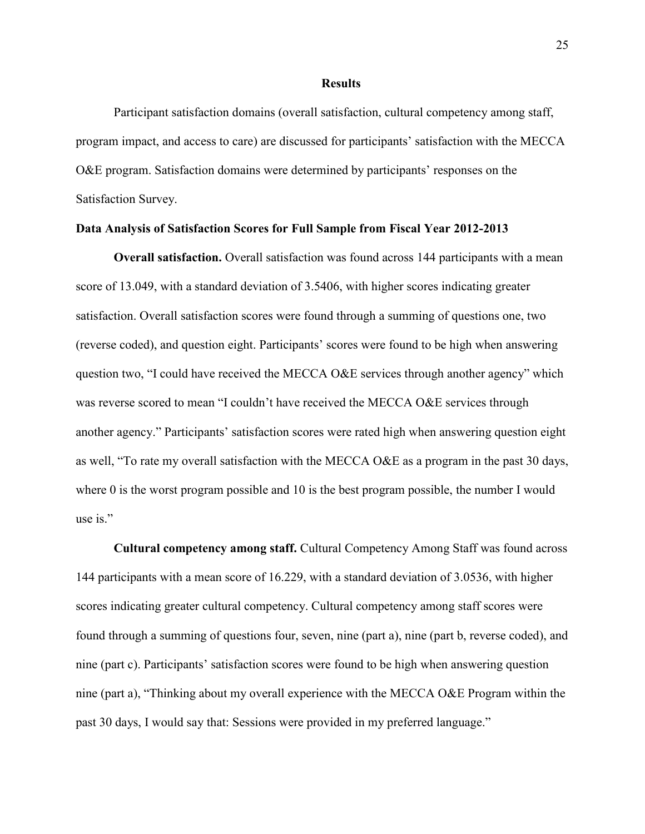#### **Results**

Participant satisfaction domains (overall satisfaction, cultural competency among staff, program impact, and access to care) are discussed for participants' satisfaction with the MECCA O&E program. Satisfaction domains were determined by participants' responses on the Satisfaction Survey.

#### **Data Analysis of Satisfaction Scores for Full Sample from Fiscal Year 2012-2013**

**Overall satisfaction.** Overall satisfaction was found across 144 participants with a mean score of 13.049, with a standard deviation of 3.5406, with higher scores indicating greater satisfaction. Overall satisfaction scores were found through a summing of questions one, two (reverse coded), and question eight. Participants' scores were found to be high when answering question two, "I could have received the MECCA O&E services through another agency" which was reverse scored to mean "I couldn't have received the MECCA O&E services through another agency." Participants' satisfaction scores were rated high when answering question eight as well, "To rate my overall satisfaction with the MECCA O&E as a program in the past 30 days, where 0 is the worst program possible and 10 is the best program possible, the number I would use is."

**Cultural competency among staff.** Cultural Competency Among Staff was found across 144 participants with a mean score of 16.229, with a standard deviation of 3.0536, with higher scores indicating greater cultural competency. Cultural competency among staff scores were found through a summing of questions four, seven, nine (part a), nine (part b, reverse coded), and nine (part c). Participants' satisfaction scores were found to be high when answering question nine (part a), "Thinking about my overall experience with the MECCA O&E Program within the past 30 days, I would say that: Sessions were provided in my preferred language."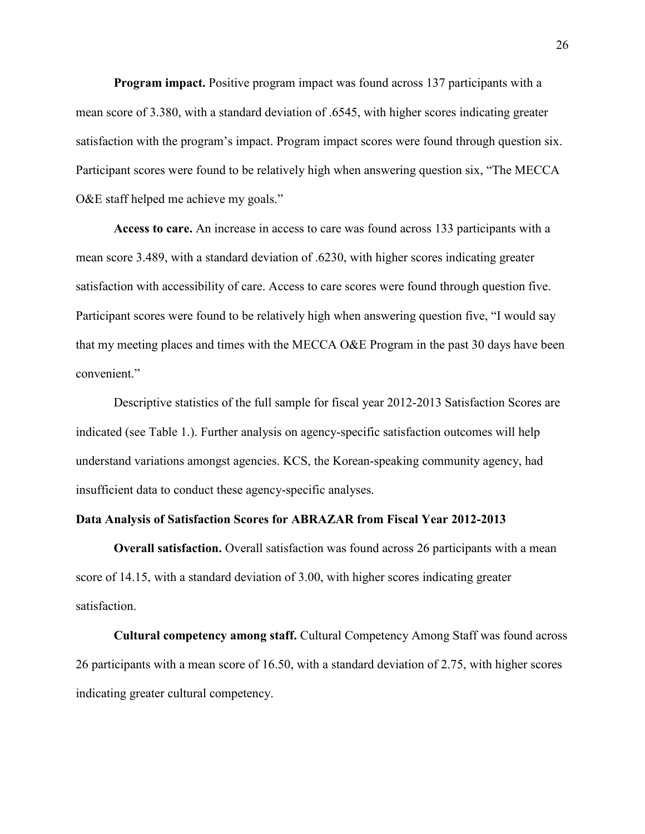**Program impact.** Positive program impact was found across 137 participants with a mean score of 3.380, with a standard deviation of .6545, with higher scores indicating greater satisfaction with the program's impact. Program impact scores were found through question six. Participant scores were found to be relatively high when answering question six, "The MECCA O&E staff helped me achieve my goals."

**Access to care.** An increase in access to care was found across 133 participants with a mean score 3.489, with a standard deviation of .6230, with higher scores indicating greater satisfaction with accessibility of care. Access to care scores were found through question five. Participant scores were found to be relatively high when answering question five, "I would say that my meeting places and times with the MECCA O&E Program in the past 30 days have been convenient."

Descriptive statistics of the full sample for fiscal year 2012-2013 Satisfaction Scores are indicated (see Table 1.). Further analysis on agency-specific satisfaction outcomes will help understand variations amongst agencies. KCS, the Korean-speaking community agency, had insufficient data to conduct these agency-specific analyses.

### **Data Analysis of Satisfaction Scores for ABRAZAR from Fiscal Year 2012-2013**

**Overall satisfaction.** Overall satisfaction was found across 26 participants with a mean score of 14.15, with a standard deviation of 3.00, with higher scores indicating greater satisfaction.

**Cultural competency among staff.** Cultural Competency Among Staff was found across 26 participants with a mean score of 16.50, with a standard deviation of 2.75, with higher scores indicating greater cultural competency.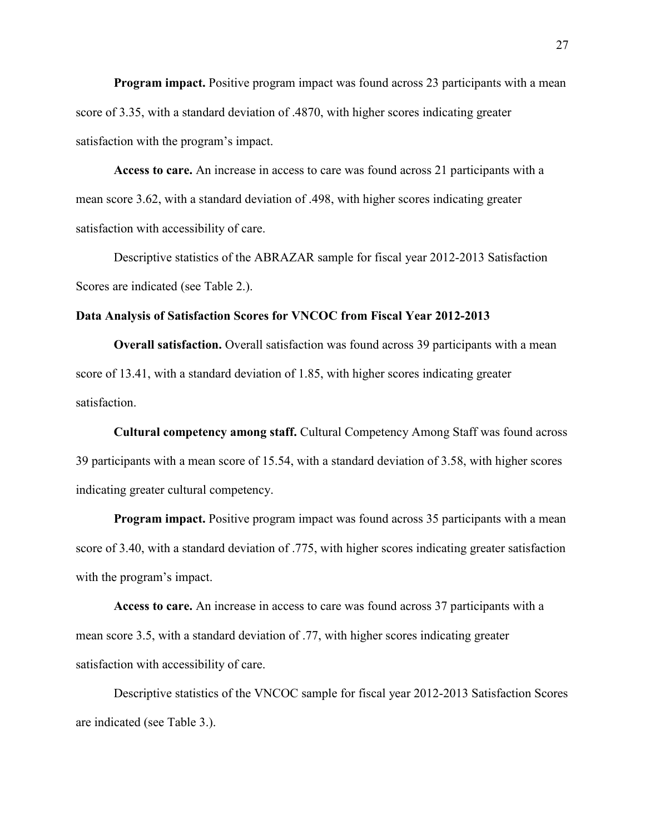**Program impact.** Positive program impact was found across 23 participants with a mean score of 3.35, with a standard deviation of .4870, with higher scores indicating greater satisfaction with the program's impact.

**Access to care.** An increase in access to care was found across 21 participants with a mean score 3.62, with a standard deviation of .498, with higher scores indicating greater satisfaction with accessibility of care.

Descriptive statistics of the ABRAZAR sample for fiscal year 2012-2013 Satisfaction Scores are indicated (see Table 2.).

#### **Data Analysis of Satisfaction Scores for VNCOC from Fiscal Year 2012-2013**

**Overall satisfaction.** Overall satisfaction was found across 39 participants with a mean score of 13.41, with a standard deviation of 1.85, with higher scores indicating greater satisfaction.

**Cultural competency among staff.** Cultural Competency Among Staff was found across 39 participants with a mean score of 15.54, with a standard deviation of 3.58, with higher scores indicating greater cultural competency.

**Program impact.** Positive program impact was found across 35 participants with a mean score of 3.40, with a standard deviation of .775, with higher scores indicating greater satisfaction with the program's impact.

**Access to care.** An increase in access to care was found across 37 participants with a mean score 3.5, with a standard deviation of .77, with higher scores indicating greater satisfaction with accessibility of care.

Descriptive statistics of the VNCOC sample for fiscal year 2012-2013 Satisfaction Scores are indicated (see Table 3.).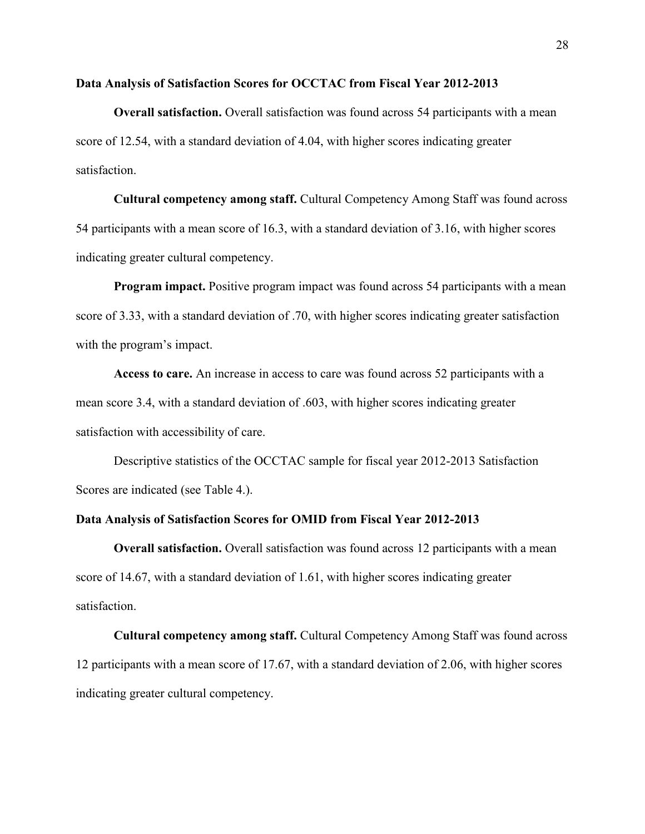#### **Data Analysis of Satisfaction Scores for OCCTAC from Fiscal Year 2012-2013**

**Overall satisfaction.** Overall satisfaction was found across 54 participants with a mean score of 12.54, with a standard deviation of 4.04, with higher scores indicating greater satisfaction.

**Cultural competency among staff.** Cultural Competency Among Staff was found across 54 participants with a mean score of 16.3, with a standard deviation of 3.16, with higher scores indicating greater cultural competency.

**Program impact.** Positive program impact was found across 54 participants with a mean score of 3.33, with a standard deviation of .70, with higher scores indicating greater satisfaction with the program's impact.

**Access to care.** An increase in access to care was found across 52 participants with a mean score 3.4, with a standard deviation of .603, with higher scores indicating greater satisfaction with accessibility of care.

Descriptive statistics of the OCCTAC sample for fiscal year 2012-2013 Satisfaction Scores are indicated (see Table 4.).

### **Data Analysis of Satisfaction Scores for OMID from Fiscal Year 2012-2013**

**Overall satisfaction.** Overall satisfaction was found across 12 participants with a mean score of 14.67, with a standard deviation of 1.61, with higher scores indicating greater satisfaction.

**Cultural competency among staff.** Cultural Competency Among Staff was found across 12 participants with a mean score of 17.67, with a standard deviation of 2.06, with higher scores indicating greater cultural competency.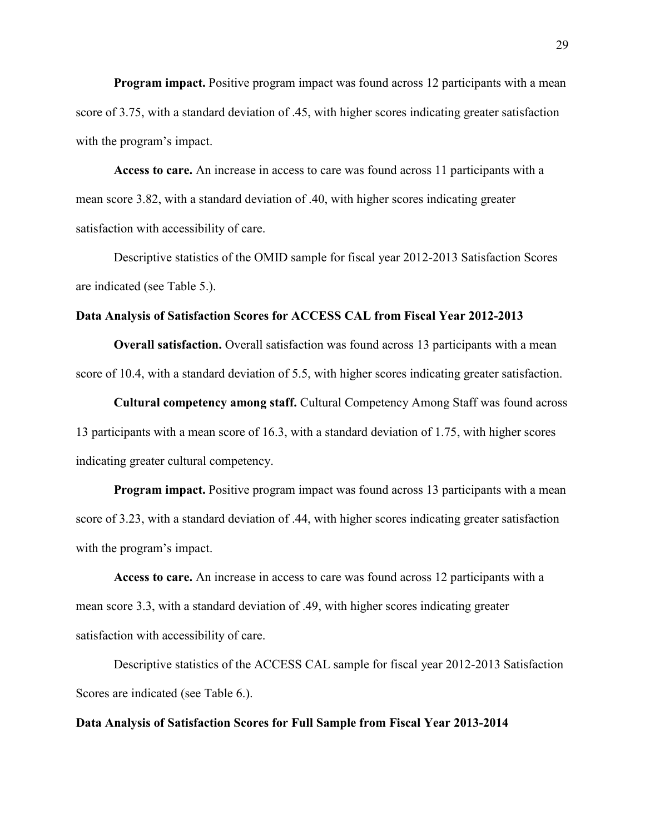**Program impact.** Positive program impact was found across 12 participants with a mean score of 3.75, with a standard deviation of .45, with higher scores indicating greater satisfaction with the program's impact.

**Access to care.** An increase in access to care was found across 11 participants with a mean score 3.82, with a standard deviation of .40, with higher scores indicating greater satisfaction with accessibility of care.

Descriptive statistics of the OMID sample for fiscal year 2012-2013 Satisfaction Scores are indicated (see Table 5.).

### **Data Analysis of Satisfaction Scores for ACCESS CAL from Fiscal Year 2012-2013**

**Overall satisfaction.** Overall satisfaction was found across 13 participants with a mean score of 10.4, with a standard deviation of 5.5, with higher scores indicating greater satisfaction.

**Cultural competency among staff.** Cultural Competency Among Staff was found across 13 participants with a mean score of 16.3, with a standard deviation of 1.75, with higher scores indicating greater cultural competency.

**Program impact.** Positive program impact was found across 13 participants with a mean score of 3.23, with a standard deviation of .44, with higher scores indicating greater satisfaction with the program's impact.

**Access to care.** An increase in access to care was found across 12 participants with a mean score 3.3, with a standard deviation of .49, with higher scores indicating greater satisfaction with accessibility of care.

Descriptive statistics of the ACCESS CAL sample for fiscal year 2012-2013 Satisfaction Scores are indicated (see Table 6.).

#### **Data Analysis of Satisfaction Scores for Full Sample from Fiscal Year 2013-2014**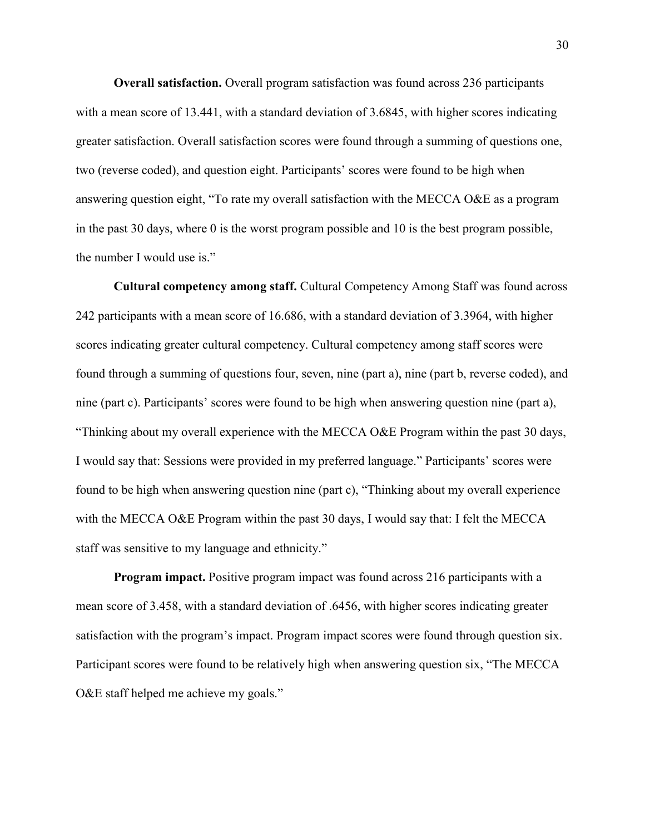**Overall satisfaction.** Overall program satisfaction was found across 236 participants with a mean score of 13.441, with a standard deviation of 3.6845, with higher scores indicating greater satisfaction. Overall satisfaction scores were found through a summing of questions one, two (reverse coded), and question eight. Participants' scores were found to be high when answering question eight, "To rate my overall satisfaction with the MECCA O&E as a program in the past 30 days, where 0 is the worst program possible and 10 is the best program possible, the number I would use is."

**Cultural competency among staff.** Cultural Competency Among Staff was found across 242 participants with a mean score of 16.686, with a standard deviation of 3.3964, with higher scores indicating greater cultural competency. Cultural competency among staff scores were found through a summing of questions four, seven, nine (part a), nine (part b, reverse coded), and nine (part c). Participants' scores were found to be high when answering question nine (part a), "Thinking about my overall experience with the MECCA O&E Program within the past 30 days, I would say that: Sessions were provided in my preferred language." Participants' scores were found to be high when answering question nine (part c), "Thinking about my overall experience with the MECCA O&E Program within the past 30 days, I would say that: I felt the MECCA staff was sensitive to my language and ethnicity."

**Program impact.** Positive program impact was found across 216 participants with a mean score of 3.458, with a standard deviation of .6456, with higher scores indicating greater satisfaction with the program's impact. Program impact scores were found through question six. Participant scores were found to be relatively high when answering question six, "The MECCA O&E staff helped me achieve my goals."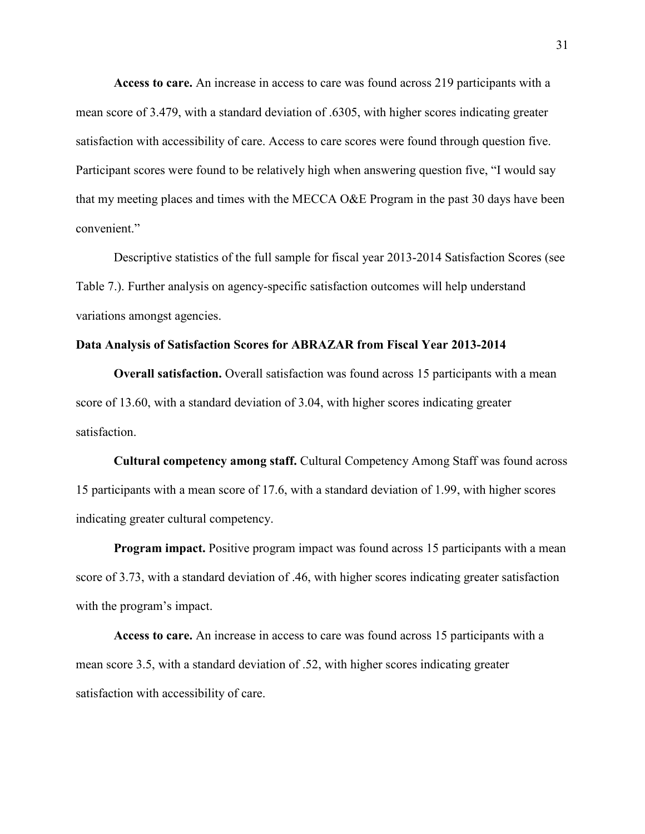**Access to care.** An increase in access to care was found across 219 participants with a mean score of 3.479, with a standard deviation of .6305, with higher scores indicating greater satisfaction with accessibility of care. Access to care scores were found through question five. Participant scores were found to be relatively high when answering question five, "I would say that my meeting places and times with the MECCA O&E Program in the past 30 days have been convenient."

Descriptive statistics of the full sample for fiscal year 2013-2014 Satisfaction Scores (see Table 7.). Further analysis on agency-specific satisfaction outcomes will help understand variations amongst agencies.

### **Data Analysis of Satisfaction Scores for ABRAZAR from Fiscal Year 2013-2014**

**Overall satisfaction.** Overall satisfaction was found across 15 participants with a mean score of 13.60, with a standard deviation of 3.04, with higher scores indicating greater satisfaction.

**Cultural competency among staff.** Cultural Competency Among Staff was found across 15 participants with a mean score of 17.6, with a standard deviation of 1.99, with higher scores indicating greater cultural competency.

**Program impact.** Positive program impact was found across 15 participants with a mean score of 3.73, with a standard deviation of .46, with higher scores indicating greater satisfaction with the program's impact.

**Access to care.** An increase in access to care was found across 15 participants with a mean score 3.5, with a standard deviation of .52, with higher scores indicating greater satisfaction with accessibility of care.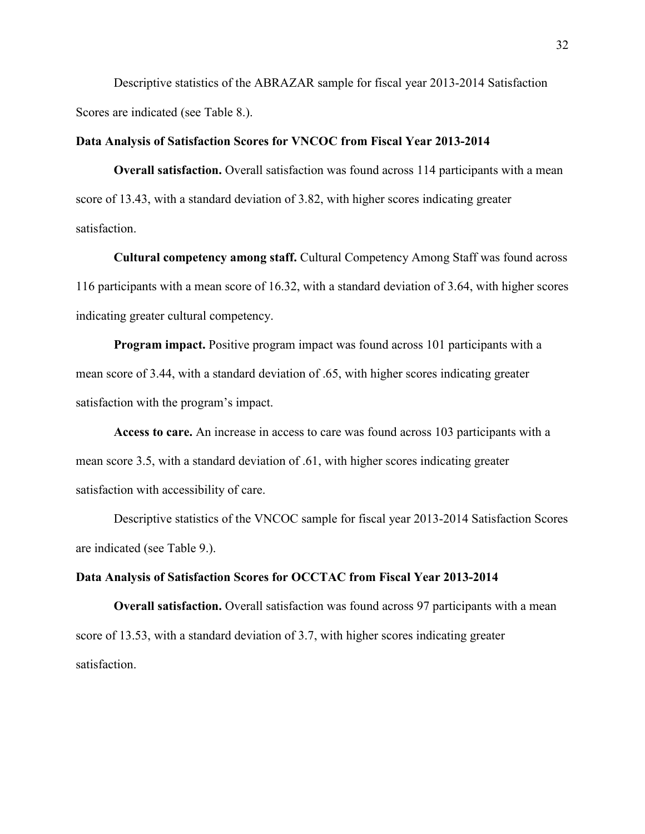Descriptive statistics of the ABRAZAR sample for fiscal year 2013-2014 Satisfaction Scores are indicated (see Table 8.).

### **Data Analysis of Satisfaction Scores for VNCOC from Fiscal Year 2013-2014**

**Overall satisfaction.** Overall satisfaction was found across 114 participants with a mean score of 13.43, with a standard deviation of 3.82, with higher scores indicating greater satisfaction.

**Cultural competency among staff.** Cultural Competency Among Staff was found across 116 participants with a mean score of 16.32, with a standard deviation of 3.64, with higher scores indicating greater cultural competency.

**Program impact.** Positive program impact was found across 101 participants with a mean score of 3.44, with a standard deviation of .65, with higher scores indicating greater satisfaction with the program's impact.

**Access to care.** An increase in access to care was found across 103 participants with a mean score 3.5, with a standard deviation of .61, with higher scores indicating greater satisfaction with accessibility of care.

Descriptive statistics of the VNCOC sample for fiscal year 2013-2014 Satisfaction Scores are indicated (see Table 9.).

#### **Data Analysis of Satisfaction Scores for OCCTAC from Fiscal Year 2013-2014**

**Overall satisfaction.** Overall satisfaction was found across 97 participants with a mean score of 13.53, with a standard deviation of 3.7, with higher scores indicating greater satisfaction.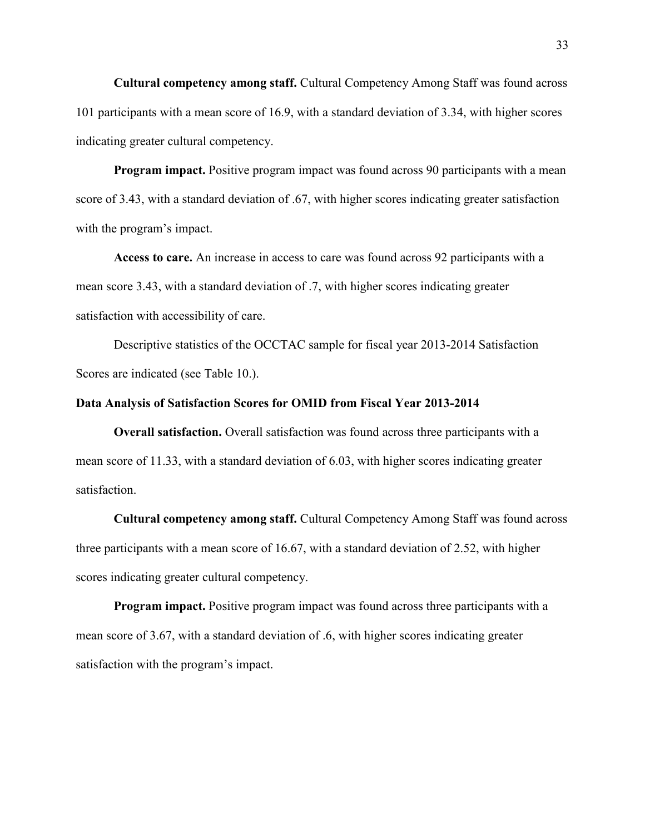**Cultural competency among staff.** Cultural Competency Among Staff was found across 101 participants with a mean score of 16.9, with a standard deviation of 3.34, with higher scores indicating greater cultural competency.

**Program impact.** Positive program impact was found across 90 participants with a mean score of 3.43, with a standard deviation of .67, with higher scores indicating greater satisfaction with the program's impact.

**Access to care.** An increase in access to care was found across 92 participants with a mean score 3.43, with a standard deviation of .7, with higher scores indicating greater satisfaction with accessibility of care.

Descriptive statistics of the OCCTAC sample for fiscal year 2013-2014 Satisfaction Scores are indicated (see Table 10.).

#### **Data Analysis of Satisfaction Scores for OMID from Fiscal Year 2013-2014**

**Overall satisfaction.** Overall satisfaction was found across three participants with a mean score of 11.33, with a standard deviation of 6.03, with higher scores indicating greater satisfaction.

**Cultural competency among staff.** Cultural Competency Among Staff was found across three participants with a mean score of 16.67, with a standard deviation of 2.52, with higher scores indicating greater cultural competency.

**Program impact.** Positive program impact was found across three participants with a mean score of 3.67, with a standard deviation of .6, with higher scores indicating greater satisfaction with the program's impact.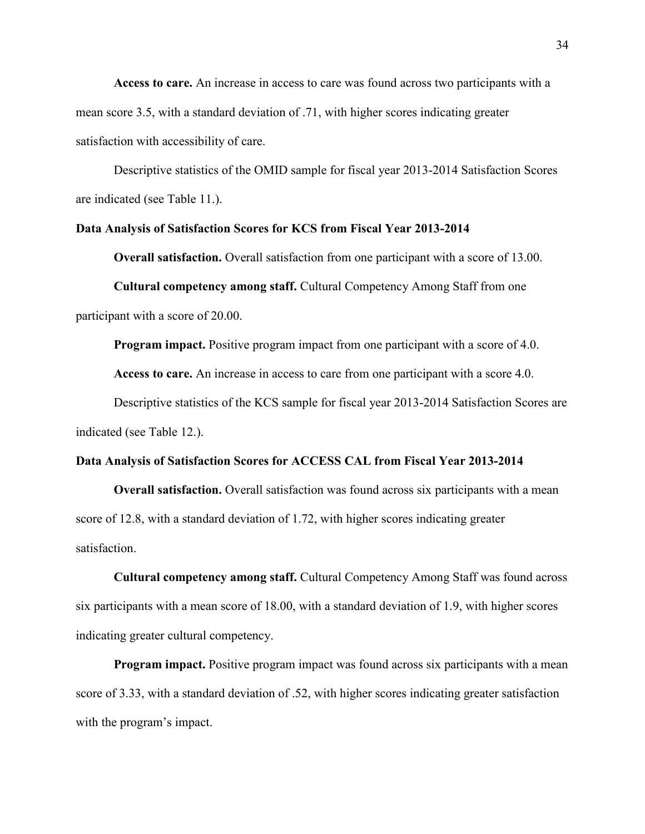**Access to care.** An increase in access to care was found across two participants with a mean score 3.5, with a standard deviation of .71, with higher scores indicating greater satisfaction with accessibility of care.

Descriptive statistics of the OMID sample for fiscal year 2013-2014 Satisfaction Scores are indicated (see Table 11.).

### **Data Analysis of Satisfaction Scores for KCS from Fiscal Year 2013-2014**

**Overall satisfaction.** Overall satisfaction from one participant with a score of 13.00.

**Cultural competency among staff.** Cultural Competency Among Staff from one participant with a score of 20.00.

**Program impact.** Positive program impact from one participant with a score of 4.0.

**Access to care.** An increase in access to care from one participant with a score 4.0.

Descriptive statistics of the KCS sample for fiscal year 2013-2014 Satisfaction Scores are indicated (see Table 12.).

### **Data Analysis of Satisfaction Scores for ACCESS CAL from Fiscal Year 2013-2014**

**Overall satisfaction.** Overall satisfaction was found across six participants with a mean score of 12.8, with a standard deviation of 1.72, with higher scores indicating greater satisfaction.

**Cultural competency among staff.** Cultural Competency Among Staff was found across six participants with a mean score of 18.00, with a standard deviation of 1.9, with higher scores indicating greater cultural competency.

**Program impact.** Positive program impact was found across six participants with a mean score of 3.33, with a standard deviation of .52, with higher scores indicating greater satisfaction with the program's impact.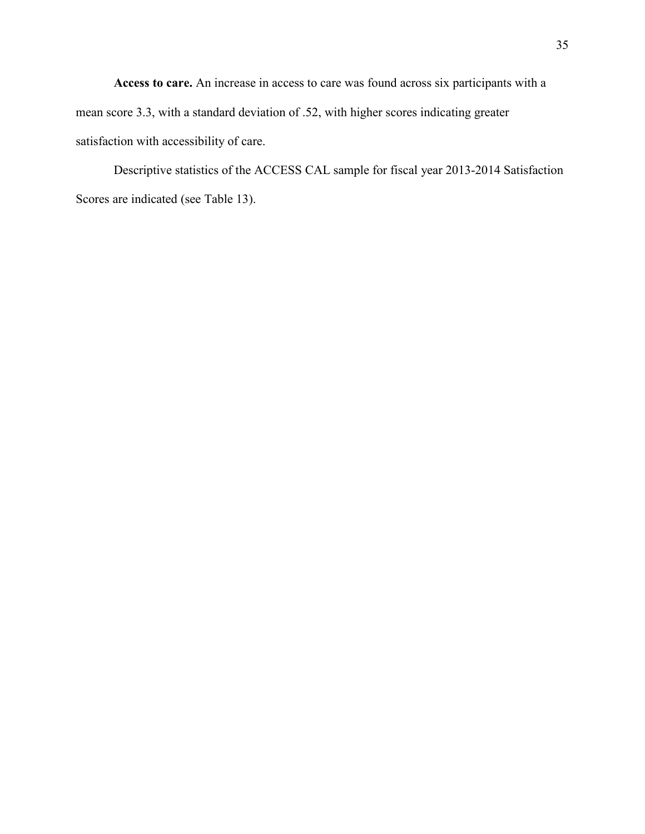**Access to care.** An increase in access to care was found across six participants with a mean score 3.3, with a standard deviation of .52, with higher scores indicating greater satisfaction with accessibility of care.

Descriptive statistics of the ACCESS CAL sample for fiscal year 2013-2014 Satisfaction Scores are indicated (see Table 13).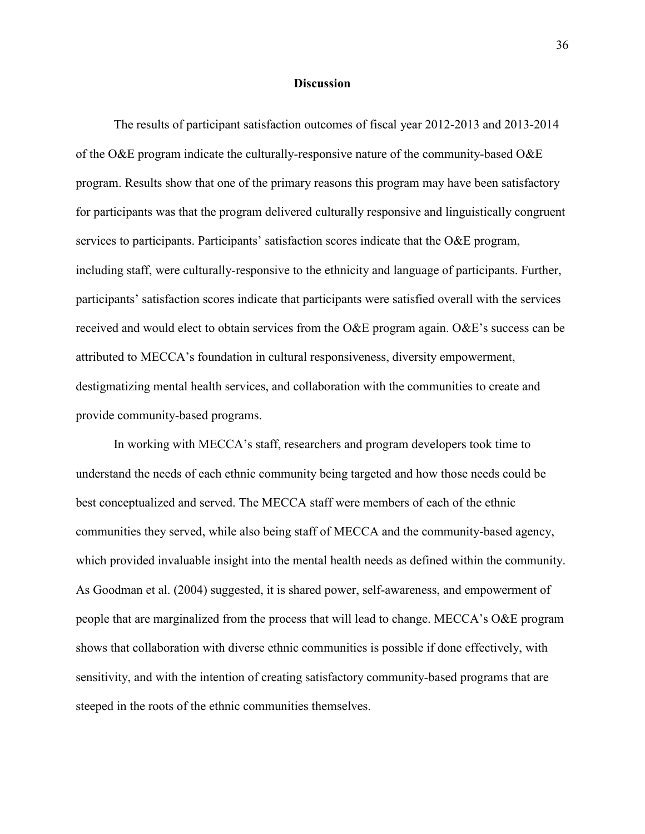#### **Discussion**

The results of participant satisfaction outcomes of fiscal year 2012-2013 and 2013-2014 of the O&E program indicate the culturally-responsive nature of the community-based O&E program. Results show that one of the primary reasons this program may have been satisfactory for participants was that the program delivered culturally responsive and linguistically congruent services to participants. Participants' satisfaction scores indicate that the O&E program, including staff, were culturally-responsive to the ethnicity and language of participants. Further, participants' satisfaction scores indicate that participants were satisfied overall with the services received and would elect to obtain services from the O&E program again. O&E's success can be attributed to MECCA's foundation in cultural responsiveness, diversity empowerment, destigmatizing mental health services, and collaboration with the communities to create and provide community-based programs.

In working with MECCA's staff, researchers and program developers took time to understand the needs of each ethnic community being targeted and how those needs could be best conceptualized and served. The MECCA staff were members of each of the ethnic communities they served, while also being staff of MECCA and the community-based agency, which provided invaluable insight into the mental health needs as defined within the community. As Goodman et al. (2004) suggested, it is shared power, self-awareness, and empowerment of people that are marginalized from the process that will lead to change. MECCA's O&E program shows that collaboration with diverse ethnic communities is possible if done effectively, with sensitivity, and with the intention of creating satisfactory community-based programs that are steeped in the roots of the ethnic communities themselves.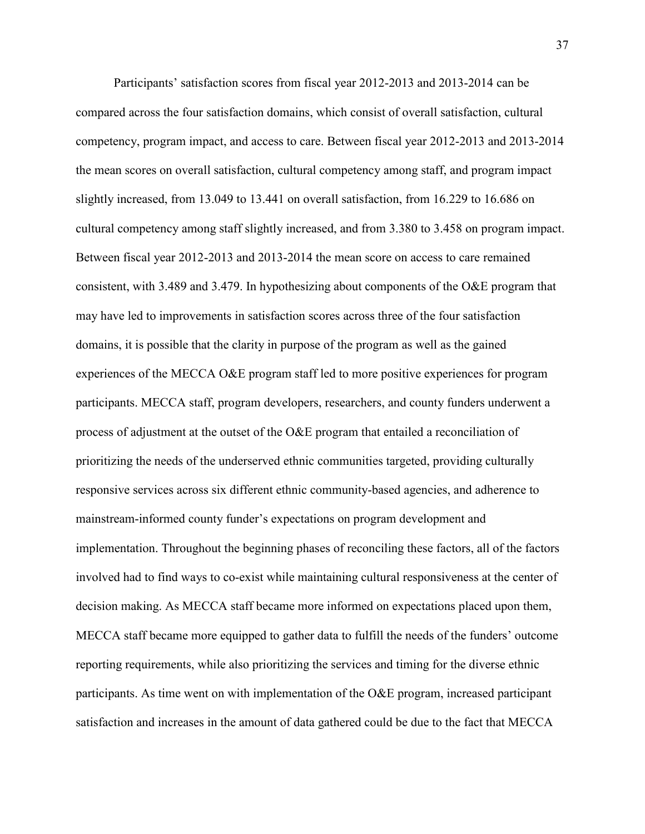Participants' satisfaction scores from fiscal year 2012-2013 and 2013-2014 can be compared across the four satisfaction domains, which consist of overall satisfaction, cultural competency, program impact, and access to care. Between fiscal year 2012-2013 and 2013-2014 the mean scores on overall satisfaction, cultural competency among staff, and program impact slightly increased, from 13.049 to 13.441 on overall satisfaction, from 16.229 to 16.686 on cultural competency among staff slightly increased, and from 3.380 to 3.458 on program impact. Between fiscal year 2012-2013 and 2013-2014 the mean score on access to care remained consistent, with 3.489 and 3.479. In hypothesizing about components of the O&E program that may have led to improvements in satisfaction scores across three of the four satisfaction domains, it is possible that the clarity in purpose of the program as well as the gained experiences of the MECCA O&E program staff led to more positive experiences for program participants. MECCA staff, program developers, researchers, and county funders underwent a process of adjustment at the outset of the O&E program that entailed a reconciliation of prioritizing the needs of the underserved ethnic communities targeted, providing culturally responsive services across six different ethnic community-based agencies, and adherence to mainstream-informed county funder's expectations on program development and implementation. Throughout the beginning phases of reconciling these factors, all of the factors involved had to find ways to co-exist while maintaining cultural responsiveness at the center of decision making. As MECCA staff became more informed on expectations placed upon them, MECCA staff became more equipped to gather data to fulfill the needs of the funders' outcome reporting requirements, while also prioritizing the services and timing for the diverse ethnic participants. As time went on with implementation of the O&E program, increased participant satisfaction and increases in the amount of data gathered could be due to the fact that MECCA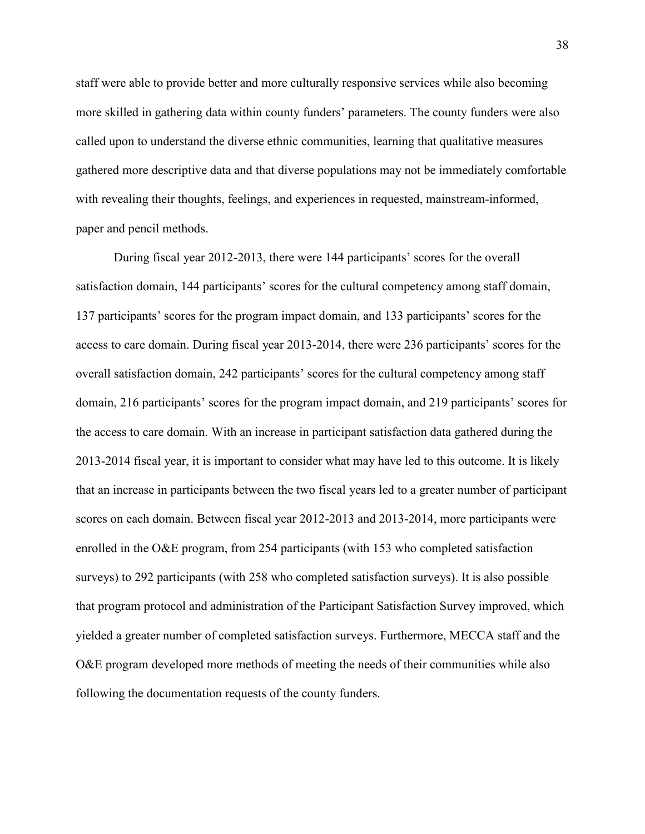staff were able to provide better and more culturally responsive services while also becoming more skilled in gathering data within county funders' parameters. The county funders were also called upon to understand the diverse ethnic communities, learning that qualitative measures gathered more descriptive data and that diverse populations may not be immediately comfortable with revealing their thoughts, feelings, and experiences in requested, mainstream-informed, paper and pencil methods.

During fiscal year 2012-2013, there were 144 participants' scores for the overall satisfaction domain, 144 participants' scores for the cultural competency among staff domain, 137 participants' scores for the program impact domain, and 133 participants' scores for the access to care domain. During fiscal year 2013-2014, there were 236 participants' scores for the overall satisfaction domain, 242 participants' scores for the cultural competency among staff domain, 216 participants' scores for the program impact domain, and 219 participants' scores for the access to care domain. With an increase in participant satisfaction data gathered during the 2013-2014 fiscal year, it is important to consider what may have led to this outcome. It is likely that an increase in participants between the two fiscal years led to a greater number of participant scores on each domain. Between fiscal year 2012-2013 and 2013-2014, more participants were enrolled in the O&E program, from 254 participants (with 153 who completed satisfaction surveys) to 292 participants (with 258 who completed satisfaction surveys). It is also possible that program protocol and administration of the Participant Satisfaction Survey improved, which yielded a greater number of completed satisfaction surveys. Furthermore, MECCA staff and the O&E program developed more methods of meeting the needs of their communities while also following the documentation requests of the county funders.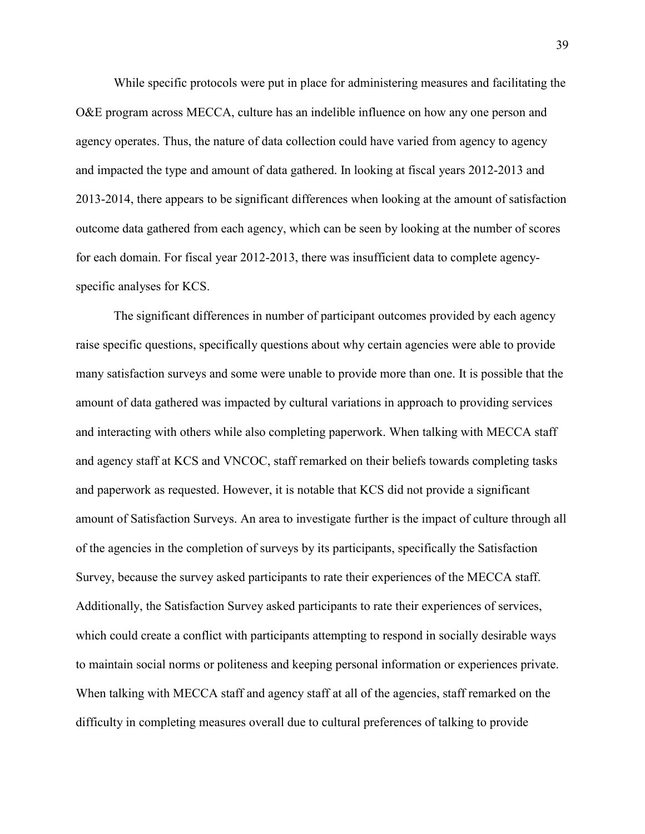While specific protocols were put in place for administering measures and facilitating the O&E program across MECCA, culture has an indelible influence on how any one person and agency operates. Thus, the nature of data collection could have varied from agency to agency and impacted the type and amount of data gathered. In looking at fiscal years 2012-2013 and 2013-2014, there appears to be significant differences when looking at the amount of satisfaction outcome data gathered from each agency, which can be seen by looking at the number of scores for each domain. For fiscal year 2012-2013, there was insufficient data to complete agencyspecific analyses for KCS.

The significant differences in number of participant outcomes provided by each agency raise specific questions, specifically questions about why certain agencies were able to provide many satisfaction surveys and some were unable to provide more than one. It is possible that the amount of data gathered was impacted by cultural variations in approach to providing services and interacting with others while also completing paperwork. When talking with MECCA staff and agency staff at KCS and VNCOC, staff remarked on their beliefs towards completing tasks and paperwork as requested. However, it is notable that KCS did not provide a significant amount of Satisfaction Surveys. An area to investigate further is the impact of culture through all of the agencies in the completion of surveys by its participants, specifically the Satisfaction Survey, because the survey asked participants to rate their experiences of the MECCA staff. Additionally, the Satisfaction Survey asked participants to rate their experiences of services, which could create a conflict with participants attempting to respond in socially desirable ways to maintain social norms or politeness and keeping personal information or experiences private. When talking with MECCA staff and agency staff at all of the agencies, staff remarked on the difficulty in completing measures overall due to cultural preferences of talking to provide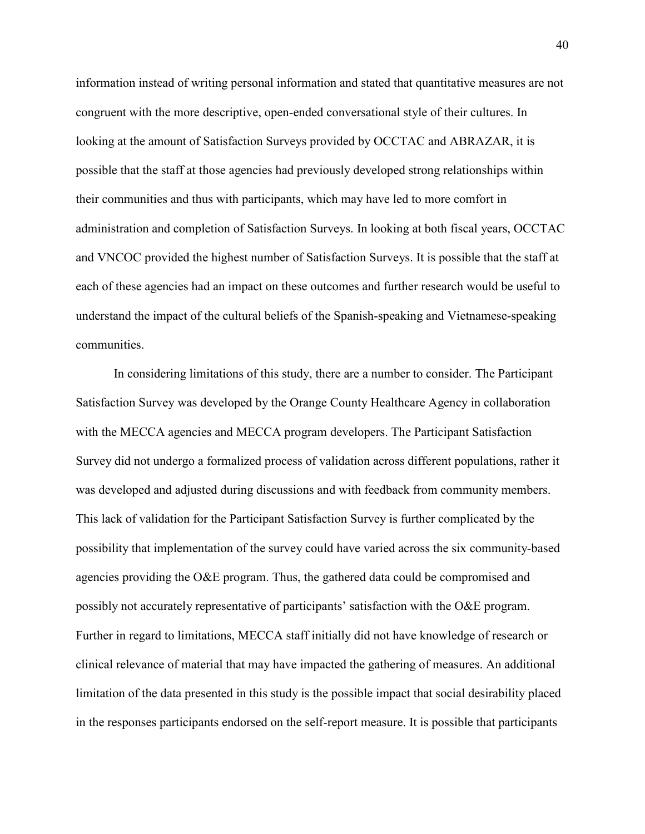information instead of writing personal information and stated that quantitative measures are not congruent with the more descriptive, open-ended conversational style of their cultures. In looking at the amount of Satisfaction Surveys provided by OCCTAC and ABRAZAR, it is possible that the staff at those agencies had previously developed strong relationships within their communities and thus with participants, which may have led to more comfort in administration and completion of Satisfaction Surveys. In looking at both fiscal years, OCCTAC and VNCOC provided the highest number of Satisfaction Surveys. It is possible that the staff at each of these agencies had an impact on these outcomes and further research would be useful to understand the impact of the cultural beliefs of the Spanish-speaking and Vietnamese-speaking communities.

In considering limitations of this study, there are a number to consider. The Participant Satisfaction Survey was developed by the Orange County Healthcare Agency in collaboration with the MECCA agencies and MECCA program developers. The Participant Satisfaction Survey did not undergo a formalized process of validation across different populations, rather it was developed and adjusted during discussions and with feedback from community members. This lack of validation for the Participant Satisfaction Survey is further complicated by the possibility that implementation of the survey could have varied across the six community-based agencies providing the O&E program. Thus, the gathered data could be compromised and possibly not accurately representative of participants' satisfaction with the O&E program. Further in regard to limitations, MECCA staff initially did not have knowledge of research or clinical relevance of material that may have impacted the gathering of measures. An additional limitation of the data presented in this study is the possible impact that social desirability placed in the responses participants endorsed on the self-report measure. It is possible that participants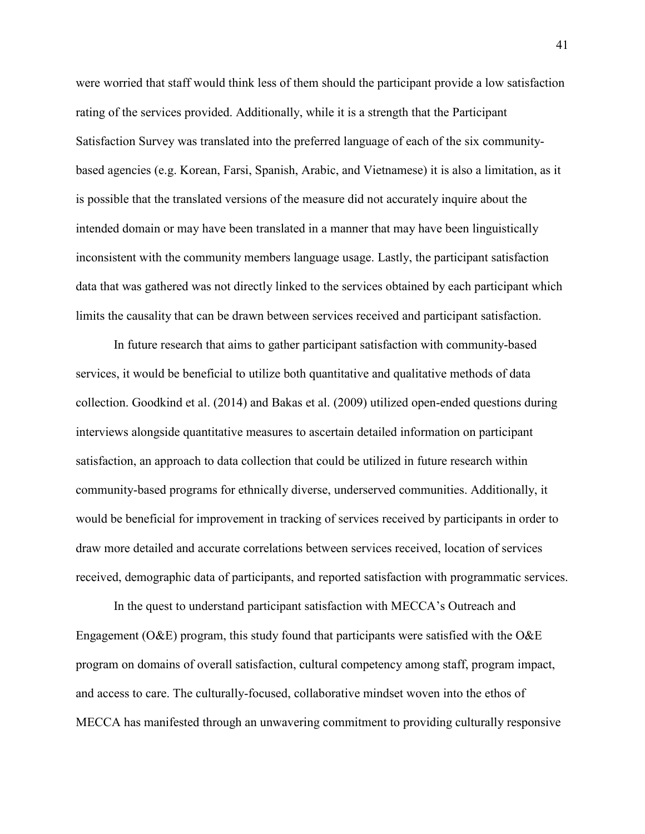were worried that staff would think less of them should the participant provide a low satisfaction rating of the services provided. Additionally, while it is a strength that the Participant Satisfaction Survey was translated into the preferred language of each of the six communitybased agencies (e.g. Korean, Farsi, Spanish, Arabic, and Vietnamese) it is also a limitation, as it is possible that the translated versions of the measure did not accurately inquire about the intended domain or may have been translated in a manner that may have been linguistically inconsistent with the community members language usage. Lastly, the participant satisfaction data that was gathered was not directly linked to the services obtained by each participant which limits the causality that can be drawn between services received and participant satisfaction.

In future research that aims to gather participant satisfaction with community-based services, it would be beneficial to utilize both quantitative and qualitative methods of data collection. Goodkind et al. (2014) and Bakas et al. (2009) utilized open-ended questions during interviews alongside quantitative measures to ascertain detailed information on participant satisfaction, an approach to data collection that could be utilized in future research within community-based programs for ethnically diverse, underserved communities. Additionally, it would be beneficial for improvement in tracking of services received by participants in order to draw more detailed and accurate correlations between services received, location of services received, demographic data of participants, and reported satisfaction with programmatic services.

In the quest to understand participant satisfaction with MECCA's Outreach and Engagement ( $O\&E$ ) program, this study found that participants were satisfied with the  $O\&E$ program on domains of overall satisfaction, cultural competency among staff, program impact, and access to care. The culturally-focused, collaborative mindset woven into the ethos of MECCA has manifested through an unwavering commitment to providing culturally responsive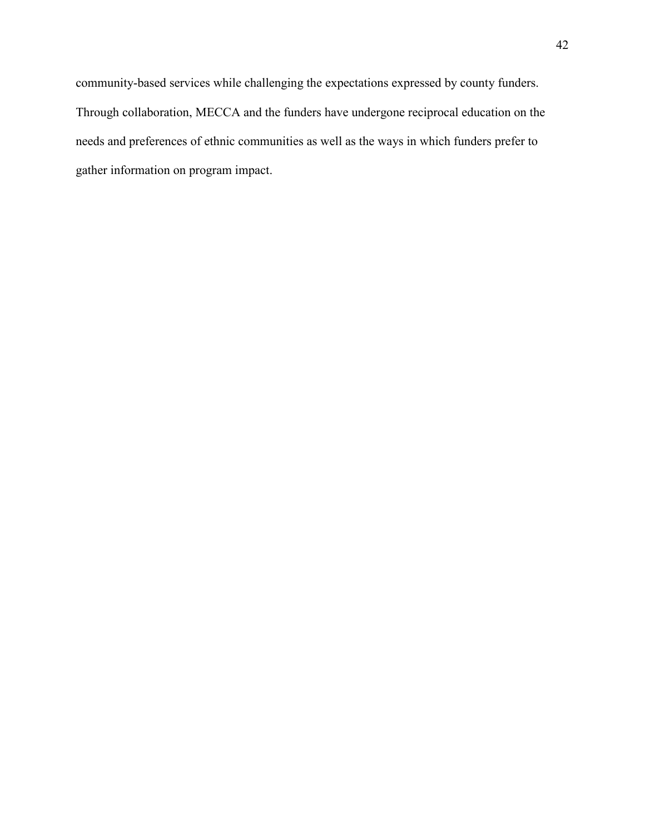community-based services while challenging the expectations expressed by county funders. Through collaboration, MECCA and the funders have undergone reciprocal education on the needs and preferences of ethnic communities as well as the ways in which funders prefer to gather information on program impact.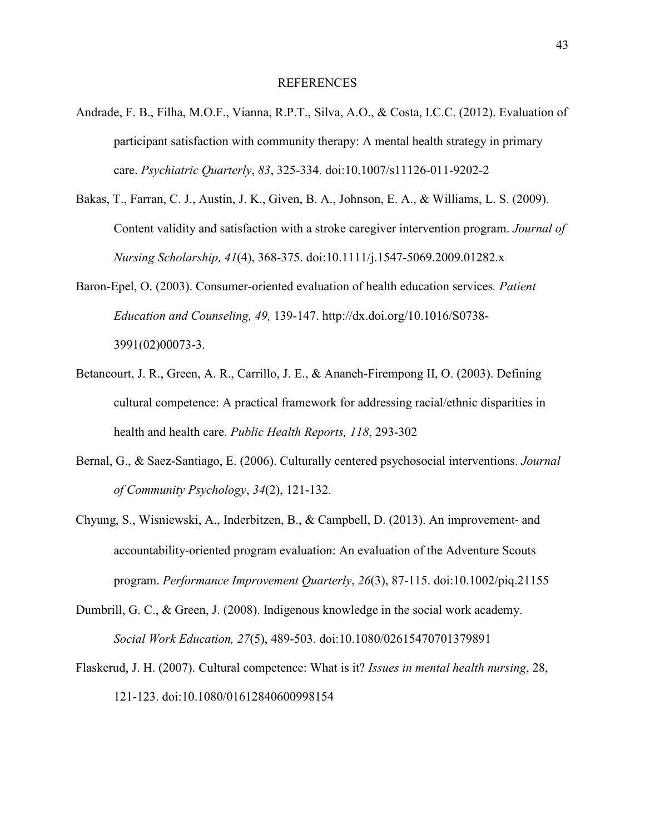- Andrade, F. B., Filha, M.O.F., Vianna, R.P.T., Silva, A.O., & Costa, I.C.C. (2012). Evaluation of participant satisfaction with community therapy: A mental health strategy in primary care. *Psychiatric Quarterly*, *83*, 325-334. doi:10.1007/s11126-011-9202-2
- Bakas, T., Farran, C. J., Austin, J. K., Given, B. A., Johnson, E. A., & Williams, L. S. (2009). Content validity and satisfaction with a stroke caregiver intervention program. *Journal of Nursing Scholarship, 41*(4), 368-375. doi:10.1111/j.1547-5069.2009.01282.x
- Baron-Epel, O. (2003). Consumer-oriented evaluation of health education services*. Patient Education and Counseling, 49,* 139-147. http://dx.doi.org/10.1016/S0738- 3991(02)00073-3.
- Betancourt, J. R., Green, A. R., Carrillo, J. E., & Ananeh-Firempong II, O. (2003). Defining cultural competence: A practical framework for addressing racial/ethnic disparities in health and health care. *Public Health Reports, 118*, 293-302
- Bernal, G., & Saez-Santiago, E. (2006). Culturally centered psychosocial interventions. *Journal of Community Psychology*, *34*(2), 121-132.
- Chyung, S., Wisniewski, A., Inderbitzen, B., & Campbell, D. (2013). An improvement- and accountability-oriented program evaluation: An evaluation of the Adventure Scouts program. *Performance Improvement Quarterly*, *26*(3), 87-115. doi:10.1002/piq.21155
- Dumbrill, G. C., & Green, J. (2008). Indigenous knowledge in the social work academy. *Social Work Education, 27*(5), 489-503. doi:10.1080/02615470701379891
- Flaskerud, J. H. (2007). Cultural competence: What is it? *Issues in mental health nursing*, 28, 121-123. doi:10.1080/01612840600998154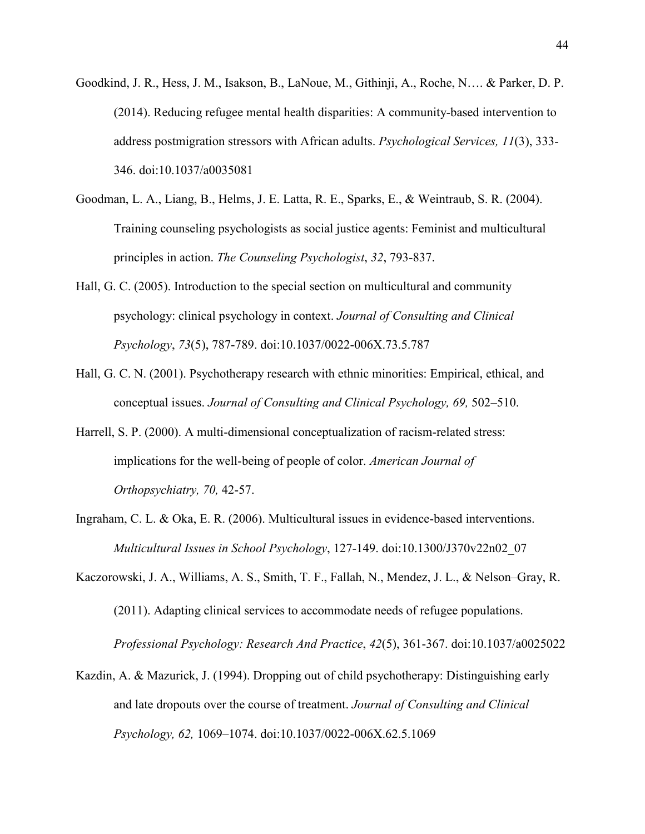- Goodkind, J. R., Hess, J. M., Isakson, B., LaNoue, M., Githinji, A., Roche, N…. & Parker, D. P. (2014). Reducing refugee mental health disparities: A community-based intervention to address postmigration stressors with African adults. *Psychological Services, 11*(3), 333- 346. doi:10.1037/a0035081
- Goodman, L. A., Liang, B., Helms, J. E. Latta, R. E., Sparks, E., & Weintraub, S. R. (2004). Training counseling psychologists as social justice agents: Feminist and multicultural principles in action. *The Counseling Psychologist*, *32*, 793-837.
- Hall, G. C. (2005). Introduction to the special section on multicultural and community psychology: clinical psychology in context. *Journal of Consulting and Clinical Psychology*, *73*(5), 787-789. doi:10.1037/0022-006X.73.5.787
- Hall, G. C. N. (2001). Psychotherapy research with ethnic minorities: Empirical, ethical, and conceptual issues. *Journal of Consulting and Clinical Psychology, 69,* 502–510.
- Harrell, S. P. (2000). A multi-dimensional conceptualization of racism-related stress: implications for the well-being of people of color. *American Journal of Orthopsychiatry, 70,* 42-57.
- Ingraham, C. L. & Oka, E. R. (2006). Multicultural issues in evidence-based interventions. *Multicultural Issues in School Psychology*, 127-149. doi:10.1300/J370v22n02\_07
- Kaczorowski, J. A., Williams, A. S., Smith, T. F., Fallah, N., Mendez, J. L., & Nelson–Gray, R. (2011). Adapting clinical services to accommodate needs of refugee populations. *Professional Psychology: Research And Practice*, *42*(5), 361-367. doi:10.1037/a0025022
- Kazdin, A. & Mazurick, J. (1994). Dropping out of child psychotherapy: Distinguishing early and late dropouts over the course of treatment. *Journal of Consulting and Clinical Psychology, 62,* 1069–1074. doi:10.1037/0022-006X.62.5.1069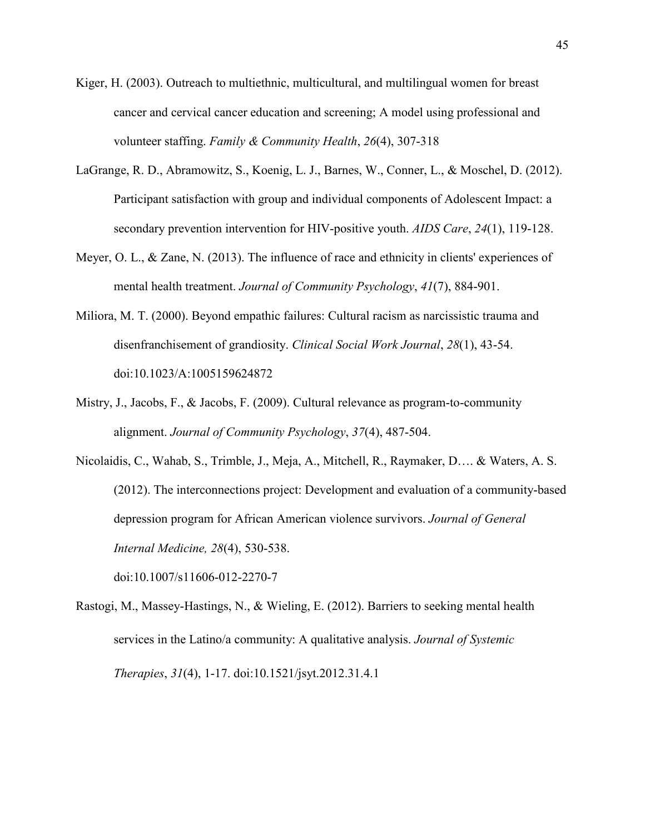- Kiger, H. (2003). Outreach to multiethnic, multicultural, and multilingual women for breast cancer and cervical cancer education and screening; A model using professional and volunteer staffing. *Family & Community Health*, *26*(4), 307-318
- LaGrange, R. D., Abramowitz, S., Koenig, L. J., Barnes, W., Conner, L., & Moschel, D. (2012). Participant satisfaction with group and individual components of Adolescent Impact: a secondary prevention intervention for HIV-positive youth. *AIDS Care*, *24*(1), 119-128.
- Meyer, O. L., & Zane, N. (2013). The influence of race and ethnicity in clients' experiences of mental health treatment. *Journal of Community Psychology*, *41*(7), 884-901.
- Miliora, M. T. (2000). Beyond empathic failures: Cultural racism as narcissistic trauma and disenfranchisement of grandiosity. *Clinical Social Work Journal*, *28*(1), 43-54. doi:10.1023/A:1005159624872
- Mistry, J., Jacobs, F., & Jacobs, F. (2009). Cultural relevance as program-to-community alignment. *Journal of Community Psychology*, *37*(4), 487-504.
- Nicolaidis, C., Wahab, S., Trimble, J., Meja, A., Mitchell, R., Raymaker, D…. & Waters, A. S. (2012). The interconnections project: Development and evaluation of a community-based depression program for African American violence survivors. *Journal of General Internal Medicine, 28*(4), 530-538.

doi:10.1007/s11606-012-2270-7

Rastogi, M., Massey-Hastings, N., & Wieling, E. (2012). Barriers to seeking mental health services in the Latino/a community: A qualitative analysis. *Journal of Systemic Therapies*, *31*(4), 1-17. doi:10.1521/jsyt.2012.31.4.1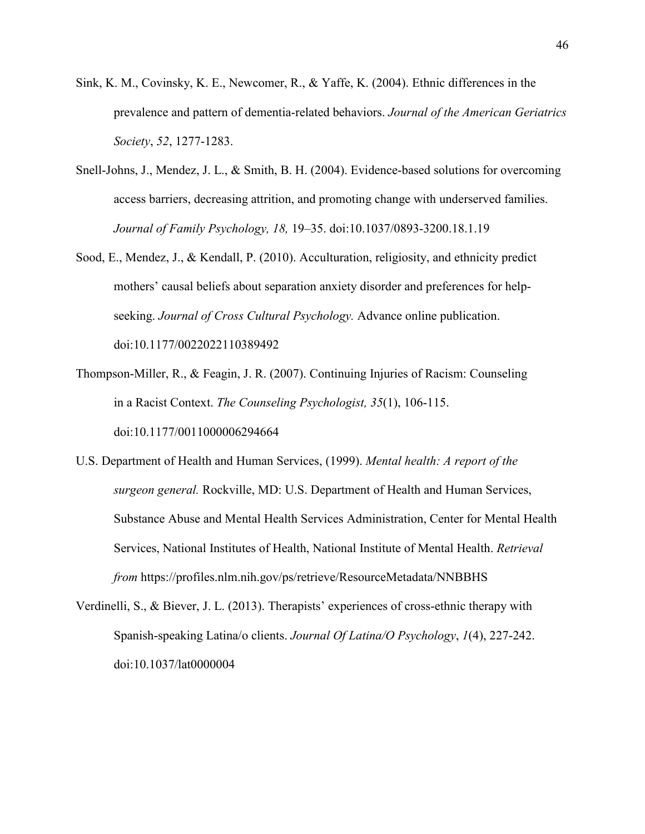- Sink, K. M., Covinsky, K. E., Newcomer, R., & Yaffe, K. (2004). Ethnic differences in the prevalence and pattern of dementia-related behaviors. *Journal of the American Geriatrics Society*, *52*, 1277-1283.
- Snell-Johns, J., Mendez, J. L., & Smith, B. H. (2004). Evidence-based solutions for overcoming access barriers, decreasing attrition, and promoting change with underserved families. *Journal of Family Psychology, 18,* 19–35. doi:10.1037/0893-3200.18.1.19
- Sood, E., Mendez, J., & Kendall, P. (2010). Acculturation, religiosity, and ethnicity predict mothers' causal beliefs about separation anxiety disorder and preferences for helpseeking. *Journal of Cross Cultural Psychology.* Advance online publication. doi:10.1177/0022022110389492
- Thompson-Miller, R., & Feagin, J. R. (2007). Continuing Injuries of Racism: Counseling in a Racist Context. *The Counseling Psychologist, 35*(1), 106-115. doi:10.1177/0011000006294664
- U.S. Department of Health and Human Services, (1999). *Mental health: A report of the surgeon general.* Rockville, MD: U.S. Department of Health and Human Services, Substance Abuse and Mental Health Services Administration, Center for Mental Health Services, National Institutes of Health, National Institute of Mental Health. *Retrieval from* https://profiles.nlm.nih.gov/ps/retrieve/ResourceMetadata/NNBBHS
- Verdinelli, S., & Biever, J. L. (2013). Therapists' experiences of cross-ethnic therapy with Spanish-speaking Latina/o clients. *Journal Of Latina/O Psychology*, *1*(4), 227-242. doi:10.1037/lat0000004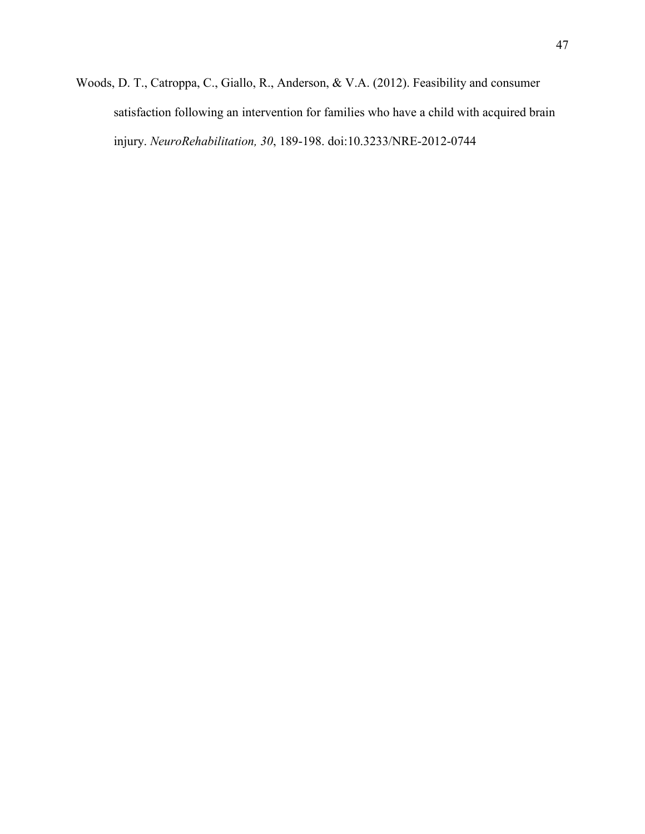Woods, D. T., Catroppa, C., Giallo, R., Anderson, & V.A. (2012). Feasibility and consumer satisfaction following an intervention for families who have a child with acquired brain injury. *NeuroRehabilitation, 30*, 189-198. doi:10.3233/NRE-2012-0744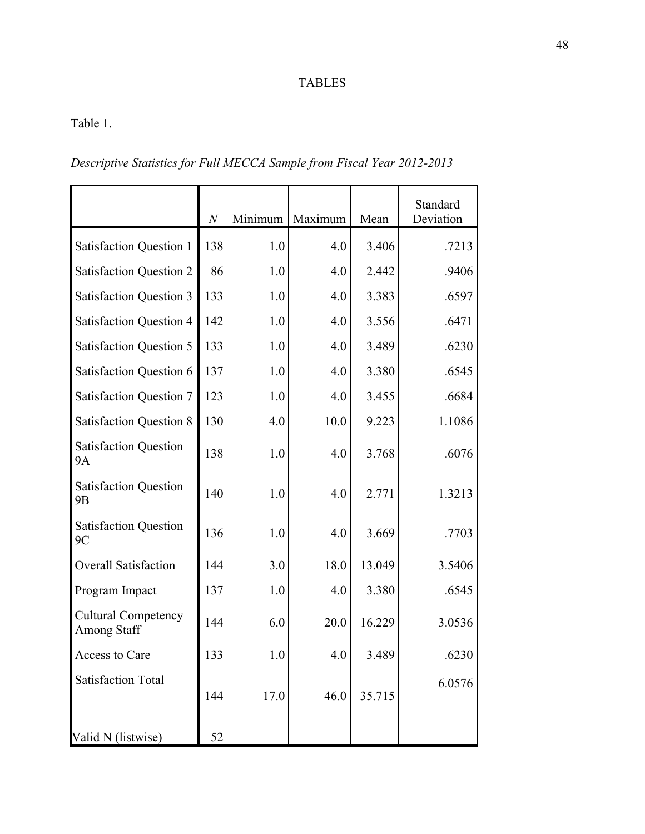# TABLES

Table 1.

*Descriptive Statistics for Full MECCA Sample from Fiscal Year 2012-2013*

|                                                  | $\boldsymbol{N}$ | Minimum | Maximum | Mean   | Standard<br>Deviation |
|--------------------------------------------------|------------------|---------|---------|--------|-----------------------|
| <b>Satisfaction Question 1</b>                   | 138              | 1.0     | 4.0     | 3.406  | .7213                 |
| <b>Satisfaction Question 2</b>                   | 86               | 1.0     | 4.0     | 2.442  | .9406                 |
| <b>Satisfaction Question 3</b>                   | 133              | 1.0     | 4.0     | 3.383  | .6597                 |
| <b>Satisfaction Question 4</b>                   | 142              | 1.0     | 4.0     | 3.556  | .6471                 |
| <b>Satisfaction Question 5</b>                   | 133              | 1.0     | 4.0     | 3.489  | .6230                 |
| <b>Satisfaction Question 6</b>                   | 137              | 1.0     | 4.0     | 3.380  | .6545                 |
| <b>Satisfaction Question 7</b>                   | 123              | 1.0     | 4.0     | 3.455  | .6684                 |
| <b>Satisfaction Question 8</b>                   | 130              | 4.0     | 10.0    | 9.223  | 1.1086                |
| <b>Satisfaction Question</b><br>9A               | 138              | 1.0     | 4.0     | 3.768  | .6076                 |
| <b>Satisfaction Question</b><br>9B               | 140              | 1.0     | 4.0     | 2.771  | 1.3213                |
| <b>Satisfaction Question</b><br>9C               | 136              | 1.0     | 4.0     | 3.669  | .7703                 |
| <b>Overall Satisfaction</b>                      | 144              | 3.0     | 18.0    | 13.049 | 3.5406                |
| Program Impact                                   | 137              | 1.0     | 4.0     | 3.380  | .6545                 |
| <b>Cultural Competency</b><br><b>Among Staff</b> | 144              | 6.0     | 20.0    | 16.229 | 3.0536                |
| Access to Care                                   | 133              | 1.0     | 4.0     | 3.489  | .6230                 |
| <b>Satisfaction Total</b>                        | 144              | 17.0    | 46.0    | 35.715 | 6.0576                |
| Valid N (listwise)                               | 52               |         |         |        |                       |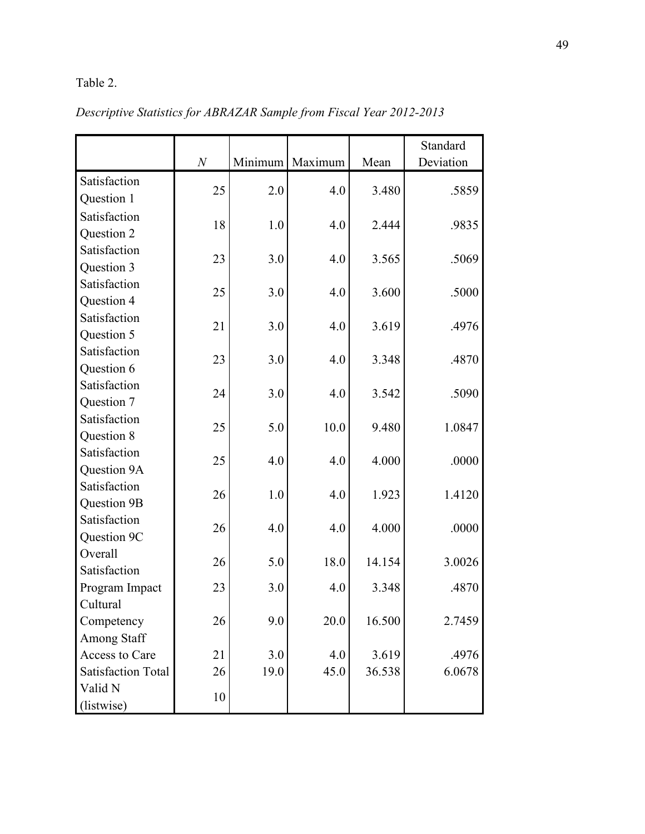# Table 2.

|                                                                                                                                                                                                                 | N                          |                                  | Minimum Maximum                   | Mean                                        | Standard<br>Deviation                       |
|-----------------------------------------------------------------------------------------------------------------------------------------------------------------------------------------------------------------|----------------------------|----------------------------------|-----------------------------------|---------------------------------------------|---------------------------------------------|
| Satisfaction                                                                                                                                                                                                    |                            |                                  |                                   |                                             |                                             |
| Question 1                                                                                                                                                                                                      | 25                         | 2.0                              | 4.0                               | 3.480                                       | .5859                                       |
| Satisfaction                                                                                                                                                                                                    |                            |                                  |                                   |                                             |                                             |
| Question 2                                                                                                                                                                                                      | 18                         | 1.0                              | 4.0                               | 2.444                                       | .9835                                       |
| Satisfaction                                                                                                                                                                                                    |                            |                                  |                                   |                                             |                                             |
| Question 3                                                                                                                                                                                                      | 23                         | 3.0                              | 4.0                               | 3.565                                       | .5069                                       |
| Satisfaction                                                                                                                                                                                                    |                            |                                  |                                   |                                             |                                             |
| Question 4                                                                                                                                                                                                      | 25                         | 3.0                              | 4.0                               | 3.600                                       | .5000                                       |
| Satisfaction                                                                                                                                                                                                    | 21                         | 3.0                              | 4.0                               | 3.619                                       | .4976                                       |
| Question 5                                                                                                                                                                                                      |                            |                                  |                                   |                                             |                                             |
| Satisfaction                                                                                                                                                                                                    | 23                         | 3.0                              | 4.0                               | 3.348                                       | .4870                                       |
| Question 6                                                                                                                                                                                                      |                            |                                  |                                   |                                             |                                             |
| Satisfaction                                                                                                                                                                                                    | 24                         | 3.0                              | 4.0                               | 3.542                                       | .5090                                       |
| Question 7                                                                                                                                                                                                      |                            |                                  |                                   |                                             |                                             |
| Satisfaction                                                                                                                                                                                                    | 25                         | 5.0                              | 10.0                              | 9.480                                       | 1.0847                                      |
| Question 8                                                                                                                                                                                                      |                            |                                  |                                   |                                             |                                             |
| Satisfaction                                                                                                                                                                                                    | 25                         | 4.0                              | 4.0                               | 4.000                                       | .0000                                       |
| Question 9A                                                                                                                                                                                                     |                            |                                  |                                   |                                             |                                             |
| Satisfaction                                                                                                                                                                                                    | 26                         | 1.0                              | 4.0                               | 1.923                                       | 1.4120                                      |
|                                                                                                                                                                                                                 |                            |                                  |                                   |                                             |                                             |
|                                                                                                                                                                                                                 |                            |                                  |                                   |                                             |                                             |
|                                                                                                                                                                                                                 |                            |                                  |                                   |                                             |                                             |
|                                                                                                                                                                                                                 | 26                         | 5.0                              | 18.0                              | 14.154                                      | 3.0026                                      |
|                                                                                                                                                                                                                 |                            |                                  |                                   |                                             |                                             |
|                                                                                                                                                                                                                 |                            |                                  |                                   |                                             |                                             |
|                                                                                                                                                                                                                 |                            |                                  |                                   |                                             |                                             |
|                                                                                                                                                                                                                 |                            |                                  |                                   |                                             |                                             |
|                                                                                                                                                                                                                 |                            |                                  |                                   |                                             |                                             |
|                                                                                                                                                                                                                 |                            |                                  |                                   |                                             |                                             |
|                                                                                                                                                                                                                 |                            |                                  |                                   |                                             |                                             |
|                                                                                                                                                                                                                 | 10                         |                                  |                                   |                                             |                                             |
| Question 9B<br>Satisfaction<br>Question 9C<br>Overall<br>Satisfaction<br>Program Impact<br>Cultural<br>Competency<br><b>Among Staff</b><br>Access to Care<br><b>Satisfaction Total</b><br>Valid N<br>(listwise) | 26<br>23<br>26<br>21<br>26 | 4.0<br>3.0<br>9.0<br>3.0<br>19.0 | 4.0<br>4.0<br>20.0<br>4.0<br>45.0 | 4.000<br>3.348<br>16.500<br>3.619<br>36.538 | .0000<br>.4870<br>2.7459<br>.4976<br>6.0678 |

*Descriptive Statistics for ABRAZAR Sample from Fiscal Year 2012-2013*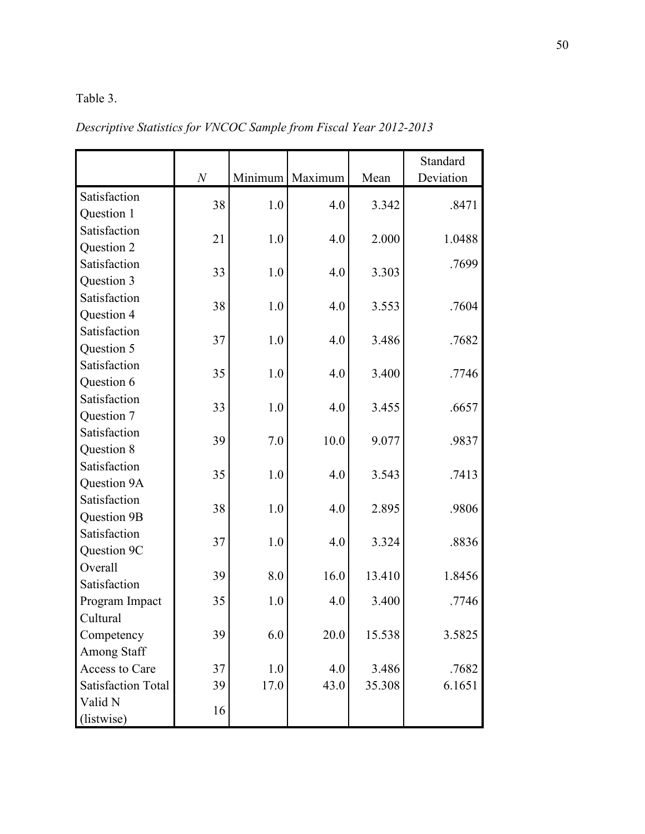### Table 3.

|                           |    |         |         |        | Standard  |
|---------------------------|----|---------|---------|--------|-----------|
|                           | N  | Minimum | Maximum | Mean   | Deviation |
| Satisfaction              | 38 | 1.0     | 4.0     | 3.342  | .8471     |
| Question 1                |    |         |         |        |           |
| Satisfaction              | 21 | 1.0     | 4.0     | 2.000  | 1.0488    |
| Question 2                |    |         |         |        |           |
| Satisfaction              | 33 | 1.0     | 4.0     | 3.303  | .7699     |
| Question 3                |    |         |         |        |           |
| Satisfaction              | 38 | 1.0     | 4.0     | 3.553  | .7604     |
| Question 4                |    |         |         |        |           |
| Satisfaction              | 37 |         |         |        |           |
| Question 5                |    | 1.0     | 4.0     | 3.486  | .7682     |
| Satisfaction              | 35 | 1.0     | 4.0     | 3.400  | .7746     |
| Question 6                |    |         |         |        |           |
| Satisfaction              | 33 |         |         |        |           |
| Question 7                |    | 1.0     | 4.0     | 3.455  | .6657     |
| Satisfaction              |    | 7.0     |         |        | .9837     |
| Question 8                | 39 |         | 10.0    | 9.077  |           |
| Satisfaction              | 35 |         | 4.0     |        |           |
| Question 9A               |    | 1.0     |         | 3.543  | .7413     |
| Satisfaction              | 38 | 1.0     | 4.0     | 2.895  | .9806     |
| Question 9B               |    |         |         |        |           |
| Satisfaction              |    |         |         |        |           |
| Question 9C               | 37 | 1.0     | 4.0     | 3.324  | .8836     |
| Overall                   | 39 | 8.0     | 16.0    |        | 1.8456    |
| Satisfaction              |    |         |         | 13.410 |           |
| Program Impact            | 35 | 1.0     | 4.0     | 3.400  | .7746     |
| Cultural                  |    |         |         |        |           |
| Competency                | 39 | 6.0     | 20.0    | 15.538 | 3.5825    |
| Among Staff               |    |         |         |        |           |
| Access to Care            | 37 | 1.0     | 4.0     | 3.486  | .7682     |
| <b>Satisfaction Total</b> | 39 | 17.0    | 43.0    | 35.308 | 6.1651    |
| Valid N                   |    |         |         |        |           |
| (listwise)                | 16 |         |         |        |           |

*Descriptive Statistics for VNCOC Sample from Fiscal Year 2012-2013*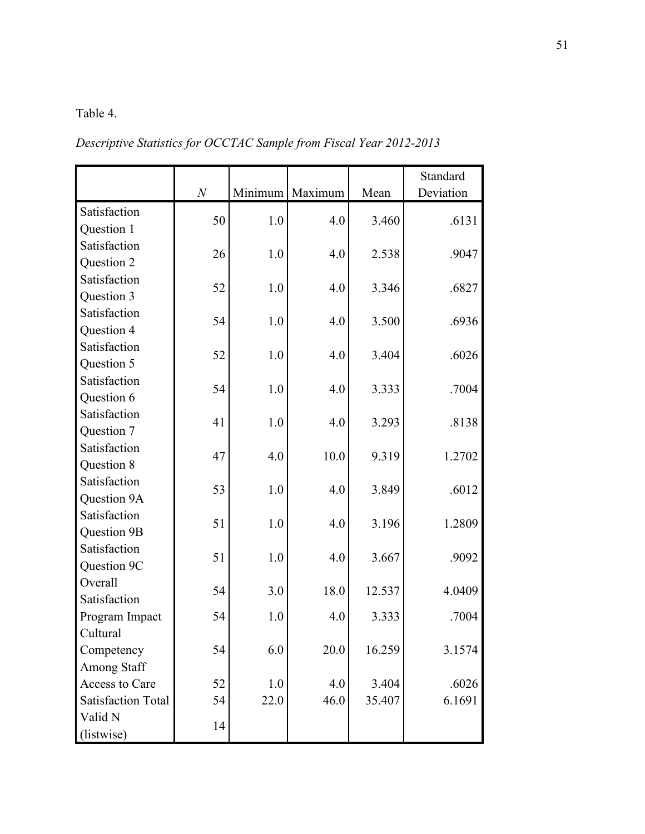# Table 4.

*Descriptive Statistics for OCCTAC Sample from Fiscal Year 2012-2013*

|                           | $\cal N$ | Minimum | Maximum | Mean   | Standard<br>Deviation |
|---------------------------|----------|---------|---------|--------|-----------------------|
| Satisfaction              |          |         |         |        |                       |
| Question 1                | 50       | 1.0     | 4.0     | 3.460  | .6131                 |
| Satisfaction              |          |         |         |        |                       |
| Question 2                | 26       | 1.0     | 4.0     | 2.538  | .9047                 |
| Satisfaction              |          |         |         |        |                       |
| Question 3                | 52       | 1.0     | 4.0     | 3.346  | .6827                 |
| Satisfaction              |          |         |         |        |                       |
| Question 4                | 54       | 1.0     | 4.0     | 3.500  | .6936                 |
| Satisfaction              |          |         |         |        |                       |
| Question 5                | 52       | 1.0     | 4.0     | 3.404  | .6026                 |
| Satisfaction              |          |         |         |        |                       |
| Question 6                | 54       | 1.0     | 4.0     | 3.333  | .7004                 |
| Satisfaction              |          |         |         |        |                       |
| Question 7                | 41       | 1.0     | 4.0     | 3.293  | .8138                 |
| Satisfaction              |          |         |         |        |                       |
| Question 8                | 47       | 4.0     | 10.0    | 9.319  | 1.2702                |
| Satisfaction              |          |         |         |        |                       |
| Question 9A               | 53       | 1.0     | 4.0     | 3.849  | .6012                 |
| Satisfaction              |          |         |         |        |                       |
| Question 9B               | 51       | 1.0     | 4.0     | 3.196  | 1.2809                |
| Satisfaction              |          |         |         |        |                       |
| Question 9C               | 51       | 1.0     | 4.0     | 3.667  | .9092                 |
| Overall                   |          |         |         |        |                       |
| Satisfaction              | 54       | 3.0     | 18.0    | 12.537 | 4.0409                |
| Program Impact            | 54       | 1.0     | 4.0     | 3.333  | .7004                 |
| Cultural                  |          |         |         |        |                       |
| Competency                | 54       | 6.0     | 20.0    | 16.259 | 3.1574                |
| <b>Among Staff</b>        |          |         |         |        |                       |
| Access to Care            | 52       | 1.0     | 4.0     | 3.404  | .6026                 |
| <b>Satisfaction Total</b> | 54       | 22.0    | 46.0    | 35.407 | 6.1691                |
| Valid N                   |          |         |         |        |                       |
| (listwise)                | 14       |         |         |        |                       |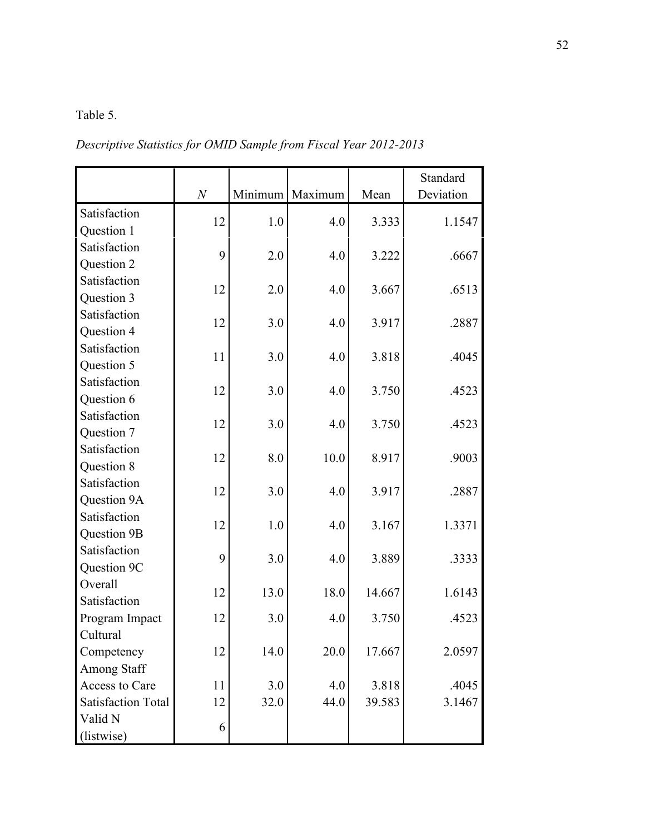### Table 5.

*Descriptive Statistics for OMID Sample from Fiscal Year 2012-2013*

|                           |          |      |                   |        | Standard  |
|---------------------------|----------|------|-------------------|--------|-----------|
|                           | $\cal N$ |      | Minimum   Maximum | Mean   | Deviation |
| Satisfaction              | 12       | 1.0  | 4.0               | 3.333  | 1.1547    |
| Question 1                |          |      |                   |        |           |
| Satisfaction              | 9        | 2.0  | 4.0               | 3.222  | .6667     |
| Question 2                |          |      |                   |        |           |
| Satisfaction              | 12       | 2.0  | 4.0               | 3.667  | .6513     |
| Question 3                |          |      |                   |        |           |
| Satisfaction              | 12       | 3.0  | 4.0               | 3.917  | .2887     |
| Question 4                |          |      |                   |        |           |
| Satisfaction              | 11       | 3.0  | 4.0               | 3.818  | .4045     |
| Question 5                |          |      |                   |        |           |
| Satisfaction              | 12       | 3.0  | 4.0               | 3.750  | .4523     |
| Question 6                |          |      |                   |        |           |
| Satisfaction              | 12       | 3.0  | 4.0               | 3.750  | .4523     |
| Question 7                |          |      |                   |        |           |
| Satisfaction              | 12       | 8.0  | 10.0              | 8.917  | .9003     |
| Question 8                |          |      |                   |        |           |
| Satisfaction              | 12       | 3.0  | 4.0               | 3.917  | .2887     |
| Question 9A               |          |      |                   |        |           |
| Satisfaction              | 12       | 1.0  | 4.0               | 3.167  | 1.3371    |
| Question 9B               |          |      |                   |        |           |
| Satisfaction              | 9        | 3.0  | 4.0               | 3.889  | .3333     |
| Question 9C               |          |      |                   |        |           |
| Overall                   | 12       | 13.0 | 18.0              | 14.667 | 1.6143    |
| Satisfaction              |          |      |                   |        |           |
| Program Impact            | 12       | 3.0  | 4.0               | 3.750  | .4523     |
| Cultural                  |          |      |                   |        |           |
| Competency                | 12       | 14.0 | 20.0              | 17.667 | 2.0597    |
| <b>Among Staff</b>        |          |      |                   |        |           |
| Access to Care            | 11       | 3.0  | 4.0               | 3.818  | .4045     |
| <b>Satisfaction Total</b> | 12       | 32.0 | 44.0              | 39.583 | 3.1467    |
| Valid N                   | 6        |      |                   |        |           |
| (listwise)                |          |      |                   |        |           |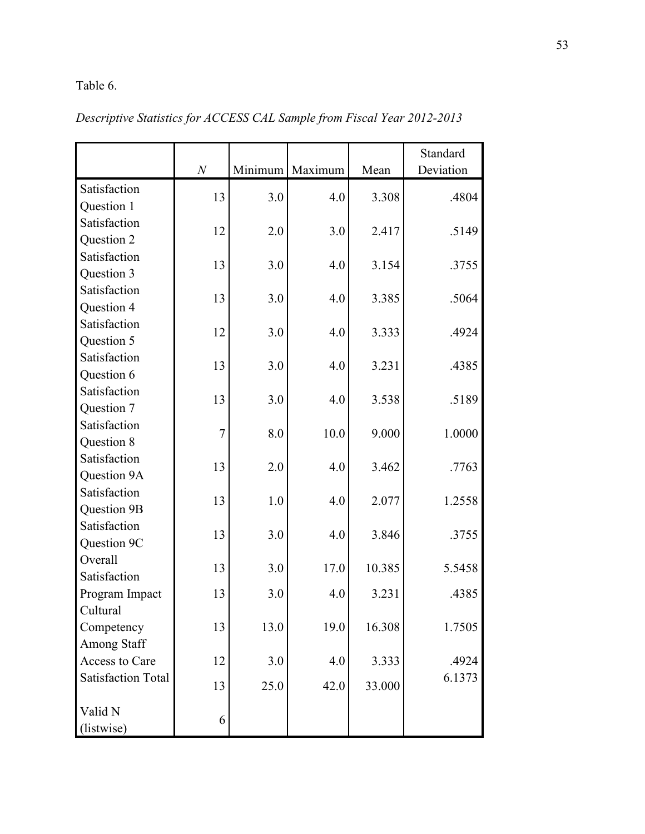# Table 6.

|                           |                  |         |         |        | Standard  |
|---------------------------|------------------|---------|---------|--------|-----------|
|                           | $\boldsymbol{N}$ | Minimum | Maximum | Mean   | Deviation |
| Satisfaction              | 13               | 3.0     | 4.0     | 3.308  | .4804     |
| Question 1                |                  |         |         |        |           |
| Satisfaction              | 12               | 2.0     | 3.0     | 2.417  | .5149     |
| Question 2                |                  |         |         |        |           |
| Satisfaction              | 13               | 3.0     | 4.0     | 3.154  | .3755     |
| Question 3                |                  |         |         |        |           |
| Satisfaction              | 13               | 3.0     | 4.0     | 3.385  | .5064     |
| Question 4                |                  |         |         |        |           |
| Satisfaction              | 12               | 3.0     | 4.0     | 3.333  | .4924     |
| Question 5                |                  |         |         |        |           |
| Satisfaction              | 13               | 3.0     | 4.0     | 3.231  | .4385     |
| Question 6                |                  |         |         |        |           |
| Satisfaction              | 13               | 3.0     | 4.0     | 3.538  | .5189     |
| Question 7                |                  |         |         |        |           |
| Satisfaction              | 7                | 8.0     | 10.0    | 9.000  | 1.0000    |
| Question 8                |                  |         |         |        |           |
| Satisfaction              | 13               | 2.0     | 4.0     | 3.462  | .7763     |
| Question 9A               |                  |         |         |        |           |
| Satisfaction              | 13               | 1.0     | 4.0     | 2.077  | 1.2558    |
| Question 9B               |                  |         |         |        |           |
| Satisfaction              | 13               | 3.0     | 4.0     | 3.846  | .3755     |
| Question 9C               |                  |         |         |        |           |
| Overall                   | 13               | 3.0     | 17.0    | 10.385 | 5.5458    |
| Satisfaction              |                  |         |         |        |           |
| Program Impact            | 13               | 3.0     | 4.0     | 3.231  | .4385     |
| Cultural                  |                  |         |         |        |           |
| Competency                | 13               | 13.0    | 19.0    | 16.308 | 1.7505    |
| <b>Among Staff</b>        |                  |         |         |        |           |
| Access to Care            | 12               | 3.0     | 4.0     | 3.333  | .4924     |
| <b>Satisfaction Total</b> | 13               | 25.0    | 42.0    | 33.000 | 6.1373    |
| Valid N                   |                  |         |         |        |           |
| (listwise)                | 6                |         |         |        |           |

*Descriptive Statistics for ACCESS CAL Sample from Fiscal Year 2012-2013*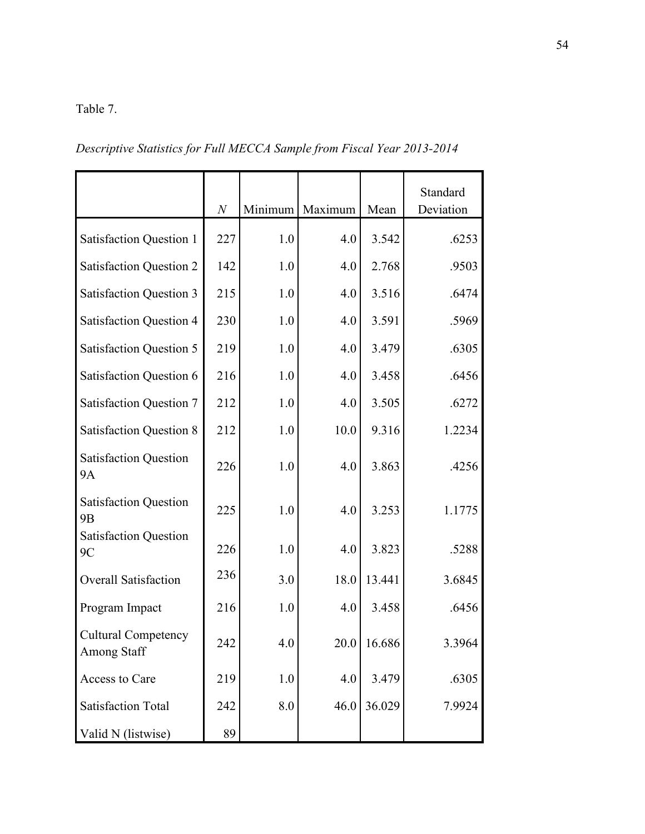### Table 7.

*Descriptive Statistics for Full MECCA Sample from Fiscal Year 2013-2014*

|                                                  | $\boldsymbol{N}$ | Minimum | Maximum | Mean   | Standard<br>Deviation |
|--------------------------------------------------|------------------|---------|---------|--------|-----------------------|
| <b>Satisfaction Question 1</b>                   | 227              | 1.0     | 4.0     | 3.542  | .6253                 |
| <b>Satisfaction Question 2</b>                   | 142              | 1.0     | 4.0     | 2.768  | .9503                 |
| <b>Satisfaction Question 3</b>                   | 215              | 1.0     | 4.0     | 3.516  | .6474                 |
| <b>Satisfaction Question 4</b>                   | 230              | 1.0     | 4.0     | 3.591  | .5969                 |
| <b>Satisfaction Question 5</b>                   | 219              | 1.0     | 4.0     | 3.479  | .6305                 |
| <b>Satisfaction Question 6</b>                   | 216              | 1.0     | 4.0     | 3.458  | .6456                 |
| <b>Satisfaction Question 7</b>                   | 212              | 1.0     | 4.0     | 3.505  | .6272                 |
| <b>Satisfaction Question 8</b>                   | 212              | 1.0     | 10.0    | 9.316  | 1.2234                |
| <b>Satisfaction Question</b><br><b>9A</b>        | 226              | 1.0     | 4.0     | 3.863  | .4256                 |
| <b>Satisfaction Question</b><br>9 <sub>B</sub>   | 225              | 1.0     | 4.0     | 3.253  | 1.1775                |
| <b>Satisfaction Question</b><br>9C               | 226              | 1.0     | 4.0     | 3.823  | .5288                 |
| <b>Overall Satisfaction</b>                      | 236              | 3.0     | 18.0    | 13.441 | 3.6845                |
| Program Impact                                   | 216              | 1.0     | 4.0     | 3.458  | .6456                 |
| <b>Cultural Competency</b><br><b>Among Staff</b> | 242              | 4.0     | 20.0    | 16.686 | 3.3964                |
| Access to Care                                   | 219              | 1.0     | 4.0     | 3.479  | .6305                 |
| <b>Satisfaction Total</b>                        | 242              | 8.0     | 46.0    | 36.029 | 7.9924                |
| Valid N (listwise)                               | 89               |         |         |        |                       |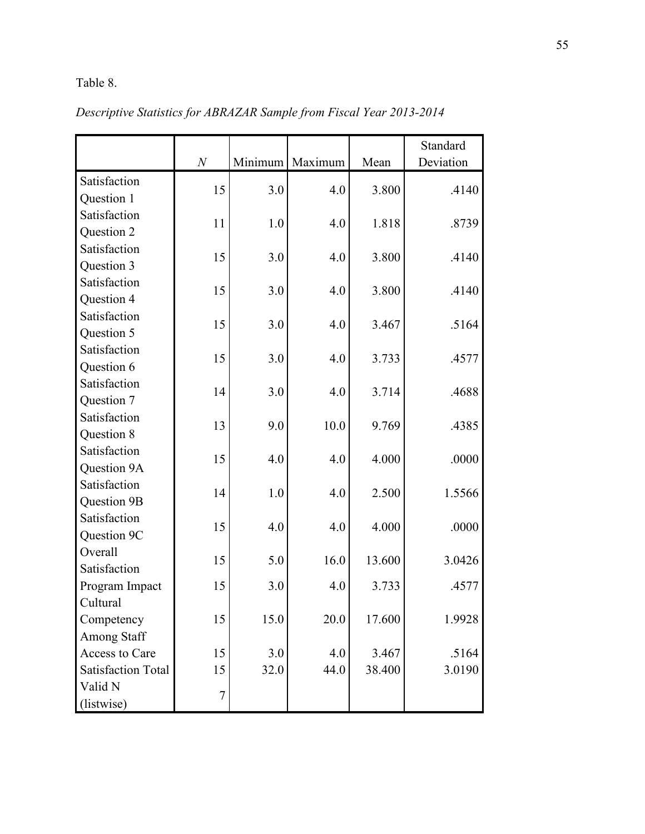# Table 8.

|                           | $\boldsymbol{N}$ | Minimum | Maximum | Mean   | Standard<br>Deviation |
|---------------------------|------------------|---------|---------|--------|-----------------------|
|                           |                  |         |         |        |                       |
| Satisfaction              | 15               | 3.0     | 4.0     | 3.800  | .4140                 |
| Question 1                |                  |         |         |        |                       |
| Satisfaction              | 11               | 1.0     | 4.0     | 1.818  | .8739                 |
| Question 2                |                  |         |         |        |                       |
| Satisfaction              | 15               | 3.0     | 4.0     | 3.800  | .4140                 |
| Question 3                |                  |         |         |        |                       |
| Satisfaction              | 15               | 3.0     | 4.0     | 3.800  | .4140                 |
| Question 4                |                  |         |         |        |                       |
| Satisfaction              | 15               | 3.0     | 4.0     | 3.467  | .5164                 |
| Question 5                |                  |         |         |        |                       |
| Satisfaction              | 15               | 3.0     | 4.0     | 3.733  | .4577                 |
| Question 6                |                  |         |         |        |                       |
| Satisfaction              | 14               | 3.0     | 4.0     | 3.714  | .4688                 |
| Question 7                |                  |         |         |        |                       |
| Satisfaction              | 13               |         | 10.0    | 9.769  |                       |
| Question 8                |                  | 9.0     |         |        | .4385                 |
| Satisfaction              | 15               |         |         | 4.000  |                       |
| Question 9A               |                  | 4.0     | 4.0     |        | .0000                 |
| Satisfaction              |                  |         |         |        |                       |
| Question 9B               | 14               | 1.0     | 4.0     | 2.500  | 1.5566                |
| Satisfaction              |                  |         |         |        |                       |
| Question 9C               | 15               | 4.0     | 4.0     | 4.000  | .0000                 |
| Overall                   |                  |         |         |        |                       |
| Satisfaction              | 15               | 5.0     | 16.0    | 13.600 | 3.0426                |
| Program Impact            | 15               | 3.0     | 4.0     | 3.733  | .4577                 |
| Cultural                  |                  |         |         |        |                       |
| Competency                | 15               | 15.0    | 20.0    | 17.600 | 1.9928                |
| Among Staff               |                  |         |         |        |                       |
| Access to Care            | 15               | 3.0     | 4.0     | 3.467  | .5164                 |
| <b>Satisfaction Total</b> | 15               | 32.0    | 44.0    | 38.400 | 3.0190                |
| Valid N                   |                  |         |         |        |                       |
| (listwise)                | 7                |         |         |        |                       |

*Descriptive Statistics for ABRAZAR Sample from Fiscal Year 2013-2014*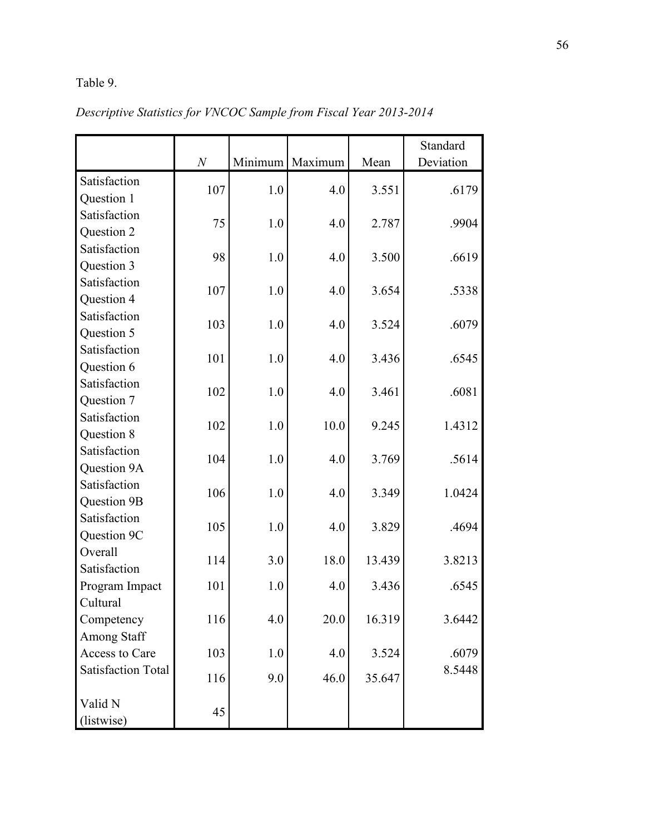# Table 9.

|                           | $\cal N$ | Minimum | Maximum | Mean   | Standard<br>Deviation |
|---------------------------|----------|---------|---------|--------|-----------------------|
| Satisfaction              |          |         |         |        |                       |
| Question 1                | 107      | 1.0     | 4.0     | 3.551  | .6179                 |
| Satisfaction              |          |         |         |        |                       |
| Question 2                | 75       | 1.0     | 4.0     | 2.787  | .9904                 |
| Satisfaction              |          |         |         |        |                       |
| Question 3                | 98       | 1.0     | 4.0     | 3.500  | .6619                 |
| Satisfaction              |          |         |         |        |                       |
| Question 4                | 107      | 1.0     | 4.0     | 3.654  | .5338                 |
| Satisfaction              |          |         |         |        |                       |
| Question 5                | 103      | 1.0     | 4.0     | 3.524  | .6079                 |
| Satisfaction              | 101      | 1.0     | 4.0     | 3.436  | .6545                 |
| Question 6                |          |         |         |        |                       |
| Satisfaction              | 102      | 1.0     | 4.0     | 3.461  | .6081                 |
| Question 7                |          |         |         |        |                       |
| Satisfaction              | 102      | 1.0     | 10.0    | 9.245  | 1.4312                |
| Question 8                |          |         |         |        |                       |
| Satisfaction              | 104      | 1.0     | 4.0     | 3.769  | .5614                 |
| Question 9A               |          |         |         |        |                       |
| Satisfaction              | 106      | 1.0     | 4.0     | 3.349  | 1.0424                |
| Question 9B               |          |         |         |        |                       |
| Satisfaction              | 105      | 1.0     | 4.0     | 3.829  | .4694                 |
| Question 9C               |          |         |         |        |                       |
| Overall                   | 114      | 3.0     | 18.0    | 13.439 | 3.8213                |
| Satisfaction              |          |         |         |        |                       |
| Program Impact            | 101      | 1.0     | 4.0     | 3.436  | .6545                 |
| Cultural                  |          |         |         |        |                       |
| Competency                | 116      | 4.0     | 20.0    | 16.319 | 3.6442                |
| Among Staff               |          |         |         |        |                       |
| Access to Care            | 103      | 1.0     | 4.0     | 3.524  | .6079                 |
| <b>Satisfaction Total</b> | 116      | 9.0     | 46.0    | 35.647 | 8.5448                |
| Valid N                   | 45       |         |         |        |                       |
| (listwise)                |          |         |         |        |                       |

*Descriptive Statistics for VNCOC Sample from Fiscal Year 2013-2014*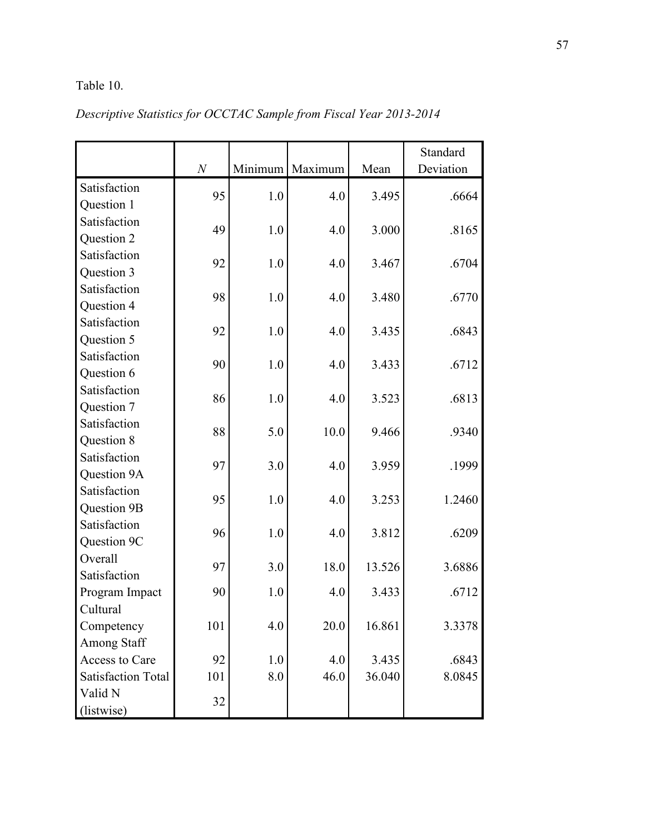# Table 10.

|                           |          |         |         |        | Standard  |
|---------------------------|----------|---------|---------|--------|-----------|
|                           | $\cal N$ | Minimum | Maximum | Mean   | Deviation |
| Satisfaction              | 95       | 1.0     | 4.0     | 3.495  | .6664     |
| Question 1                |          |         |         |        |           |
| Satisfaction              | 49       | 1.0     | 4.0     | 3.000  | .8165     |
| Question 2                |          |         |         |        |           |
| Satisfaction              | 92       | 1.0     | 4.0     | 3.467  | .6704     |
| Question 3                |          |         |         |        |           |
| Satisfaction              | 98       | 1.0     | 4.0     | 3.480  | .6770     |
| Question 4                |          |         |         |        |           |
| Satisfaction              | 92       | 1.0     | 4.0     | 3.435  | .6843     |
| Question 5                |          |         |         |        |           |
| Satisfaction              | 90       | 1.0     | 4.0     | 3.433  | .6712     |
| Question 6                |          |         |         |        |           |
| Satisfaction              | 86       | 1.0     | 4.0     | 3.523  | .6813     |
| Question 7                |          |         |         |        |           |
| Satisfaction              | 88       | 5.0     | 10.0    | 9.466  | .9340     |
| Question 8                |          |         |         |        |           |
| Satisfaction              | 97       | 3.0     | 4.0     | 3.959  | .1999     |
| Question 9A               |          |         |         |        |           |
| Satisfaction              | 95       | 1.0     | 4.0     | 3.253  | 1.2460    |
| Question 9B               |          |         |         |        |           |
| Satisfaction              | 96       | 1.0     | 4.0     | 3.812  | .6209     |
| Question 9C               |          |         |         |        |           |
| Overall                   | 97       | 3.0     | 18.0    | 13.526 | 3.6886    |
| Satisfaction              |          |         |         |        |           |
| Program Impact            | 90       | 1.0     | 4.0     | 3.433  | .6712     |
| Cultural                  |          |         |         |        |           |
| Competency                | 101      | 4.0     | 20.0    | 16.861 | 3.3378    |
| Among Staff               |          |         |         |        |           |
| Access to Care            | 92       | 1.0     | 4.0     | 3.435  | .6843     |
| <b>Satisfaction Total</b> | 101      | 8.0     | 46.0    | 36.040 | 8.0845    |
| Valid N                   | 32       |         |         |        |           |
| (listwise)                |          |         |         |        |           |

# *Descriptive Statistics for OCCTAC Sample from Fiscal Year 2013-2014*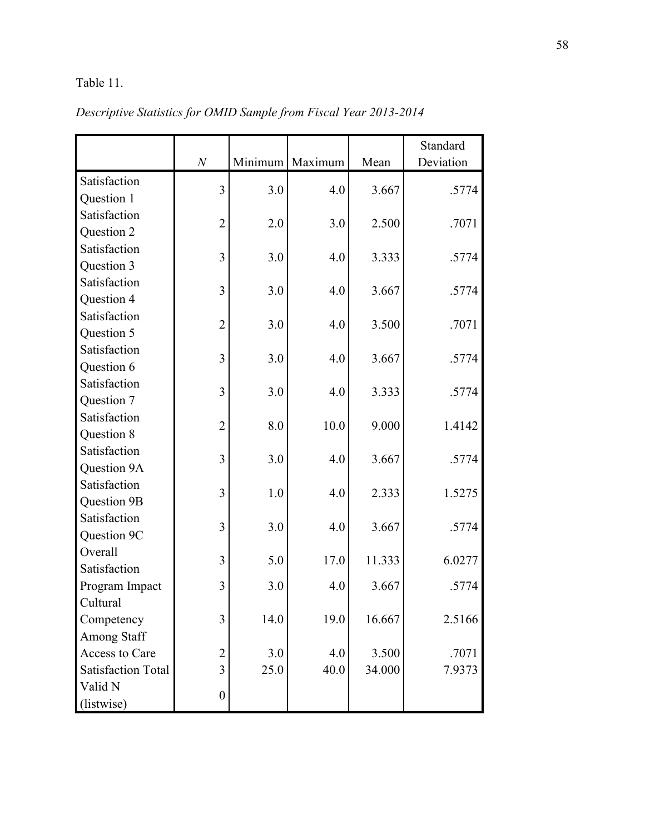# Table 11.

|                           | $\boldsymbol{N}$ |      | Minimum Maximum | Mean   | Standard<br>Deviation |
|---------------------------|------------------|------|-----------------|--------|-----------------------|
|                           |                  |      |                 |        |                       |
| Satisfaction              | $\overline{3}$   | 3.0  | 4.0             | 3.667  | .5774                 |
| Question 1                |                  |      |                 |        |                       |
| Satisfaction              | $\overline{2}$   | 2.0  | 3.0             | 2.500  | .7071                 |
| Question 2                |                  |      |                 |        |                       |
| Satisfaction              | 3                | 3.0  | 4.0             | 3.333  | .5774                 |
| Question 3                |                  |      |                 |        |                       |
| Satisfaction              | 3                | 3.0  | 4.0             | 3.667  | .5774                 |
| Question 4                |                  |      |                 |        |                       |
| Satisfaction              | $\overline{2}$   | 3.0  | 4.0             | 3.500  | .7071                 |
| Question 5                |                  |      |                 |        |                       |
| Satisfaction              | 3                | 3.0  | 4.0             | 3.667  | .5774                 |
| Question 6                |                  |      |                 |        |                       |
| Satisfaction              | 3                | 3.0  | 4.0             | 3.333  | .5774                 |
| Question 7                |                  |      |                 |        |                       |
| Satisfaction              | $\overline{2}$   | 8.0  | 10.0            | 9.000  | 1.4142                |
| Question 8                |                  |      |                 |        |                       |
| Satisfaction              | 3                | 3.0  | 4.0             | 3.667  | .5774                 |
| Question 9A               |                  |      |                 |        |                       |
| Satisfaction              | 3                |      |                 |        |                       |
| Question 9B               |                  | 1.0  | 4.0             | 2.333  | 1.5275                |
| Satisfaction              |                  |      |                 |        |                       |
| Question 9C               | 3                | 3.0  | 4.0             | 3.667  | .5774                 |
| Overall                   |                  |      |                 |        |                       |
| Satisfaction              | 3                | 5.0  | 17.0            | 11.333 | 6.0277                |
| Program Impact            | 3                | 3.0  | 4.0             | 3.667  | .5774                 |
| Cultural                  |                  |      |                 |        |                       |
| Competency                | 3                | 14.0 | 19.0            | 16.667 | 2.5166                |
| Among Staff               |                  |      |                 |        |                       |
| Access to Care            | $\overline{c}$   | 3.0  | 4.0             | 3.500  | .7071                 |
| <b>Satisfaction Total</b> | 3                | 25.0 | 40.0            | 34.000 | 7.9373                |
| Valid N                   |                  |      |                 |        |                       |
| (listwise)                | $\boldsymbol{0}$ |      |                 |        |                       |

*Descriptive Statistics for OMID Sample from Fiscal Year 2013-2014*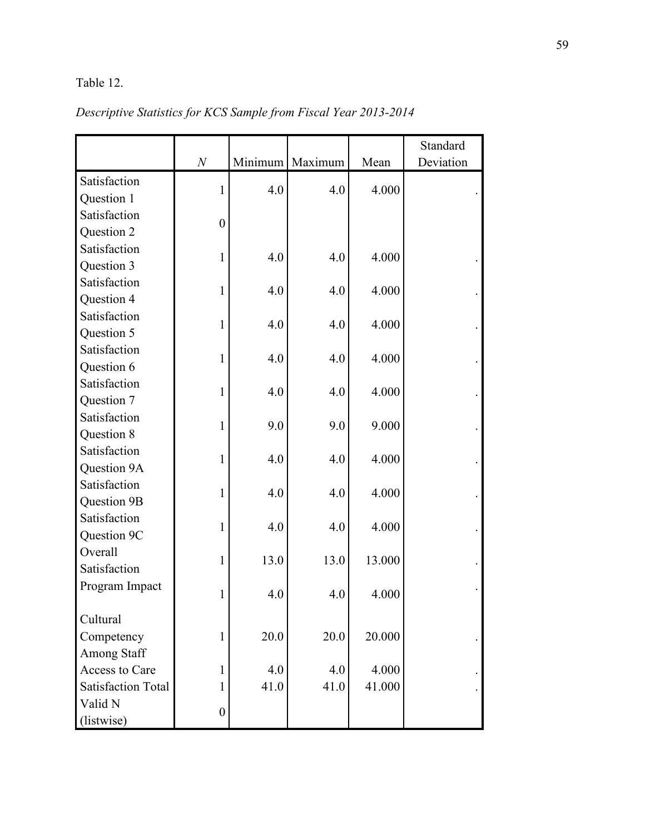### Table 12.

|                           |                  |         |         |        | Standard  |
|---------------------------|------------------|---------|---------|--------|-----------|
|                           | $\boldsymbol{N}$ | Minimum | Maximum | Mean   | Deviation |
| Satisfaction              | 1                | 4.0     | 4.0     | 4.000  |           |
| Question 1                |                  |         |         |        |           |
| Satisfaction              | $\boldsymbol{0}$ |         |         |        |           |
| Question 2                |                  |         |         |        |           |
| Satisfaction              | $\mathbf{1}$     | 4.0     | 4.0     | 4.000  |           |
| Question 3                |                  |         |         |        |           |
| Satisfaction              | 1                | 4.0     | 4.0     | 4.000  |           |
| Question 4                |                  |         |         |        |           |
| Satisfaction              | 1                | 4.0     | 4.0     | 4.000  |           |
| Question 5                |                  |         |         |        |           |
| Satisfaction              | $\mathbf{1}$     | 4.0     | 4.0     | 4.000  |           |
| Question 6                |                  |         |         |        |           |
| Satisfaction              | 1                | 4.0     | 4.0     | 4.000  |           |
| Question 7                |                  |         |         |        |           |
| Satisfaction              | 1                | 9.0     | 9.0     | 9.000  |           |
| Question 8                |                  |         |         |        |           |
| Satisfaction              | $\mathbf{1}$     | 4.0     | 4.0     | 4.000  |           |
| Question 9A               |                  |         |         |        |           |
| Satisfaction              | 1                | 4.0     | 4.0     | 4.000  |           |
| Question 9B               |                  |         |         |        |           |
| Satisfaction              | 1                | 4.0     | 4.0     | 4.000  |           |
| Question 9C               |                  |         |         |        |           |
| Overall                   | $\mathbf{1}$     | 13.0    | 13.0    | 13.000 |           |
| Satisfaction              |                  |         |         |        |           |
| Program Impact            | 1                | 4.0     | 4.0     | 4.000  |           |
| Cultural                  |                  |         |         |        |           |
| Competency                | $\mathbf{1}$     | 20.0    | 20.0    | 20.000 |           |
| Among Staff               |                  |         |         |        |           |
| Access to Care            | 1                | 4.0     | 4.0     | 4.000  |           |
| <b>Satisfaction Total</b> | 1                | 41.0    | 41.0    | 41.000 |           |
| Valid N                   |                  |         |         |        |           |
| (listwise)                | $\boldsymbol{0}$ |         |         |        |           |

# *Descriptive Statistics for KCS Sample from Fiscal Year 2013-2014*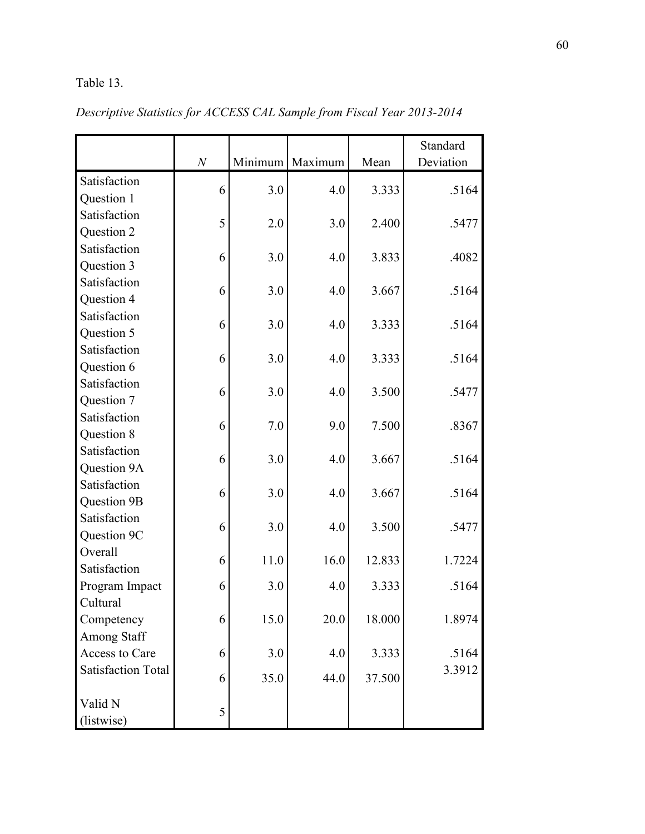# Table 13.

|                           | $\cal N$ | Minimum | Maximum | Mean   | Standard<br>Deviation |
|---------------------------|----------|---------|---------|--------|-----------------------|
| Satisfaction              |          |         |         |        |                       |
| Question 1                | 6        | 3.0     | 4.0     | 3.333  | .5164                 |
| Satisfaction              |          |         |         |        |                       |
| Question 2                | 5        | 2.0     | 3.0     | 2.400  | .5477                 |
| Satisfaction              |          |         |         |        |                       |
| Question 3                | 6        | 3.0     | 4.0     | 3.833  | .4082                 |
| Satisfaction              |          |         |         |        |                       |
| Question 4                | 6        | 3.0     | 4.0     | 3.667  | .5164                 |
| Satisfaction              | 6        | 3.0     | 4.0     | 3.333  | .5164                 |
| Question 5                |          |         |         |        |                       |
| Satisfaction              | 6        | 3.0     | 4.0     | 3.333  | .5164                 |
| Question 6                |          |         |         |        |                       |
| Satisfaction              | 6        | 3.0     | 4.0     | 3.500  | .5477                 |
| Question 7                |          |         |         |        |                       |
| Satisfaction              | 6        | 7.0     | 9.0     | 7.500  | .8367                 |
| Question 8                |          |         |         |        |                       |
| Satisfaction              | 6        | 3.0     | 4.0     | 3.667  | .5164                 |
| Question 9A               |          |         |         |        |                       |
| Satisfaction              | 6        | 3.0     | 4.0     | 3.667  | .5164                 |
| Question 9B               |          |         |         |        |                       |
| Satisfaction              | 6        | 3.0     | 4.0     | 3.500  | .5477                 |
| Question 9C               |          |         |         |        |                       |
| Overall                   | 6        | 11.0    | 16.0    | 12.833 | 1.7224                |
| Satisfaction              |          |         |         |        |                       |
| Program Impact            | 6        | 3.0     | 4.0     | 3.333  | .5164                 |
| Cultural                  |          |         |         |        |                       |
| Competency                | 6        | 15.0    | 20.0    | 18.000 | 1.8974                |
| Among Staff               |          |         |         |        |                       |
| Access to Care            | 6        | 3.0     | 4.0     | 3.333  | .5164                 |
| <b>Satisfaction Total</b> | 6        | 35.0    | 44.0    | 37.500 | 3.3912                |
| Valid N                   | 5        |         |         |        |                       |
| (listwise)                |          |         |         |        |                       |

*Descriptive Statistics for ACCESS CAL Sample from Fiscal Year 2013-2014*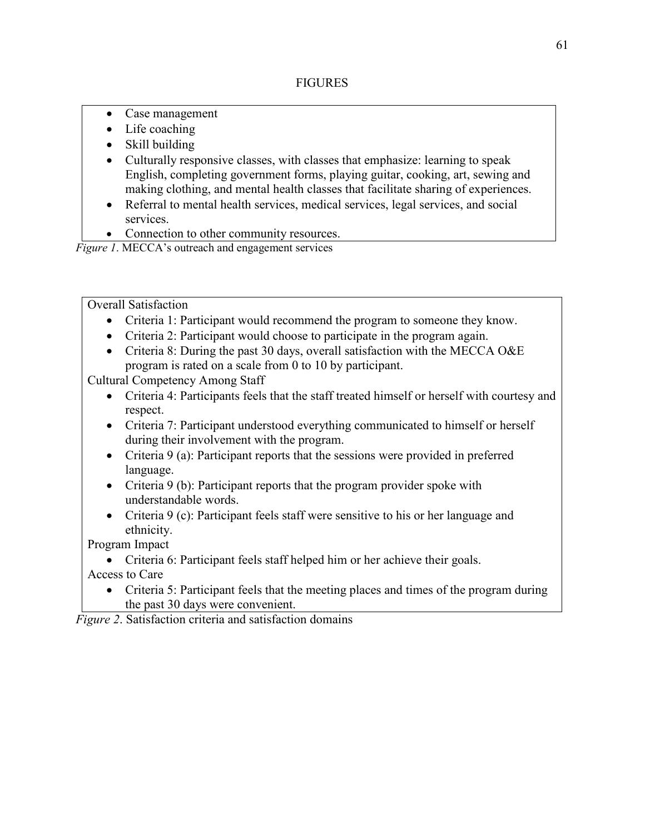- Case management
- Life coaching
- Skill building
- Culturally responsive classes, with classes that emphasize: learning to speak English, completing government forms, playing guitar, cooking, art, sewing and making clothing, and mental health classes that facilitate sharing of experiences.
- Referral to mental health services, medical services, legal services, and social services.
- Connection to other community resources.

*Figure 1*. MECCA's outreach and engagement services

Overall Satisfaction

- Criteria 1: Participant would recommend the program to someone they know.
- Criteria 2: Participant would choose to participate in the program again.
- Criteria 8: During the past 30 days, overall satisfaction with the MECCA O&E program is rated on a scale from 0 to 10 by participant.

Cultural Competency Among Staff

- Criteria 4: Participants feels that the staff treated himself or herself with courtesy and respect.
- Criteria 7: Participant understood everything communicated to himself or herself during their involvement with the program.
- Criteria 9 (a): Participant reports that the sessions were provided in preferred language.
- Criteria 9 (b): Participant reports that the program provider spoke with understandable words.
- Criteria 9 (c): Participant feels staff were sensitive to his or her language and ethnicity.

Program Impact

- Criteria 6: Participant feels staff helped him or her achieve their goals. Access to Care
	- Criteria 5: Participant feels that the meeting places and times of the program during the past 30 days were convenient.

*Figure 2*. Satisfaction criteria and satisfaction domains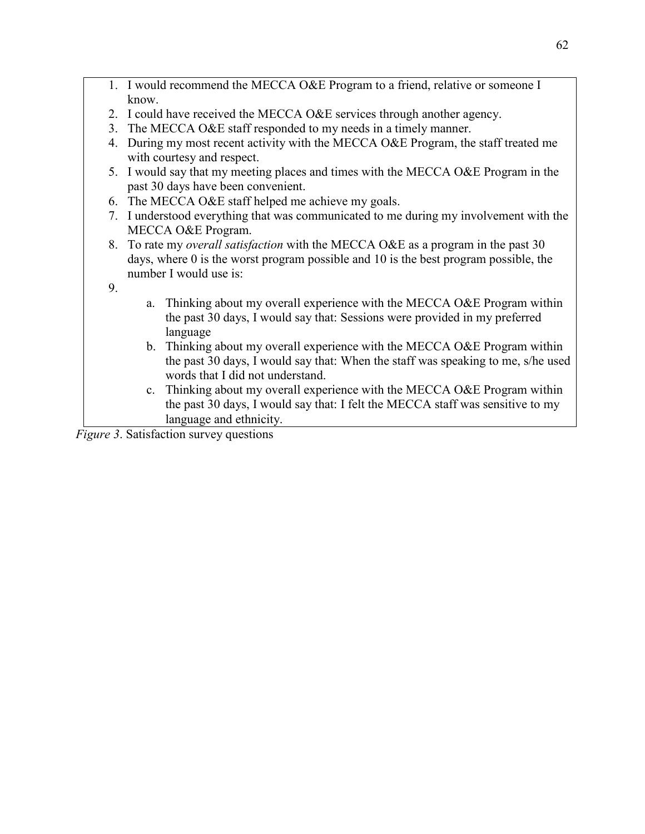- 1. I would recommend the MECCA O&E Program to a friend, relative or someone I know.
- 2. I could have received the MECCA O&E services through another agency.
- 3. The MECCA O&E staff responded to my needs in a timely manner.
- 4. During my most recent activity with the MECCA O&E Program, the staff treated me with courtesy and respect.
- 5. I would say that my meeting places and times with the MECCA O&E Program in the past 30 days have been convenient.
- 6. The MECCA O&E staff helped me achieve my goals.
- 7. I understood everything that was communicated to me during my involvement with the MECCA O&E Program.
- 8. To rate my *overall satisfaction* with the MECCA O&E as a program in the past 30 days, where 0 is the worst program possible and 10 is the best program possible, the number I would use is:

9.

- a. Thinking about my overall experience with the MECCA O&E Program within the past 30 days, I would say that: Sessions were provided in my preferred language
- b. Thinking about my overall experience with the MECCA O&E Program within the past 30 days, I would say that: When the staff was speaking to me, s/he used words that I did not understand.
- c. Thinking about my overall experience with the MECCA O&E Program within the past 30 days, I would say that: I felt the MECCA staff was sensitive to my language and ethnicity.

*Figure 3*. Satisfaction survey questions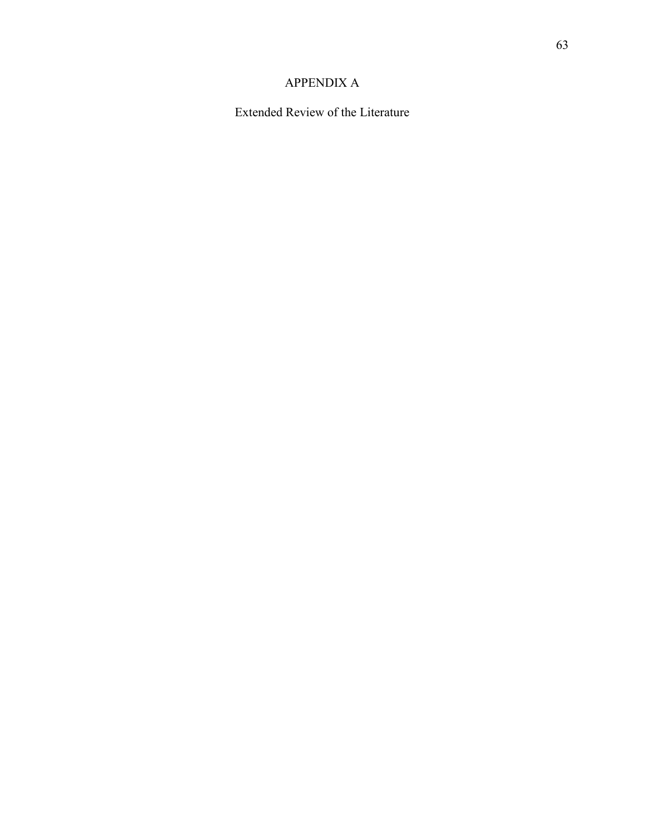## APPENDIX A

Extended Review of the Literature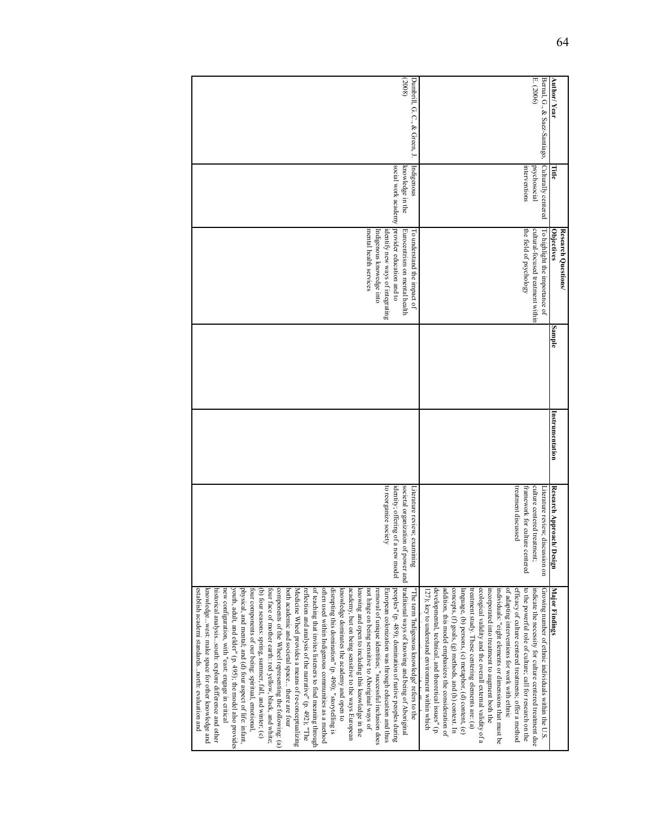| Author/Year                               | Title                                                 | Research Questions/<br>Objectives                                                                                                                                                   | Sample | Instrumentation | Research Approach/<br>Design                                                                                                        | <b>Major Findings</b>                                                                                                                                                                                                                                                                                                                                                                                                                                                                                                                                                                                                                                                                                                                                                                                                                                                                                                                                                                                                                                                                                                                                                                                                                                                                                                                                                                                                                                       |
|-------------------------------------------|-------------------------------------------------------|-------------------------------------------------------------------------------------------------------------------------------------------------------------------------------------|--------|-----------------|-------------------------------------------------------------------------------------------------------------------------------------|-------------------------------------------------------------------------------------------------------------------------------------------------------------------------------------------------------------------------------------------------------------------------------------------------------------------------------------------------------------------------------------------------------------------------------------------------------------------------------------------------------------------------------------------------------------------------------------------------------------------------------------------------------------------------------------------------------------------------------------------------------------------------------------------------------------------------------------------------------------------------------------------------------------------------------------------------------------------------------------------------------------------------------------------------------------------------------------------------------------------------------------------------------------------------------------------------------------------------------------------------------------------------------------------------------------------------------------------------------------------------------------------------------------------------------------------------------------|
| E. (2006)<br>Bernal, G., & Saez-Santiago, | Culturally centered<br>interventions<br>psychosocial  | the field of psychology<br>cultural-focused treatment within<br>To highlight the importance of                                                                                      |        |                 | treatment discussed<br>culture centered treatment;<br>framework for culture centered<br>Literature review; discussion on            | developmental, technical, and theoretical issues" (p.<br>addition, this model emphasizes the consideration of<br>concepts, (f) goals, (g) methods, and (h) context. In<br>treatment study. These centering elements are: (a)<br>ecological validity and the overall external validity of a<br>of adapting interventions for work with ethnic<br>efficacy of culture centered treatments; offer a method<br>to the powerful role of culture; call for research on the<br>indicate the necessity for culture centered treatment due<br>Growing number of ethnic individuals within the U.S.<br>language, (b) persons, (c) metaphor, (d) content, (e)<br>individuals: "eight elements or dimensions that must be<br>incorporated into treatment to augment both the<br>127); key to understand environment within which                                                                                                                                                                                                                                                                                                                                                                                                                                                                                                                                                                                                                                        |
| (2008)<br>Dumbrill, G. C., & Green, J.    | social work academy<br>knowledge in the<br>Indigenous | provider education and to<br>mental health services<br>identify new ways of integrating<br>Eurocentrism on mental health<br>Indigenous knowedge into<br>To understand the impact of |        |                 | to reorganize society<br>societal organization of power and<br>identity; offering of a<br>Literature review; examining<br>new model | components of the Wheel representing the following: (a)<br>of teaching that invites listeners to find meaning through<br>often used within Indigenous communities as a method<br>disrupting this domination" (p. 490); "storytelling is<br>traditional ways of knowing and being of Aboriginal<br>establish academi standardsnorth: evaluation and<br>new configuration, with "east: engage in critical<br>youth, adult, and elder" (p. 495); the model also provides<br>physical, and mental; and (d) four aspect of life: infant,<br>both academic and societal space there are four<br>reflection and analysis of the narrative" (p. 492); "The<br>knowledge dominates the academy and open to<br>academy, but on being sensitive to the ways European<br>knowing and open to including this knowledge in the<br>not hinge on being sensitive to Aboriginal ways of<br>removal of unique identities; "successful inclusion does<br>peoples" (p. 489); domination of native peoples during<br>knowledgewest: make space for other knowledge and<br>historical analysissouth: explore difference and other<br>(b) four seasons: spring, summer, fall, and winter; (c)<br>four face of mother earth: red yellow, black, and white;<br>Medicine Wheel provides a means of re-conceptualizing<br>four components of our being: spiritual, emotional.<br>European colonization was through education and thus<br>The term 'Indigenous knowledge' refers to the |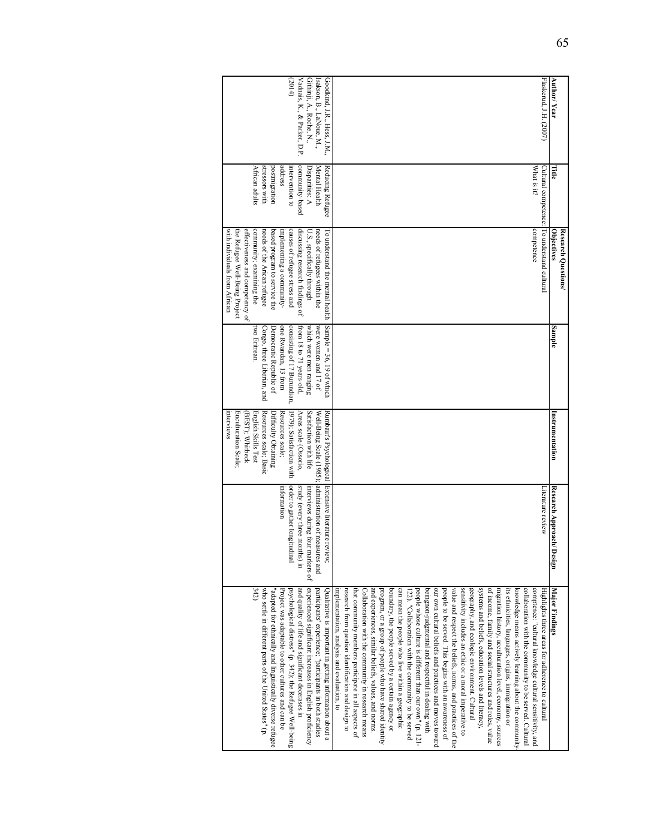| Goodkind, J.R., Hess, J.M.,<br>Flaskerud, J.H. (2007)<br>Vadnais, K., & Parker, D.P<br>(2014)<br>Githinji, A., Roche, N.,<br>Isakson, B., LaNoue, M.,                                                                                                                                                                                                                                                                                                                                                                                                                                                                                                                                                                                                                                                                                                                                                                                                                                                                                                                                                                                                                                                                                                                                                                                                                                                                                                                                                                                                                                                                                                                                                                                                                                                                                                                                | Author/Year                              |
|--------------------------------------------------------------------------------------------------------------------------------------------------------------------------------------------------------------------------------------------------------------------------------------------------------------------------------------------------------------------------------------------------------------------------------------------------------------------------------------------------------------------------------------------------------------------------------------------------------------------------------------------------------------------------------------------------------------------------------------------------------------------------------------------------------------------------------------------------------------------------------------------------------------------------------------------------------------------------------------------------------------------------------------------------------------------------------------------------------------------------------------------------------------------------------------------------------------------------------------------------------------------------------------------------------------------------------------------------------------------------------------------------------------------------------------------------------------------------------------------------------------------------------------------------------------------------------------------------------------------------------------------------------------------------------------------------------------------------------------------------------------------------------------------------------------------------------------------------------------------------------------|------------------------------------------|
| stressors with<br>address<br>community-based<br>African adults<br>postmigration<br>Mental Health<br>Reducing Refugee<br>What is it?<br>intervention to<br>Disparities: A                                                                                                                                                                                                                                                                                                                                                                                                                                                                                                                                                                                                                                                                                                                                                                                                                                                                                                                                                                                                                                                                                                                                                                                                                                                                                                                                                                                                                                                                                                                                                                                                                                                                                                             | Πtie                                     |
| Cultural competence: To understand cultural<br>competence<br>effectiveness and competency of<br>communty; examming the<br>the Refugee Well-Being Project<br>needs of the Arican refugee<br>based program to service the<br>causes of refugee stress and<br>discussing research findings of<br>needs of refugees within the<br>with individuals from African<br>implementing a community-<br>U.S., specifically through<br>I'o understand the mental health                                                                                                                                                                                                                                                                                                                                                                                                                                                                                                                                                                                                                                                                                                                                                                                                                                                                                                                                                                                                                                                                                                                                                                                                                                                                                                                                                                                                                           | Research Questions/<br><b>Objectives</b> |
| Sample = $36, 19$ of which<br>consisting of 17 Burundian,<br>were women and 17 of<br>Congo, three Liberian, and<br>one Rwandan, 13 from<br>which were men ranging<br>from 18 to 71 years-old,<br>two Eritrean.<br>Democratic Republic of                                                                                                                                                                                                                                                                                                                                                                                                                                                                                                                                                                                                                                                                                                                                                                                                                                                                                                                                                                                                                                                                                                                                                                                                                                                                                                                                                                                                                                                                                                                                                                                                                                             | Sample                                   |
| Resources scale; Basic<br>Satisfaction with life<br>Enculturation Scale;<br>English Skills Test<br>Resources scale;<br>Rumbaut's Psychological<br><b>Interviews</b><br>(BEST); Whitbeck<br>Well-Being Scale (1985);<br>Difficulty Obtaining<br>1979); Satisfaction with<br>Areas scale (Ossorio,                                                                                                                                                                                                                                                                                                                                                                                                                                                                                                                                                                                                                                                                                                                                                                                                                                                                                                                                                                                                                                                                                                                                                                                                                                                                                                                                                                                                                                                                                                                                                                                     | Instrumentation                          |
| administration of measures and<br>Extensive literature review;<br>order to gather longitudinal<br>study (every three months) in<br>Literature review<br>interviews during four markers of<br>information                                                                                                                                                                                                                                                                                                                                                                                                                                                                                                                                                                                                                                                                                                                                                                                                                                                                                                                                                                                                                                                                                                                                                                                                                                                                                                                                                                                                                                                                                                                                                                                                                                                                             | Research Approach/<br>Design             |
| 342<br>experienced significant increases in English proficiency<br>collaboration with the community to be served. Cultural<br>who settle in different parts of the United States" (p.<br>and quality of life and significant decerases in<br>and experiences, similar beliefs, values, and norms<br>program, or a group of people who have shared identity<br>boundary, the people served by a certain agency or<br>can mean the people who live within a geographic<br>people whose culture is different than our own" (p. 121-<br>beingnon-judgmental and respectful in dealing with<br>our own cultural beliefs and practices and moves toward<br>people to be served. This begins with an awareness of<br>sensitivity includes an ethic or a moral imperative to<br>geography, and ecologic environment. Cultural<br>systems and beliefs, education levels and literacy,<br>of income, family and social structures and roles, value<br>migration history, acculturation level, economy, sources<br>its ethnicities, languages, origins, immigration or<br>knowledge means actively learning about the community<br>comptence: "cultural knowledge cultural sensitivity, and<br>"adapted for ethnically and linguistically diverse refugee<br>psychological distress" (p. 342); the Refugee Well-being<br>implementation, analysis and evaluation, to<br>that community members participate in all aspects of<br>value and respect the beliefs, norms, and practices of the<br>Highlights three areas for adherence to cultural<br>Project was adaptable to other cultures and can be<br>Qualitative is important in getting information about a<br>Collaboration with the community in research means<br>122). "Collaboration with the community to be served<br>participants' experience; "participants in both studies<br>research from question identification and design to | Major Findings                           |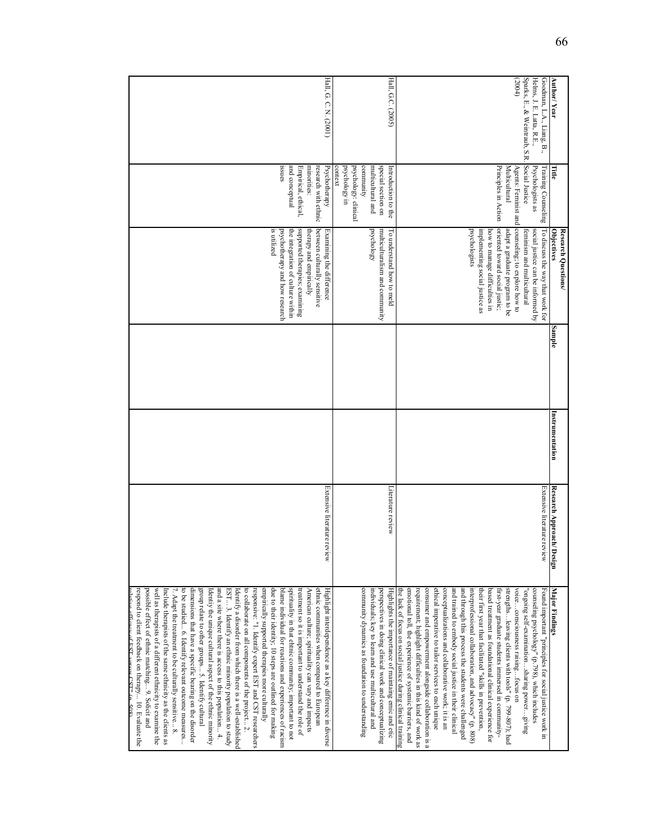|                                                        |                                                     | Research Questions/                                                   |        |                 |                              |                                                                                                                         |
|--------------------------------------------------------|-----------------------------------------------------|-----------------------------------------------------------------------|--------|-----------------|------------------------------|-------------------------------------------------------------------------------------------------------------------------|
| Author/Year                                            | Eitle                                               | <b>Objectives</b>                                                     | Sample | Instrumentation | Research Approach/<br>Design | <b>Major Findings</b>                                                                                                   |
| Helms, J. E. Latta, R.E.,<br>Goodman, L.A., Liang, B., | Psychologists as<br>Training Counseling             | social justice can be informed by<br>To discuss the way that work for |        |                 | Extensive literature review  | counseling psychology" (p.798), which includes<br>Found important "principles for social justice work in                |
| Sparks, E., & Weintraub, S.R.<br>(2004)                | Social Justice<br>Agents: Feminist and              | counseling, to explore how to<br>feminism and multicultural           |        |                 |                              | voiceconsciousness raisingtocus on<br>'ongoing self-examinationsharing powergiving                                      |
|                                                        | Multicultural<br>Principles in Action               | oriented toward social justic;<br>adapt a graduate program to be      |        |                 |                              | strengthsleaving clients with tools" (p. 799-807); had<br>first-year graduate students immersed in community-           |
|                                                        |                                                     | implementing social justice as<br>how to manage difficulties in       |        |                 |                              | based treatment as foundational clinical experience for<br>their first year that facilitated "skills in prevention,     |
|                                                        |                                                     | psychologists                                                         |        |                 |                              | interprofessional collaboration, and advocacy" (p. 808)                                                                 |
|                                                        |                                                     |                                                                       |        |                 |                              | and trained to embody social justice in their clinical<br>and through this process the students were challenged         |
|                                                        |                                                     |                                                                       |        |                 |                              | ethical imperative to tailor services to each unique<br>conceptualizations and collaborative work; it is an             |
|                                                        |                                                     |                                                                       |        |                 |                              | consumer and empowerment alongside collaboration is a                                                                   |
|                                                        |                                                     |                                                                       |        |                 |                              | emotional toll, the experience of systemic barriers, and<br>requirement; highlight difficulties in this kind of work as |
|                                                        |                                                     |                                                                       |        |                 |                              | the lack of focus on social justice during clinical training                                                            |
| Hall, G.C. (2005)                                      | special section on<br>Introduction to the           | multiculturalism and community<br>To understand how to meld           |        |                 | Literature review            | perspectives in doing clinical work and conceptualizing<br>Highlights the importance of maintaing emic and etic         |
|                                                        | community<br>multicultural and                      | psychology                                                            |        |                 |                              | community dynamics as foundation to understanding<br>individuals; key to learn and use multicultural and                |
|                                                        | context<br>ur vgolodovgy in<br>psychology: clinical |                                                                       |        |                 |                              |                                                                                                                         |
| Hall, G. C. N. (2001)                                  | research with ethnic<br>Psychotherapy               | between culturally sensitive<br>Examining the difference              |        |                 | Extensive literature review  | ethnic communities when compared to European<br>Highlight interdependence as a key difference in diverse                |
|                                                        | minorities:                                         | therapy and empirically                                               |        |                 |                              | American culture; spirituality can vary and impacts                                                                     |
|                                                        | and conceptual<br>Empirical, ethical,               | supported therapies; examining<br>the integration of culture within   |        |                 |                              | spirituality in that ehtnic community; important to not<br>treatment so it is important to understand the role of       |
|                                                        | saues                                               | psychotherapy and how research                                        |        |                 |                              | blame individual for reactions and experiences of racism                                                                |
|                                                        |                                                     | is utilized                                                           |        |                 |                              | empirically supported therapies more culturally<br>due to their identity; 10 steps are outlined for making              |
|                                                        |                                                     |                                                                       |        |                 |                              | responsive: "1. Identify expert EST and CST researchers                                                                 |
|                                                        |                                                     |                                                                       |        |                 |                              | Identify a disorder from which there is a well-established<br>to collaborate on all components of the project 2.        |
|                                                        |                                                     |                                                                       |        |                 |                              | EST 3. Identify an ethnic minority population to study                                                                  |
|                                                        |                                                     |                                                                       |        |                 |                              | and a site where there is access to this population 4.<br>Identiy the unique cultural aspect of the ethnic minority     |
|                                                        |                                                     |                                                                       |        |                 |                              | group relate to other groups 5. Identify cultural                                                                       |
|                                                        |                                                     |                                                                       |        |                 |                              | dimensions that have a specific bearing on the disorder                                                                 |
|                                                        |                                                     |                                                                       |        |                 |                              | 7. Adapt the treatment to be culturally sensitive 8.<br>to be studied 6. Identify relevant outcome measures             |
|                                                        |                                                     |                                                                       |        |                 |                              | Include therapists of the same ethnicity as the clients as                                                              |
|                                                        |                                                     |                                                                       |        |                 |                              | possible effect of ethnic matching 9. Solicit and<br>well as therapists of a different ethnicity to examine the         |
|                                                        |                                                     |                                                                       |        |                 |                              | respond to client feedback on therapy 10. Evaluate the                                                                  |
|                                                        |                                                     |                                                                       |        |                 |                              | $\Delta$ lative efficacy of EST versus CST" (n. 508)                                                                    |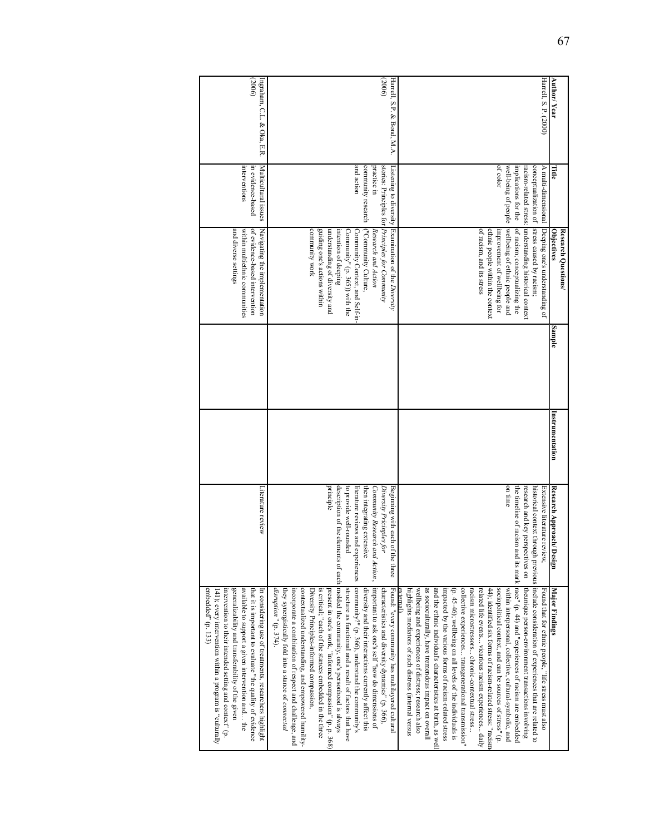| generalizability and transferability of the given<br>available to support a given intervention and the<br>embedded" (p. 133)<br>intervention to their intended setting and context" (p.<br>that it is important to evaluate "the quality of evidence<br>In considering use of treatments, researchers highlight<br>141); every intervention within a program is "culturally                                                                                                                                                                                                                                                                                                                                                                                                                                                                                                                                                                                                                                                        | Literature review                                                                                                                                                        |                 |        | and diverse settings<br>within multiethnic communities<br>of evidence-based intervention<br>Navigating the implementation                                                                                                                                                                                                                     | Multicultural issues<br>interventions<br>in evidence-based                                              | (2006)<br>Ingraham, C.L. & Oka, E.R. |
|------------------------------------------------------------------------------------------------------------------------------------------------------------------------------------------------------------------------------------------------------------------------------------------------------------------------------------------------------------------------------------------------------------------------------------------------------------------------------------------------------------------------------------------------------------------------------------------------------------------------------------------------------------------------------------------------------------------------------------------------------------------------------------------------------------------------------------------------------------------------------------------------------------------------------------------------------------------------------------------------------------------------------------|--------------------------------------------------------------------------------------------------------------------------------------------------------------------------|-----------------|--------|-----------------------------------------------------------------------------------------------------------------------------------------------------------------------------------------------------------------------------------------------------------------------------------------------------------------------------------------------|---------------------------------------------------------------------------------------------------------|--------------------------------------|
| description of the elements of each molded the community, one's personhood is always<br>Community Research and Action,   important to ask one's self"how do dimensions of<br>community?" (p. 366), understand the community's<br>disruption" (p. 374).<br>incorporate a combination of respect and challenge, and<br>contextualized understanding, and empowered humility-<br>is critical; "each of the stances embedded in the three<br>present in one's work, "informed compassion" (p. p. 368)<br>structure as functional and a result of factors that have<br>diversity and their interactions currently affect this<br>characteristics and diversity dynamics" (p. 366),<br>Found: "every community has multilayered cultural<br>they synergistically fold into a stance of connected<br>Diversity Principles-informed compassion,                                                                                                                                                                                            | principle<br>to provide well-rounded<br>literature reviews and experiences<br>then integrating extensive<br>Beginning with each of the three<br>Diversity Pricinples for |                 |        | stories: Principles for <i>Principles for Community</i><br>Listening to diversity Examination of the Diversity<br>community work<br>guiding one's actions within<br>understanding of diversity and<br>intention of deeping<br>Community" (p. 365)) with the<br>Community Context, and Self-in-<br>("Community Culture,<br>Research and Action | and action<br>community research<br>practice in                                                         | (2006)<br>Harrell, S.P. & Bond, M.A. |
| historical context through previous include consideration of experiences that are related to<br>and its mark $ \text{race}^n$ (p. 44) and "experiences of racism are embedded<br>wellbeing and experiences of distress; research also<br>as socioculturally, have tremendous impact on overall<br>collective experiences transgenerational transmission"<br>44); identified six forms of racism-related stress: "racism<br>sociopolitical context, and can be sources of stress" (p.<br>theunique person-environment transactions involving<br>highlights mediators of such distress (internal versus<br>and the ethnic individual's characteristics at birth, as well<br>impacted by the various forms of racism-related stress<br>( $p$ . 45-46); wellbeing on all levels of the individuals is<br>related life events vicarious racism experiences daily<br>within interpersonal, collective, cultural-symbolic, and<br>Found that for ethnic people, "life stress must also<br>racism microstressors chronic-contextual stress | on time<br>research and key perspectives on<br>the timeline of racism<br>Extensive literature review,                                                                    |                 |        | racism-related stress: understanding historical context<br>stress caused by racism;<br>wellbeing of ethnic people and<br>of racism; conceptualizing the<br>Deeping one's understanding of<br>of racism, and its stress<br>ethnic people within the context<br>improvement of wellbeing for                                                    | of color<br>well-being of people<br>conceptualization of<br>implications for the<br>A multi-dimensional | Harrell, S. P. (2000)                |
| <b>Major Findings</b>                                                                                                                                                                                                                                                                                                                                                                                                                                                                                                                                                                                                                                                                                                                                                                                                                                                                                                                                                                                                              | Research Approach/<br>Design                                                                                                                                             | Instrumentation | Sample | <b>Objectives</b><br>Research Questions/                                                                                                                                                                                                                                                                                                      | Γitle                                                                                                   | Author/Year                          |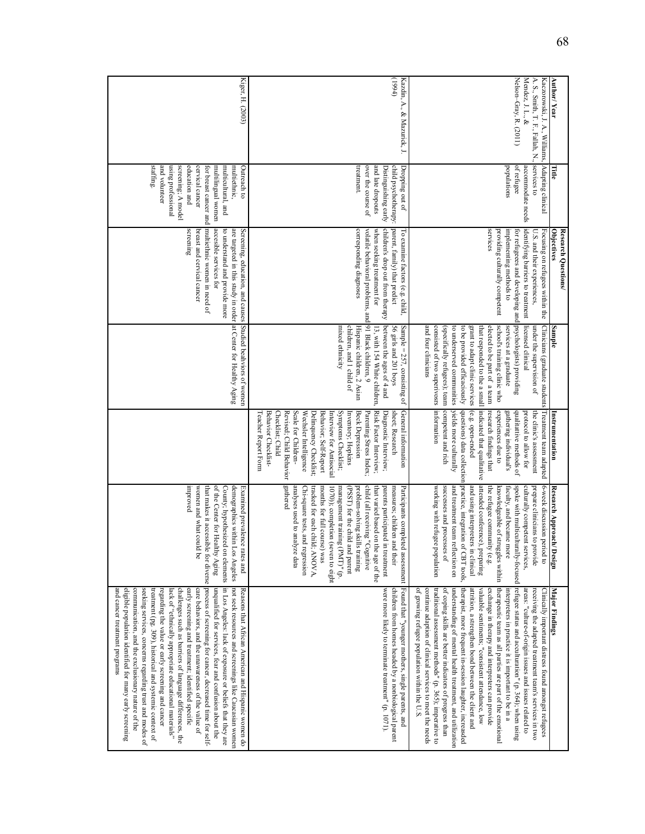| <b>Author/Year</b>                                                                                                                | Title                                                                                                                                                                                                          | <b>Objectives</b><br>Research Questions/                                                                                                                                                                                                                              | Sample                                                                                                                                                                                                                                                                                                                                                                                                        | Instrumentation                                                                                                                                                                                                                                                                                                                                                                                                  | Research Approach/<br>Design                                                                                                                                                                                                                                                                                                                                                                                                                                                     | Major Findings                                                                                                                                                                                                                                                                                                                                                                                                                                                                                                                                                                                                                                                                                                                                                                                                                                                                                        |
|-----------------------------------------------------------------------------------------------------------------------------------|----------------------------------------------------------------------------------------------------------------------------------------------------------------------------------------------------------------|-----------------------------------------------------------------------------------------------------------------------------------------------------------------------------------------------------------------------------------------------------------------------|---------------------------------------------------------------------------------------------------------------------------------------------------------------------------------------------------------------------------------------------------------------------------------------------------------------------------------------------------------------------------------------------------------------|------------------------------------------------------------------------------------------------------------------------------------------------------------------------------------------------------------------------------------------------------------------------------------------------------------------------------------------------------------------------------------------------------------------|----------------------------------------------------------------------------------------------------------------------------------------------------------------------------------------------------------------------------------------------------------------------------------------------------------------------------------------------------------------------------------------------------------------------------------------------------------------------------------|-------------------------------------------------------------------------------------------------------------------------------------------------------------------------------------------------------------------------------------------------------------------------------------------------------------------------------------------------------------------------------------------------------------------------------------------------------------------------------------------------------------------------------------------------------------------------------------------------------------------------------------------------------------------------------------------------------------------------------------------------------------------------------------------------------------------------------------------------------------------------------------------------------|
| Nelson-Gray, R. (2011)<br>Mendez, J. L., &<br>Kaczorowski, J. A., Williams, Adapting clinical<br>A. S., Smith, T. F., Fallah, N., | services to<br>of refugee<br>populations<br>accommodate needs                                                                                                                                                  | services<br>Focusing on refugees within the<br>providing culturally competent<br>implementing methods to<br>identifying barriers to treatment<br>for refugeees and developing and psychologists) providing<br>U.S. and their experiences,                             | licensed clinical<br>school's training clinic who<br>Clinicians (graduate students<br>services at a graduate<br>and four clinicians<br>consisted of two superivosrs information<br>(specifically refugees); team<br>to underserved communities<br>to be provided efficaciously<br>grant to adapt clinic services<br>that responded to the a small<br>elected to be part of a team<br>under the supervision of | Treatment team adapted<br>competent and rich<br>yields more culturally<br>(e.g. open-ended<br>indicated that qualitative<br>questions) data collection<br>research findings that<br>experiences due to<br>qualitattive methods of<br>the clinic's assessment<br>gathering individual's<br>protocol to allow for                                                                                                  | practice, integration of CBT tools,<br>attended conference), preparing<br>and using interpreters in clinical<br>6-week discussion period to<br>working with refugee population<br>successes and processes of<br>and treatment team reflection on<br>spoke with multiculturally-focused<br>culturally competent services,<br>prepare clinicians to provide<br>the refugee community (e.g.<br>knowledgeable of struggles within<br>faculty, and became more                        | therapeutic team as all parties are part of the emotional<br>refugee status and acculturation" (p. 364); when using<br>therapist, more frequent in-session laughter, increasded<br>attrition, a strengthen bond between the client and<br>traditional assessment methods" (p. 365); imperative to<br>of coping skills are better indicators of progress than<br>valuable sentiments; "consistent attendance, low<br>exchange in therapy and interpreters can provide<br>Clinically important distress found amongst refugees<br>of growing refugee population within the U.S.<br>continue adaption of clinical services to meet the needs<br>understanding of mental health treatment, and utilization<br>interpreters in practice it is important to be in a<br>areas: "culture-of-origin issues and issues related to<br>receiving the adapted treatment team's services in two                     |
| (t661)<br>Kazdin, A., & Mazurick, J.                                                                                              | treatment.<br>and late dropouts<br>child psychotherapy:<br>Dropping out of<br>over the course of<br>Distinguishing early                                                                                       | children's drop out from therapy<br>parent, family) that predict<br>corresponding diagnoses<br>volatile behavioral problems, and 91 Black children, 9<br>when seeking treatment for<br>To examine factors (e.g. child,                                                | between the ages of 4 and<br>children, and 1 child of<br>Hispanic children, 2 Asian<br>Sample = $257$ , consisting of<br>mixed ethnicity<br>56 girls and 201 boys<br>13, with 154 White children,                                                                                                                                                                                                             | Risk Factor Interview;<br>General information<br>Diagnostic Interview;<br>Revised; Child Behavior<br>Scale for Children-<br>Wechsler Intelligence<br>Symptoms Checklist;<br>Beck Depression<br>sheet; Research<br>Teacher Report Form<br>Behavior Checklist-<br>Checklist; Child<br>Delinquency Checklist;<br>Behavior; Self-Report<br>Parenting Stress Index;<br>Interview for Antisocial<br>Inventory; Hopkins | gathered<br>analyses used to analyze data<br>tracked for each child; ANOVA,<br>1070)); completion (seven to eight<br>child (all receiving "Cognitive<br>that varied based on the age of the<br>parents participated in treatment<br>Chi-square tests, and regression<br>months for full course) was<br>management training (PMT)" (p.<br>(PSST) for the child and parent<br>problem-solving skills training<br>measures; children and their<br>Participants completed assessment | Found that "younger mothers, single parents, and<br>were more likely to terminate treatment" (p. 1071).<br>children from homes headed by a nonbiological parent                                                                                                                                                                                                                                                                                                                                                                                                                                                                                                                                                                                                                                                                                                                                       |
| Kiger, H. (2003)                                                                                                                  | staffing.<br>and volunteer<br>using professional<br>screening, A model<br>education and<br>cervical cancer<br>multiethnic,<br>Outreach to<br>for breast cancer and<br>multilingual women<br>multicultural, and | multiethnic women in need of<br>accesible services for<br>Screening, education, and causes Studied beahviors of women<br>screening<br>to understand and provide more<br>are targeted in this study in order at Center for Healthy Aging<br>breast and cervical cancer |                                                                                                                                                                                                                                                                                                                                                                                                               |                                                                                                                                                                                                                                                                                                                                                                                                                  | hyproved<br>women and what could be<br>of the Center for Healthy Aging<br>County, hypothesized on elements<br>demographics within 1<br>Examined prevalence<br>Los Angeles<br>rates and                                                                                                                                                                                                                                                                                           | that makes it accessible for diverse process of screening for cancer, decreased time for self-<br>in Los Angeles: lack of exposure or beliefs that they are<br>unqualified for services, fear and confusion about the<br>not seek resources and screenings like Caucasian women<br>and cancer treatment programs<br>eligible population identified for many early screening<br>communication, and the exclusionary nature of the<br>seeking services, concerns regarding trust and modes of<br>challenges such as barriers of language differences, the<br>care behaviors, and the unawareness of the value of<br>Reasons that African American and Hispanic women do<br>treatment (pg. 309), historical and systemic context of<br>lack of "ethnically appropriate educational materials"<br>early screening and treatment; identified specific<br>regarding the value or early screening and cancer |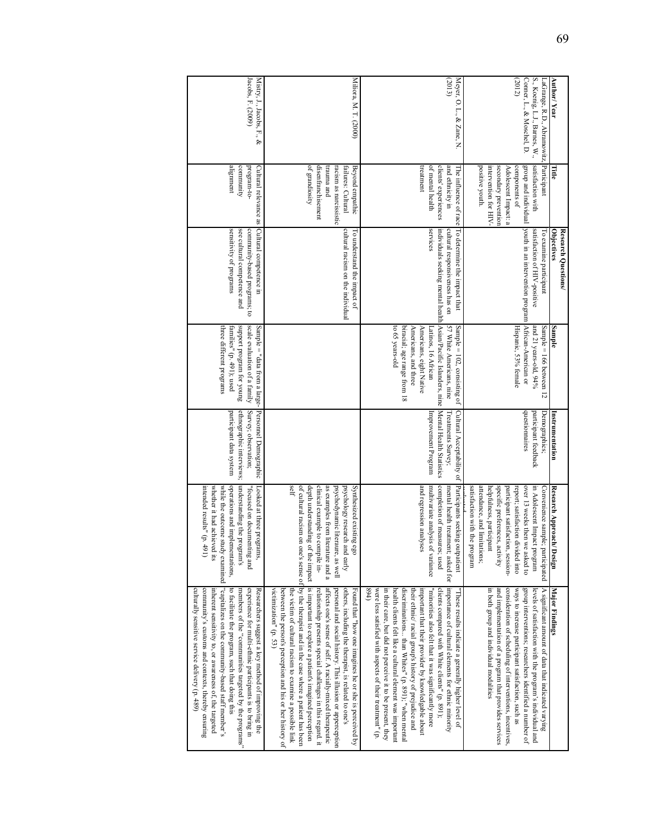| Jacobs, F. (2009)<br>Mistry, J., Jacobs, F., &                                                                                                                                                                                                                                                                                                                                                                                                                                     | Miliora, M. T. (2000)                                                                                                                                                                                                                                                                                                                                                                                                                                                                                                                                                                                                                                      | (2013)<br>Meyer, O. L., & Zane, N                                                                                                                                                                                                                                                                                                                                                                                                                                                                                                                                                             | (2012)<br>Conner, L., & Moschel, D.<br>S., Koenig, L.J., Barnes, W.,<br>Author/Year<br>LaGrange, R.D., Abramowitz,                                                                                                                                                                                                                                                                                                          |
|------------------------------------------------------------------------------------------------------------------------------------------------------------------------------------------------------------------------------------------------------------------------------------------------------------------------------------------------------------------------------------------------------------------------------------------------------------------------------------|------------------------------------------------------------------------------------------------------------------------------------------------------------------------------------------------------------------------------------------------------------------------------------------------------------------------------------------------------------------------------------------------------------------------------------------------------------------------------------------------------------------------------------------------------------------------------------------------------------------------------------------------------------|-----------------------------------------------------------------------------------------------------------------------------------------------------------------------------------------------------------------------------------------------------------------------------------------------------------------------------------------------------------------------------------------------------------------------------------------------------------------------------------------------------------------------------------------------------------------------------------------------|-----------------------------------------------------------------------------------------------------------------------------------------------------------------------------------------------------------------------------------------------------------------------------------------------------------------------------------------------------------------------------------------------------------------------------|
| alignment<br>community<br>program-to-                                                                                                                                                                                                                                                                                                                                                                                                                                              | of grandiosity<br>disenfranchisement<br>trauma and<br>racism as narcissistic<br>Beyond empathic<br>failures: Cultural                                                                                                                                                                                                                                                                                                                                                                                                                                                                                                                                      | treatment<br>clients' experiences<br>and ethnicity in<br>of mental health                                                                                                                                                                                                                                                                                                                                                                                                                                                                                                                     | satisfaction with<br>Participant<br>positive youth.<br>intervention for HIV-<br>secondary prevention<br>components of<br>Adolescent Impact: a                                                                                                                                                                                                                                                                               |
| Cultural relevance as Cultural competence in<br>sensitivity of programs<br>community-based programs; to<br>see cultural competence and                                                                                                                                                                                                                                                                                                                                             | cultural racism on the individual<br>To understand the impact of                                                                                                                                                                                                                                                                                                                                                                                                                                                                                                                                                                                           | The influence of race To determine the impact that<br>services<br>individuals seeking mental health Asian/Pacific Islanders, nine Mental Health Statistics<br>cultural responsiveness has on                                                                                                                                                                                                                                                                                                                                                                                                  | group and individual  youth in an intervention program  African-American or<br>satisfaction of HIV-positive<br>Objectives<br>Research Questions/<br>l'o examine participant                                                                                                                                                                                                                                                 |
| scale evaluation of a family<br>support program tor young<br>three different programs<br>Sample = "data from a large-∣<br>families" (p. 491); used                                                                                                                                                                                                                                                                                                                                 |                                                                                                                                                                                                                                                                                                                                                                                                                                                                                                                                                                                                                                                            | 57 White Americans, nine<br>to 65 years-old<br>biracial; age range from 18<br>Sample = $102$ , consisting of<br>Americans, and three<br>Americans, eight Native<br>Latinos, 16 African                                                                                                                                                                                                                                                                                                                                                                                                        | Hispanic, 53% female<br>and 21 years-old, 94%<br>Sample $= 166$ between 12<br>Sample                                                                                                                                                                                                                                                                                                                                        |
| Personnel Demographic<br>Survey; observation;<br>ethnographic interviews;<br>participant data system                                                                                                                                                                                                                                                                                                                                                                               |                                                                                                                                                                                                                                                                                                                                                                                                                                                                                                                                                                                                                                                            | Cultural Acceptability of<br>Treatments Survey,<br>Improvement Program                                                                                                                                                                                                                                                                                                                                                                                                                                                                                                                        | duestionnaires<br>participant feedback<br>Demographics<br>Instrumentation                                                                                                                                                                                                                                                                                                                                                   |
| operations and implementations,<br>understanding the program's<br>whether it had achieved its<br>intended results" (p. 491)<br>Looked at three programs,<br>"focused on documenting and                                                                                                                                                                                                                                                                                            | self<br>clinical example to compile in-<br>as examples from literature and a<br>psychodynamic literaure, as well<br>Synthesized existing ego<br>psychology research and early                                                                                                                                                                                                                                                                                                                                                                                                                                                                              | completion of measures; used<br>Participants seeking outpatient<br>and regression analyses<br>multivariate analysis of variance<br>mental health treatment; asked for                                                                                                                                                                                                                                                                                                                                                                                                                         | specific preferences, activity<br>satisfaction with the program<br>attendance, and limitations;<br>over 13 weeks then we asked to<br>in Adolescent Impact program<br>participant satisfaction, session-<br>report; satisfaction divided into<br>Convenience sample; participated<br>helpfulness, participant<br>Research Approach/ Design<br>المضمعا معت                                                                    |
| while the outcome study examined  "capitalizes on the community-based staff member's<br>to facilitate the program, such that doing this<br>culturally sensitive service delivery (p. 489)<br>community's customs and contexts, thereby ensuring<br>inherent sensitivity to, or awareness of, the targeted<br>experience for multi-ethnic participants is to bring in<br>Researchers suggest a key method of improving the<br>members of the "communities targeted by the programs" | of cultural racism on one's sense of by the therapist and in the case where a patient has been<br>depth understanding of the impact is important to explore a patient's imagined perception<br>affects one's sense of self. A racially-mixed therapeutic<br>relationship presents special challenges in this regard. it<br>personal and social history. This illusion or apperception<br>others, including the therapist, is related to one's<br>victimization" (p. 53)<br>between the person's perception and his or her history of<br>Found that "how one imagines he or she is perceived by<br>the victim of cultural racism to examine a possible link | importance of cultural elements for ethnic minority<br>"minorities also felt that it was significantly more<br>(1, 68)<br>were less satisfied with aspects of their treatment" (p.<br>in their care, but did not perceive it to be present, they<br>discriminations than Whites" (p. 891); "when mental<br>clients compared with White clients" (p. 891);<br>health clients felt like a cultural element was important<br>their ethnic/ racial group's history of prejudice and<br>important that their provider by knowledgable about<br>"These results indicate a generally higher level of | and implementation of a program that provides services<br>consideration of scheduling of interventions, incentives,<br>group interventions; researchers identified a number of<br>A significant amount of data that indicated varying<br>in both group and individual modalities<br>ways to increase participant satisfaction, such as<br>levels of satisfaction with the program's individual and<br><b>Major Findings</b> |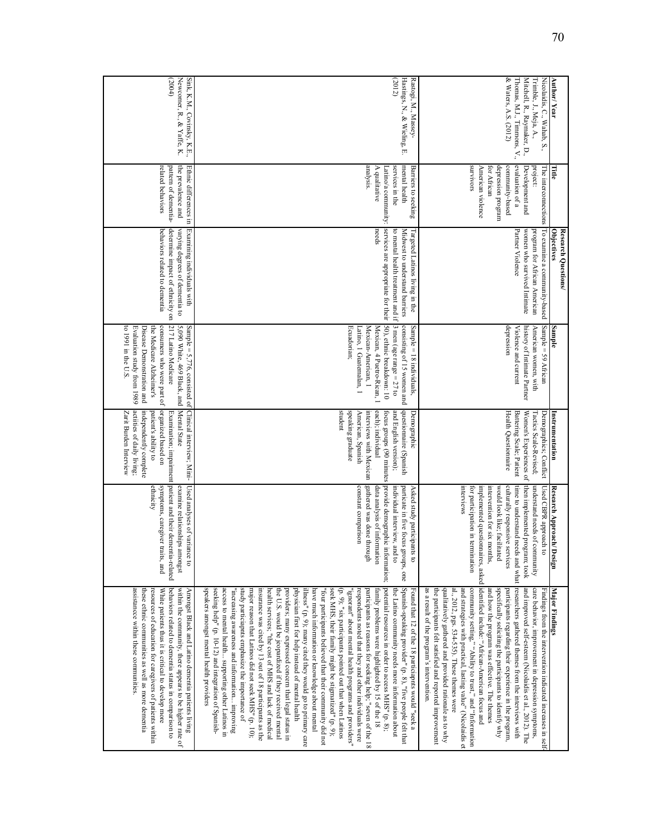| <b>Author/ Year</b><br>Title             | Trimble, J., Meja, A.,<br>Nicolaidis, C., Wahab, S.,<br>project:<br>The interconnections                         | & Waters, A.S. (2012)<br>Mitchell, R., Raymaker, D.,<br>Thomas, M.J., Timmons, V.,<br>evaluation of a<br><b>SIOVIVOIS</b><br>depression program<br>American violence<br>for African<br>community-based<br>Development and                                                                                                                                                                                                                                                                                                                                                                                                                                                                                                                                        | Hastings, N., & Wieling, E.<br>(2012)<br>Rastogi, M., Massey-<br>analysis.<br>services in the<br>mental health<br>A qualitative<br><b>Barriers to seeking</b><br>Latino/a community:                                                                                                                                                                                                                                                                                                                                                                                                                                                                                                                                                                                                                                                                                                                                                                                                                                                                                                                                                                                                                                                                                                                                                                                                 |                                                                                                                                                                        |
|------------------------------------------|------------------------------------------------------------------------------------------------------------------|------------------------------------------------------------------------------------------------------------------------------------------------------------------------------------------------------------------------------------------------------------------------------------------------------------------------------------------------------------------------------------------------------------------------------------------------------------------------------------------------------------------------------------------------------------------------------------------------------------------------------------------------------------------------------------------------------------------------------------------------------------------|--------------------------------------------------------------------------------------------------------------------------------------------------------------------------------------------------------------------------------------------------------------------------------------------------------------------------------------------------------------------------------------------------------------------------------------------------------------------------------------------------------------------------------------------------------------------------------------------------------------------------------------------------------------------------------------------------------------------------------------------------------------------------------------------------------------------------------------------------------------------------------------------------------------------------------------------------------------------------------------------------------------------------------------------------------------------------------------------------------------------------------------------------------------------------------------------------------------------------------------------------------------------------------------------------------------------------------------------------------------------------------------|------------------------------------------------------------------------------------------------------------------------------------------------------------------------|
| <b>Objectives</b><br>Research Questions/ | To examine a community-based<br>program for African American                                                     | Partner Violence<br>women who survived Intimate                                                                                                                                                                                                                                                                                                                                                                                                                                                                                                                                                                                                                                                                                                                  | services are appropriate for their [50), ethnic breakdown: 10<br>needs<br>to mental health treatment and if<br>Midwest to understand barriers<br>Targeted Latinos living in the                                                                                                                                                                                                                                                                                                                                                                                                                                                                                                                                                                                                                                                                                                                                                                                                                                                                                                                                                                                                                                                                                                                                                                                                      |                                                                                                                                                                        |
| Sample                                   | American women, with<br>Sample = 59 African                                                                      | depression<br>Violence and current<br>history of Intimate Partner                                                                                                                                                                                                                                                                                                                                                                                                                                                                                                                                                                                                                                                                                                | 3 men (age range = $27$ to<br>consisting of 15 women and<br>Mexican-American, 1<br>Sample $= 18$ individuals,<br>Ecuadorian;<br>Mexican, 4 Puetro-Rican, 1<br>Latino, I Guatemalan, I                                                                                                                                                                                                                                                                                                                                                                                                                                                                                                                                                                                                                                                                                                                                                                                                                                                                                                                                                                                                                                                                                                                                                                                                |                                                                                                                                                                        |
| Instrumentation                          | Tactics Scale-Revised;<br>Demographics; Conflict                                                                 | Health Questionnaire<br>Women's Experiences of<br>Battering Scale; Patient                                                                                                                                                                                                                                                                                                                                                                                                                                                                                                                                                                                                                                                                                       | student<br>speaking graduate<br>and English version);<br>questionnaire (Spanish<br>each); individual<br>Demographic<br>American, Spanish<br>interviews with Mexican<br>focus groups (90 minutes                                                                                                                                                                                                                                                                                                                                                                                                                                                                                                                                                                                                                                                                                                                                                                                                                                                                                                                                                                                                                                                                                                                                                                                      | Sample = $5,776$ , consisted of Clinical interview; Mini-                                                                                                              |
| Research Approach/<br>Design             | understand needs of community<br>Used CBPR approach to                                                           | then implemented program; took<br>culturally responsive services<br><b>Interviews</b><br>would look like; facilitated<br>for participation in termination<br>intervention for six months,                                                                                                                                                                                                                                                                                                                                                                                                                                                                                                                                                                        | gathered was done through<br>provide demographic information;<br>constant comparison<br>individual interview, and to<br>data analysis of information<br>particate in five focus groups, one<br>Asked study participants to                                                                                                                                                                                                                                                                                                                                                                                                                                                                                                                                                                                                                                                                                                                                                                                                                                                                                                                                                                                                                                                                                                                                                           | Examination; impairment<br>patient and their dementia-related<br>Used analyses of variance to<br>examine relationships amongst                                         |
| <b>Major Findings</b>                    | care behavior, improvement in depression symptoms,<br>Findings from the intervention indicated increases in self | time to understand needs and what researchers gathered themes from the interviews with<br>implemented questionnaires, asked   identified include: "African-American focus and<br>al., 2012, pgs. 534-535). These themes were<br>community setting," "Ability to trust," and "Information<br>and improved self-esteem (Nicolaidis et al., 2012). The<br>as a result of the program's intervention.<br>qualitatively gathered and provided rationale as to why<br>and strategies with practical, lasting value" (Nicolaidis et<br>specifically soliciting the participants to identify why<br>the participants felt satisfied and reported improvement<br>and how the program was effective. The themes<br>participants regarding their experience in the program, | potential resources in order to access MHS" (p. 8);<br>Spanish-speaking provider" (p. 8), "five people felt that<br>speakers amongst mental health providers<br>access to mental health supporting other Latinos in<br>study particiapnts emphasize the importance of<br>seeking help" (p. 10-12) and integration of Spanish-<br>"increasing awareness and information improving<br>major reason that Latinos did not seek MHS" (p. 10);<br>health services; "the cost of MHS and lack of medical<br>the U.S. would be jeopardized if they received mental<br>providers; many expressed concern that legal status in<br>physician first for help instead of mental health<br>illness" (p. 9); many cited they would go to primary care<br>have much information or knowledge about mental<br>seek MHS, their family might be stigmatized" (p. 9);<br>"ignorant" about mental health programs and providers"<br>the Latino community needs more information about<br>insurance was cited by 13 out of 18 participants as the<br>"four participants believed that their community did not<br>(p. 9); "six participants pointed out that when Latinos<br>participants as reasons for seeking help; "seven of the 18<br>family problems were highlighted by 15 of the 18<br>Found that 12 of the 18 particiapnts would "seek a<br>respondents noted that they and other individuals were | behaviors related to dementia status in comparison to<br>within the community, there appears to be higher rate of<br>Amongst Black and Latino dementia patients living |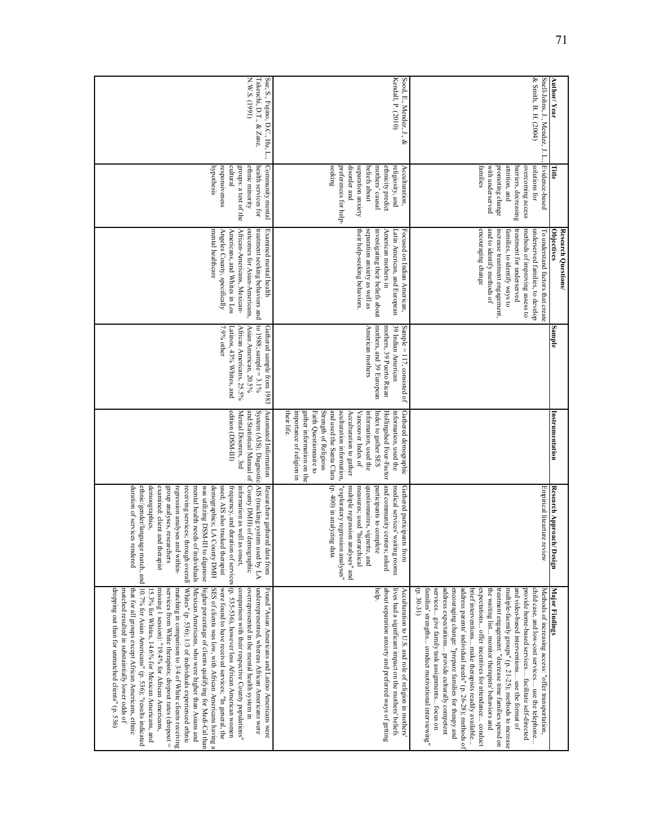|                                                                       |                                                                                                                                                                       | Research Questions/                                                                                                                                                                                            |                                                                                                                                                       |                                                                                                                                                                                                                                                                                                                                                                |                                                                                                                                                                                                                                                                                                                                                                                                                                                                                                                        |                                                                                                                                                                                                                                                                                                                                                                                                                                                                                                                                                                                                                                                                                                                                                                                                                                                                                                                                                                                                                                                                         |
|-----------------------------------------------------------------------|-----------------------------------------------------------------------------------------------------------------------------------------------------------------------|----------------------------------------------------------------------------------------------------------------------------------------------------------------------------------------------------------------|-------------------------------------------------------------------------------------------------------------------------------------------------------|----------------------------------------------------------------------------------------------------------------------------------------------------------------------------------------------------------------------------------------------------------------------------------------------------------------------------------------------------------------|------------------------------------------------------------------------------------------------------------------------------------------------------------------------------------------------------------------------------------------------------------------------------------------------------------------------------------------------------------------------------------------------------------------------------------------------------------------------------------------------------------------------|-------------------------------------------------------------------------------------------------------------------------------------------------------------------------------------------------------------------------------------------------------------------------------------------------------------------------------------------------------------------------------------------------------------------------------------------------------------------------------------------------------------------------------------------------------------------------------------------------------------------------------------------------------------------------------------------------------------------------------------------------------------------------------------------------------------------------------------------------------------------------------------------------------------------------------------------------------------------------------------------------------------------------------------------------------------------------|
| Author/Year                                                           | Title                                                                                                                                                                 | Objectives                                                                                                                                                                                                     | Sample                                                                                                                                                | Instrumentation                                                                                                                                                                                                                                                                                                                                                | Research Approach/<br>Design                                                                                                                                                                                                                                                                                                                                                                                                                                                                                           | <b>Major Findings</b>                                                                                                                                                                                                                                                                                                                                                                                                                                                                                                                                                                                                                                                                                                                                                                                                                                                                                                                                                                                                                                                   |
| & Smith, B. H. (2004)<br>Snell-Johns, J., Mendez, J. L.,              | Evidence-based<br>solutions for                                                                                                                                       | underserved families, to develop<br>To understand factors that create                                                                                                                                          |                                                                                                                                                       |                                                                                                                                                                                                                                                                                                                                                                | Empirical litearture review                                                                                                                                                                                                                                                                                                                                                                                                                                                                                            | child case, and low-cost services use the telephone<br>Methods of increasing access: "offer transportation,                                                                                                                                                                                                                                                                                                                                                                                                                                                                                                                                                                                                                                                                                                                                                                                                                                                                                                                                                             |
|                                                                       | attrition, and<br>overcoming access<br>barriers, decreasing                                                                                                           | methods of improving assess to<br>families, to identify ways to<br>treatment for underserved                                                                                                                   |                                                                                                                                                       |                                                                                                                                                                                                                                                                                                                                                                |                                                                                                                                                                                                                                                                                                                                                                                                                                                                                                                        | multiple-facmily groups" (p. 21-25); methods to increase<br>and video-based interventions use the format of<br>provide home-based services facilitate self-directed                                                                                                                                                                                                                                                                                                                                                                                                                                                                                                                                                                                                                                                                                                                                                                                                                                                                                                     |
|                                                                       | with underserved<br>families<br>promoting change                                                                                                                      | and to identify methods of<br>encouraging change<br>increase treatment engagement,                                                                                                                             |                                                                                                                                                       |                                                                                                                                                                                                                                                                                                                                                                |                                                                                                                                                                                                                                                                                                                                                                                                                                                                                                                        | $(p.30-31)$<br>services give family task assignments focus on<br>address expectations provide culturally competent<br>encouraging change: "prepare families for theapy and<br>address parents' individual needs" (p. 26-28); methods of<br>brief interventions make therapists readily available<br>expectations offer incentives for attendance conduct<br>the waiting list monitor therapists' behaviors and<br>families' strengths conduct motivational interviewing"<br>treatment engagement: "decrease time families spend on                                                                                                                                                                                                                                                                                                                                                                                                                                                                                                                                      |
| Kendall, P. (2010)<br>Sood, E., Mendez, J., &                         | seeking<br>disorder and<br>separation anxiety<br>mothers' causal<br>preferences for help-<br>beliefs about<br>ethnicity predict<br>religiosity, and<br>Acculturation, | their help-seeking behaviors.<br>separation anxiety as well as<br>investigating their beliefs about<br>Focused on Indian American,<br>American mothers in<br>Latin American, and European                      | mothers, and 39 European<br>39 Indian American<br>Sample = $117$ , consisted of<br>American mothers<br>mothers, 39 Puerto Rican                       | their life.<br>Strength of Religious<br>and used the Santa Clara<br>Gathered demographic<br>importance of religion in<br>gather information on the<br>Faith Questionnaire to<br>aculturation information,<br>Index to gather SES<br>Acculturation to gather<br>Vancouver Index of<br>information, used the<br>Hollingshed Four-Factor<br>information, used the | (p. 400) in analyzing data<br>and community centers; asked<br>"exploratory regression analyses"<br>questionnaires, vignette, and<br>medical services' waiting rooms<br>Gathered participants from<br>multiple regression analyses" and<br>measures; used "hierarchical<br>participants to complete                                                                                                                                                                                                                     | help.<br>about separation anxiety and preferred ways of getting<br>lives had a significant impact on the mothers' beliefs<br>Acculturation to U.S. and role of religion in mothers'                                                                                                                                                                                                                                                                                                                                                                                                                                                                                                                                                                                                                                                                                                                                                                                                                                                                                     |
| N.N.S.N.<br>Takeuchi, D.T., & Zane,<br>Sue, S., Fujino, D.C., Hu, L., | hypothesis<br>responsiveness<br>cultural<br>health services for<br>Community mental<br>groups: a test of the<br>ethnic minority                                       | mental healthcare<br>African-Americans, Mexican-<br>outcomes for Asian-Americans,<br>treatment seeking behaviors and<br>Angeles County, specifically<br>Examined mental health<br>Americans, and Whites in Los | to 1988; sample = $3.1\%$<br>Gathered sample from 1983<br>7.9% other<br>African Americans, 25.5%<br>Asian American, 20.5%<br>Latinos, 43% Whites, and | edition (DSM-III)<br>Mental Disorers, 3rd<br>Automated Information<br>and Statistical Manual of<br>System (AIS); Diagnostic                                                                                                                                                                                                                                    | duration of services rendered<br>demoographics,<br>County DMH) of demographic<br>AIS (tracking system used by LA<br>examined: client and therapist<br>group analyses, researchers<br>regression analyses and within-<br>receiving services; through overall<br>mental health needs of individuals<br>was utilizing DSM-III to diganose<br>demographics; LA County DMH<br>used; AIS also tracked therapist<br>Researchers gathered<br>frequency, and duration of services<br>information as well as onset,<br>data from | ethnic/gender/language match, and 10.7% for Asian Americans" (p. 536); "results indicated<br>(p. 535-536), however less African American women<br>Mexican Americans, who were higher than Asians and<br>Whites" (p. 536); 1/3 of individuals experienced ethnic<br>were found to have received services; "In general, the<br>dropping out than for unmatched clients" (p. 536)<br>higher percentage of clients qualifying for Medi-Cal than<br>SES of clients was low, with African Americans having a<br>comparison with their respective County populations"<br>underrepresented, whereas African Americans were<br>matched resulted in substaintially lower odds of<br>that for all groups except African Americans, ethnic<br>missing 1 session): "19.4% for African Americans,<br>services from White therapists; dropout rates (dropout =<br>matching in comparison to 3/4 of White clients receiving<br>overrepresented in the mental health system in<br>Found "Asian Americans and Latino Americans were<br>15.3% for Whites, 14.6% for Mexican Americans, and |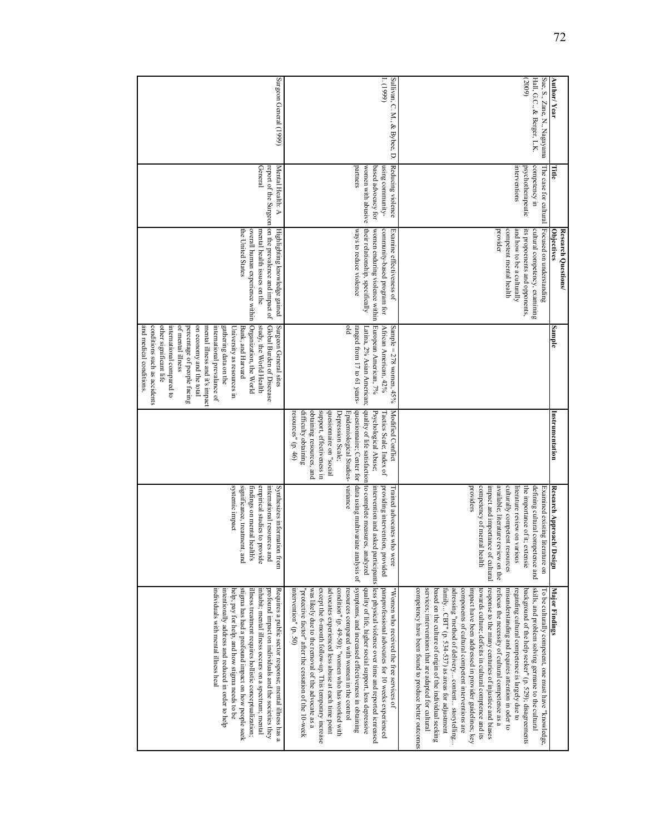|                                           |                                                      | Research Questions/                                                                           |                                                                                           |                                                                                                                        |                                                                                             |                                                                                                                                                                                                                                                              |
|-------------------------------------------|------------------------------------------------------|-----------------------------------------------------------------------------------------------|-------------------------------------------------------------------------------------------|------------------------------------------------------------------------------------------------------------------------|---------------------------------------------------------------------------------------------|--------------------------------------------------------------------------------------------------------------------------------------------------------------------------------------------------------------------------------------------------------------|
| Author/Year                               |                                                      | Objectives                                                                                    | Sample                                                                                    | Instrumentation                                                                                                        | Research Approach/<br>Design                                                                | <b>Major Findings</b>                                                                                                                                                                                                                                        |
| Sue, S., Zane, N., Nagayama               | The case for cultural                                | Focused on understanding                                                                      |                                                                                           |                                                                                                                        | Examined existing literature on                                                             | I'o be culturally competent, one must have "knowledge,                                                                                                                                                                                                       |
| Hall, G.C., & Berger, L.K.                | competency in                                        | cultural competency, examining                                                                |                                                                                           |                                                                                                                        | defining cultural competence and                                                            | skills, and problem solving germane to the cultural                                                                                                                                                                                                          |
| (2009)                                    | psychotherapeutic                                    | its propoenents and opponents,                                                                |                                                                                           |                                                                                                                        | the importance of it; extensie                                                              | background of the help seeker" (p. 529); disagreements                                                                                                                                                                                                       |
|                                           | interventions                                        | competent mental health<br>and how to be a culturally                                         |                                                                                           |                                                                                                                        | culturally competent resources<br>literature review on various                              | misunderstanding and requires attention in oder to<br>regarding cultural competence is largely due to                                                                                                                                                        |
|                                           |                                                      | provider                                                                                      |                                                                                           |                                                                                                                        | available; literature review on the                                                         | refocus the necessity of cultural competence as a                                                                                                                                                                                                            |
|                                           |                                                      |                                                                                               |                                                                                           |                                                                                                                        | impact and importance of cultural                                                           | response to the many centuries of injustice and biases                                                                                                                                                                                                       |
|                                           |                                                      |                                                                                               |                                                                                           |                                                                                                                        | competency of mental<br>health                                                              | towards culture; deficits in cultural comptence and its                                                                                                                                                                                                      |
|                                           |                                                      |                                                                                               |                                                                                           |                                                                                                                        | providers                                                                                   | impact have been addressed in provider guidelines; key                                                                                                                                                                                                       |
|                                           |                                                      |                                                                                               |                                                                                           |                                                                                                                        |                                                                                             | components of cultural competent interventions are                                                                                                                                                                                                           |
|                                           |                                                      |                                                                                               |                                                                                           |                                                                                                                        |                                                                                             | adressing "method of delivery content storytelling                                                                                                                                                                                                           |
|                                           |                                                      |                                                                                               |                                                                                           |                                                                                                                        |                                                                                             | family CBT" (p. 534-537) as areas for adjustment                                                                                                                                                                                                             |
|                                           |                                                      |                                                                                               |                                                                                           |                                                                                                                        |                                                                                             | based on the culture of origin of the individual seeking                                                                                                                                                                                                     |
|                                           |                                                      |                                                                                               |                                                                                           |                                                                                                                        |                                                                                             | services; interventions that are adapted for cultural                                                                                                                                                                                                        |
|                                           |                                                      |                                                                                               |                                                                                           |                                                                                                                        |                                                                                             | competency have been found to produce better outcomes                                                                                                                                                                                                        |
| 1. (1999)<br>Sullivan, C. M., & Bybee, D. | Reducing violence<br>nsing community-                | community-based program for<br>Examine effectiveness of                                       | African American, 42%<br>Sample = $278$ women, $45\%$                                     | Modified Conflict<br>Tactics Scale; Index of                                                                           | providing intervention, provided<br>Frained advocates who were                              | paraprofessional advocates for 10 weeks experienced<br>"Women who received the free services of                                                                                                                                                              |
|                                           | partners<br>based advocacy for<br>women with abusive | their relationship, specifically<br>ways to reduce violence<br>women enduring violence within | plo<br>ranged from 17 to 61 years-<br>European American, 7%<br>Latina, 2% Asian American; | quality of life satisfaction<br>questionnaire; Center for<br>Psychological Abuse;<br>Epidemiological Studies- variance | to complete measures, analyzed<br>data using multivariate analysis of                       | intervention and asked participants less physical violence over time and reported icnreased<br>symptoms, and increased effectiveness in obtaining<br>quality of life, higher social support, less depressive<br>resources compared with women in the control |
|                                           |                                                      |                                                                                               |                                                                                           | support, effectiveness in<br>quesionnaire on "social<br>Depression Scale;                                              |                                                                                             | except the 6-month follow-up. This temporary increase<br>advocates experienced less abuse at each time point<br>condition" (p. 49-50); "women who has worked with                                                                                            |
|                                           |                                                      |                                                                                               |                                                                                           | obtaming resources, and<br>resources" $(p. 46)$<br>difficulty obtaining                                                |                                                                                             | intervention" (p. 50)<br>"protective factor" after the cessation of the 10-week<br>was likely due to the removal of the advocate as a                                                                                                                        |
| Surgeon General (1999)                    | Mental Health: A                                     | report of the Surgeon on the prevalence and impact of<br>Highlighting knowledge gained        | Global Burden of Diseease<br>Surgeon General sites                                        |                                                                                                                        | international resources and<br>Synthesizes information from                                 | profound impact on individuals and the societies they<br>Requires a public sector response; mental illness has a                                                                                                                                             |
|                                           | General                                              | the United States<br>overall human experience within<br>mental health issues on the           | Organization, the World<br>study, the World Health<br>Bank, and Harvard                   |                                                                                                                        | significance, treatment, and<br>empirical studies to provide<br>findings on mental health's | stigma has had a profound impact on how people seek<br>illness treatment requires hollistic conceptualization;<br>inhabit; mental illness occurs on a spectrum; mental                                                                                       |
|                                           |                                                      |                                                                                               | University as resources in                                                                |                                                                                                                        | systemic impact                                                                             | help, pay for help, and how stigma needs to be                                                                                                                                                                                                               |
|                                           |                                                      |                                                                                               | gathering data on the                                                                     |                                                                                                                        |                                                                                             | intentionally address and reduced in order to help                                                                                                                                                                                                           |
|                                           |                                                      |                                                                                               | mental illness and it's impact<br>international prevalance of                             |                                                                                                                        |                                                                                             | individuals with mental illness heal                                                                                                                                                                                                                         |
|                                           |                                                      |                                                                                               | on economy and the total                                                                  |                                                                                                                        |                                                                                             |                                                                                                                                                                                                                                                              |
|                                           |                                                      |                                                                                               | of mental illness<br>percentage of people facing                                          |                                                                                                                        |                                                                                             |                                                                                                                                                                                                                                                              |
|                                           |                                                      |                                                                                               | other significant life<br>international compared to                                       |                                                                                                                        |                                                                                             |                                                                                                                                                                                                                                                              |
|                                           |                                                      |                                                                                               | conditions such as accidents                                                              |                                                                                                                        |                                                                                             |                                                                                                                                                                                                                                                              |
|                                           |                                                      |                                                                                               | and medical conditions.                                                                   |                                                                                                                        |                                                                                             |                                                                                                                                                                                                                                                              |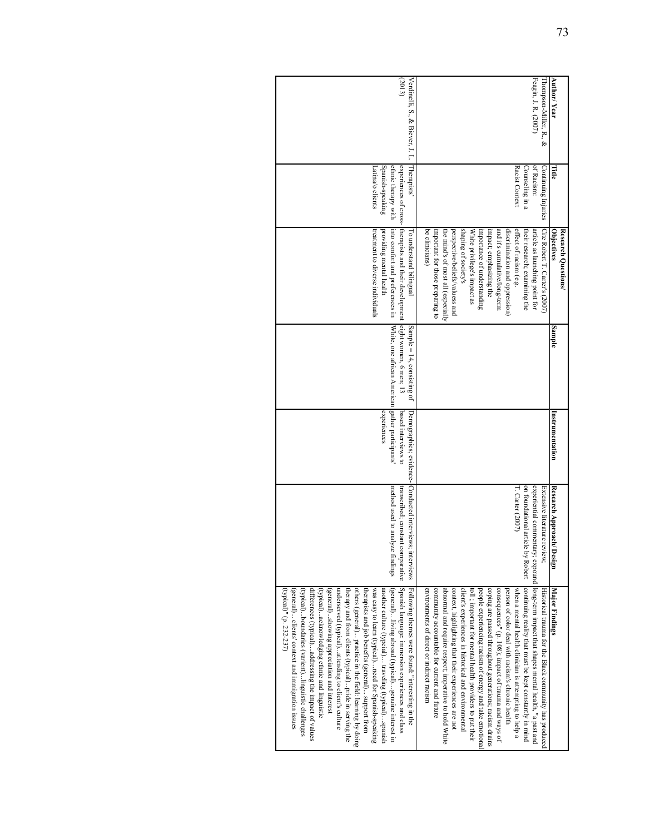| (2013)                                                                                                                                                                                                                                                                                                                                                                                                                                                                                                                                                                                                                                                                                                                                                                                                     | Feagin, J. R. (2007)<br>Thompson-Miller, R., &                                                                                                                                                                                                                                                                                                                                                                                                                                                                                                                                                                                                                                                                                                                                                              | <b>Author/Year</b>                |
|------------------------------------------------------------------------------------------------------------------------------------------------------------------------------------------------------------------------------------------------------------------------------------------------------------------------------------------------------------------------------------------------------------------------------------------------------------------------------------------------------------------------------------------------------------------------------------------------------------------------------------------------------------------------------------------------------------------------------------------------------------------------------------------------------------|-------------------------------------------------------------------------------------------------------------------------------------------------------------------------------------------------------------------------------------------------------------------------------------------------------------------------------------------------------------------------------------------------------------------------------------------------------------------------------------------------------------------------------------------------------------------------------------------------------------------------------------------------------------------------------------------------------------------------------------------------------------------------------------------------------------|-----------------------------------|
| Verdinelli, S., & Biever, J. L.                                                                                                                                                                                                                                                                                                                                                                                                                                                                                                                                                                                                                                                                                                                                                                            |                                                                                                                                                                                                                                                                                                                                                                                                                                                                                                                                                                                                                                                                                                                                                                                                             |                                   |
| ethnic therapy with<br>Spanish-speaking<br>Therapists'<br>Latina/o clients                                                                                                                                                                                                                                                                                                                                                                                                                                                                                                                                                                                                                                                                                                                                 | of Racism:<br>Counseling in a<br>Racist Context<br>Continuing Injuries                                                                                                                                                                                                                                                                                                                                                                                                                                                                                                                                                                                                                                                                                                                                      | Πtie                              |
| experiences of cross- therapists and their development eight women, 6 men; 13<br>into comfort and preferences in<br>treatment to diverse individuals<br>providing mental health<br>To understand bilingual                                                                                                                                                                                                                                                                                                                                                                                                                                                                                                                                                                                                 | effect of racism (e.g.<br>Cite Robert T. Carter's (2007)<br>shaping of society's<br>and it's cumulative/long-term<br>discrimination and oppression)<br>their research; examining the<br>article as launching point for<br>be clinicians)<br>important for those preparmg to<br>the mind's of most all (especially<br>perspective/beliefs/valuess and<br>impact; emphasizing the<br>White privilege's impact as<br>importance of understanding                                                                                                                                                                                                                                                                                                                                                               | Objectives<br>Research Questions/ |
| White, one african American gather participants<br>Sample = $14$ , consisting of                                                                                                                                                                                                                                                                                                                                                                                                                                                                                                                                                                                                                                                                                                                           |                                                                                                                                                                                                                                                                                                                                                                                                                                                                                                                                                                                                                                                                                                                                                                                                             | Sample                            |
| experiences<br>based interviews to                                                                                                                                                                                                                                                                                                                                                                                                                                                                                                                                                                                                                                                                                                                                                                         |                                                                                                                                                                                                                                                                                                                                                                                                                                                                                                                                                                                                                                                                                                                                                                                                             | nstrumentation                    |
| Demographics; evidence-Conducted interviews; interviews<br>method used to analyze findings<br>transcribed; constant comparative                                                                                                                                                                                                                                                                                                                                                                                                                                                                                                                                                                                                                                                                            | on foundational article by Robert<br>experiential commentary; expound<br>$T$ . Carter $(2007)$<br>Extensive literature review;                                                                                                                                                                                                                                                                                                                                                                                                                                                                                                                                                                                                                                                                              | Research Approach/ Design         |
| Spanish language: immersion experiences and class<br>differences (typical)addressing the impact of values<br>others (general) practice in the field: learning by doing<br>another culture (typcial) traveling (typical)spanish<br>(general) clients' context and immigration issues<br>(typical)boundaries (varient)linguistic challenges<br>(typical)acknowledging ethnic and linguistic<br>therapists and job benefits (general) support from<br>was easy to learn (typical)need for Spanish-speaking<br>(general)Inving abroad (typical)genume interest in<br>(typical)" (p. 232-237)<br>underserved (typical)attending to client's culture<br>therapy and from clients (typical)pride in serving the<br>Following themes were found: "interesting in the<br>(general)showing appreciation and interest | long-term impact that shapes mental health, "a past and<br>continuing reality that must be kept constantly in mind<br>coping are passed throughout generations; racism drains<br>when a mental health clinician is attempting to help a<br>community accountable for current and future<br>abnormal and require respect; imperative to hold White<br>context, highlighting that their experiences are not<br>environments of direct or indirect racism<br>client's experiences in historical and environmental<br>people experiencing racism of energy and take emotiona<br>consequences" (p. 108); impact of trauma and ways of<br>person of color deal with racism's chronic health<br>toll; important for mental health providers to put their<br>Historical trauma for the Black community has produced | Major Findings                    |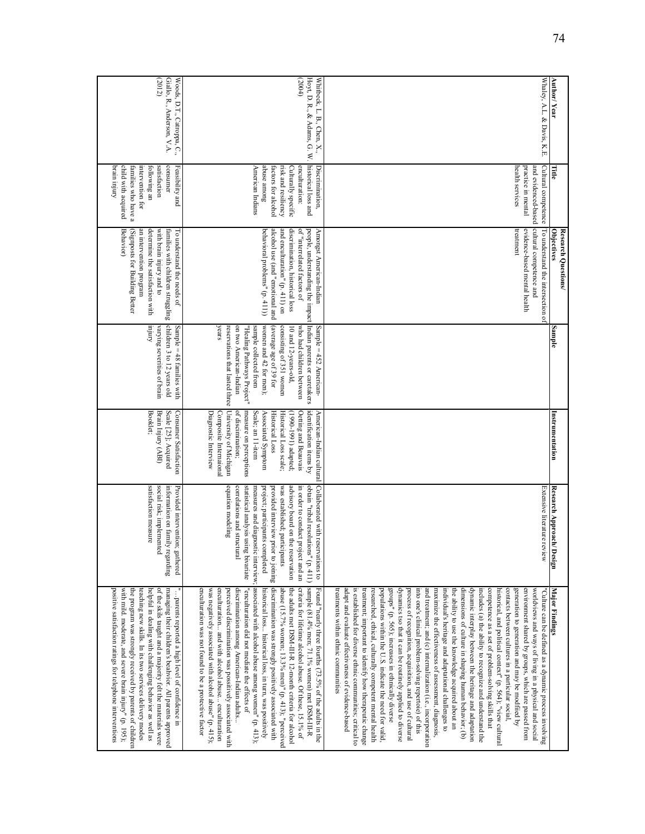| Author/Year                                                         | Гitle                                                                                                                                                            | <b>Objectives</b><br>Research Questions/                                                                                                                                                                                                                          | Sample                                                                                                                                                                                                                                                                                                       | Instrumentation                                                                                                                                                                                                                                                                                     | Research Approach<br>Design                                                                                                                                                                                                                                                                                                                                                                       | <b>Major Findings</b>                                                                                                                                                                                                                                                                                                                                                                                                                                                                                                                                                                                                                                                                                                                                                                                                                                                                                                                                                                                                                                                                                                                                                                                                                                                                                                                                                                                      |
|---------------------------------------------------------------------|------------------------------------------------------------------------------------------------------------------------------------------------------------------|-------------------------------------------------------------------------------------------------------------------------------------------------------------------------------------------------------------------------------------------------------------------|--------------------------------------------------------------------------------------------------------------------------------------------------------------------------------------------------------------------------------------------------------------------------------------------------------------|-----------------------------------------------------------------------------------------------------------------------------------------------------------------------------------------------------------------------------------------------------------------------------------------------------|---------------------------------------------------------------------------------------------------------------------------------------------------------------------------------------------------------------------------------------------------------------------------------------------------------------------------------------------------------------------------------------------------|------------------------------------------------------------------------------------------------------------------------------------------------------------------------------------------------------------------------------------------------------------------------------------------------------------------------------------------------------------------------------------------------------------------------------------------------------------------------------------------------------------------------------------------------------------------------------------------------------------------------------------------------------------------------------------------------------------------------------------------------------------------------------------------------------------------------------------------------------------------------------------------------------------------------------------------------------------------------------------------------------------------------------------------------------------------------------------------------------------------------------------------------------------------------------------------------------------------------------------------------------------------------------------------------------------------------------------------------------------------------------------------------------------|
| Whaley, A.L. & Davis, K.E.                                          | Cultural competence<br>health services<br>and evidenced-based<br>practice in mental                                                                              | cultural competence and<br>evidence-based mental health<br>treatment<br>To understand the intersection of                                                                                                                                                         |                                                                                                                                                                                                                                                                                                              |                                                                                                                                                                                                                                                                                                     | Extensive literature review                                                                                                                                                                                                                                                                                                                                                                       | adapt and evaluate effectiveness of evidence-based<br>groups" (p. 565); increases in ethnically diverse<br>and treatment; and (c) internalization (i.e., incorporation<br>dynamic interplay between the heritage and adaptation<br>treatments within ethnic communities<br>is established for diverse ethnic communities; critical to<br>treatment; important to identify how therapeutic change<br>researched, ethical, culturally competent mental health<br>populations within the U.S. indicate the need for valid,<br>dynamics tso that it can be routinely applied to diverse<br>process of recognition, acquisition, and use of cultural<br>into one's clinical problem-solving repertoie) of this<br>maximize the effectiveness of assessment, diagnosis,<br>individual's heritage and adaptational challenges to<br>the ability to use the knowledge acquired about an<br>dimensions of culture in shaping human behavior; (b)<br>includes (a) the ability to recognize and understand the<br>competence as a set of problem-solving skills that<br>historical, and political context" (p. 564); "view cultural<br>contacts between cultures in a particular social,<br>generation to generation and may be modfiied by<br>environment shared by groups, which are passed from<br>worldviews and ways of living in a physical and social<br>Culture can be defined as a dynamic process involving |
| (2004)<br>Hoyt, D. R., & Adams, G. W.<br>Whitbeck, L. B., Chen, X., | historical loss and<br>abuse among<br>risk and resiliency<br>Discrimination,<br>American Indians<br>Culturally specific<br>enculturation:<br>factors for alcohol | behavioral problems" (p. 411))<br>and enculturation" (p. 411) on<br>discrimination, historical loss<br>of "interrelated factors of<br>people, understanding the impact Indian parents or caretakers<br>alcohol use (and "emotional and<br>Amongst American-Indian | (average age of 39 for<br>women and 42 for men);<br>consisting of 351 women<br>years<br>reservations that lasted three University of Michigan<br>on two American-Indian<br>who had children between<br>Sample = 452 American-<br>"Healing Pathways Project"<br>sample collected from<br>10 and 12-years-old, | of discimination;<br>measure on perceptions<br>identification items by<br>Scale; an 11-item<br>(1990-1991) adapted;<br>Oetting and Beauvais<br>Diagnostic Interview<br>Composite Internaional<br>Associated Symptom<br><b>Historical Loss</b><br>Historical Loss scale;<br>American-Indian cultural | Collaborated with reservations to<br>equation modeling<br>statistical analysis using bivariate<br>project; participants completed<br>was established; participants<br>advisory board on the reservation<br>in order to conduct project and an<br>obtain "tribal resolutions" (p. 411)<br>provided interview prior to joining<br>measures and diagnostic interview;<br>correlations and structural | associated with alcohol abuse among women" $(p, 413)$ ;<br>sample (81.4% men; 71.1% women) met DSM-III-R<br>criteria for lifetime alcohol abuse. Of these, 15.1% of<br>enculturation was not found to be a protective factor<br>enculturation and with alcohol abuse enculturation<br>discrimination among American-Indian adults<br>"enculturation did not mediate the effects of<br>discrimination was strongly positively associated with<br>abuse (15.7% women; 13.3% men)" (p. 413); "perceived<br>the adults met DSM-III-R 12-month criteria for alcohol<br>Found "nearly three fourths (73.5% of the adults in the<br>was negatively associated with alcohol abuse" (p. 415);<br>perceived discrimination was possitively associated with<br>historical loss historical loss, in turn, was positively                                                                                                                                                                                                                                                                                                                                                                                                                                                                                                                                                                                               |
| (2012)<br>Giallo, R., Anderson, V.A.<br>Woods, D.T., Catroppa, C.,  | consumer<br>Feasibility and<br>Amfur ure.rq<br>child with acquired<br>families who have a<br>intervention for<br>satisfaction<br>following an                    | Behavior)<br>(Signposts for Building Better<br>determine the satisfaction with<br>with brain injury and to<br>To understand the needs of<br>an intervention program<br>families with children struggling                                                          | children 3 to 12 years old<br><b>Amfur</b><br>varying severities of brain<br>Sample = 48 families with                                                                                                                                                                                                       | Scale [25]; Acquired<br>Booklet;<br>Brain Injury (ABI)<br>Consumer Satisfaction                                                                                                                                                                                                                     | satisfaction measure<br>social risk; implemented<br>information on family regarding<br>Provided intervention;<br>gathered                                                                                                                                                                                                                                                                         | positive satisfaction ratings for telephone interventions<br>with mild. moderate, and severe brain injury" (p. 195);<br>the program was strongly received by parents of children<br>helpful in dealing with challenging behavior as well as<br>of the skils taught and a majority felt the materials were<br>managing their children's beahvior. All parents approved<br>teaching new skills. In its two services delivery modes<br>parents reported a high level of confidence in                                                                                                                                                                                                                                                                                                                                                                                                                                                                                                                                                                                                                                                                                                                                                                                                                                                                                                                         |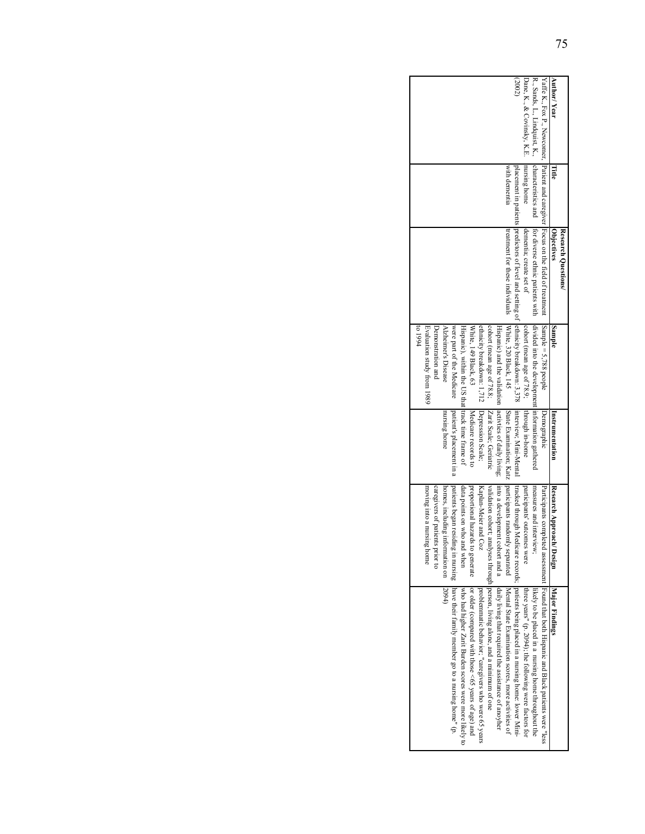| Author/Year                             | Title         | <b>Objectives</b><br>Research Questions/                                             | Sample                                                    | Instrumentation          | Research Approach/ Design        | Major Findings                                                                                                                                                                                                                 |
|-----------------------------------------|---------------|--------------------------------------------------------------------------------------|-----------------------------------------------------------|--------------------------|----------------------------------|--------------------------------------------------------------------------------------------------------------------------------------------------------------------------------------------------------------------------------|
|                                         |               | Yaffe K., Fox P., Eventual propertion and caregiver [Focus on the field of treatment | $\lceil$ Sample = 5,788 people                            | Demographic              |                                  | Participants completed assesssment [Found that both Hispanic and Black patients were "less                                                                                                                                     |
|                                         |               | R., Sands, L., Lindquist, K., characteristics and for diverse ethnic patients with   | divided into the development information gathered         |                          | measures and interview;          | likely to be placed in a nursing home throughout the                                                                                                                                                                           |
| Dane, K., & Covinsky, K.E. nursing home |               | dementia; create set of                                                              | cohort (mean age of 78.9; [through in-home                |                          | participants' outcomes were      | three years" (p. 2094); the following were factors for                                                                                                                                                                         |
| (2002)                                  |               |                                                                                      |                                                           |                          |                                  | placement in patients predictors of level and setting of lethnicity breakdown: 3,378  interview; Mini-Mental  tracked through Medicate records;  patients being to level and setting of lethnicity breakdown: 3,378  interview |
|                                         | with dementia | treatment for these individuals White, 320 Black, 145                                |                                                           |                          |                                  | State Examination; Katz   participants randomly separated   Mental State Examination scores, more activities of                                                                                                                |
|                                         |               |                                                                                      | Hispanic) and the validation  activities of daily living; |                          |                                  | $\frac{1}{2}$ into a development cohort and a $\frac{1}{2}$ anily living that required the assistance of anoyher                                                                                                               |
|                                         |               |                                                                                      | cohort (mean age of 78.8;  Zarit Scale; Geriatric         |                          |                                  | validation cohort; analyses through person, living alone, and a minimum of one                                                                                                                                                 |
|                                         |               |                                                                                      | ethnicity breakdown: 1,712   Depression Scale;            |                          | Kaplan-Meier and Coz             | problemmatic behavior; "caregivers who were 65 years                                                                                                                                                                           |
|                                         |               |                                                                                      | White, 149 Black, 63                                      | Medicare records to      | proportional hazards to generate | or older (compared with those $\leq 65$ years of age) and                                                                                                                                                                      |
|                                         |               |                                                                                      | Hispanic), within the US that time trame frame            |                          | data points on who and when      | who had higher Zarit Burden scores were more likely to                                                                                                                                                                         |
|                                         |               |                                                                                      | were part of the Medicare                                 | patient's placement in a |                                  | patients began residing in nursing have their family member go to a nursing home" (p.                                                                                                                                          |
|                                         |               |                                                                                      | Alzheimer's Disease                                       | nursing home             | homes, including information on  | 2094)                                                                                                                                                                                                                          |
|                                         |               |                                                                                      | Demonstration and                                         |                          | caregivers of patients prior to  |                                                                                                                                                                                                                                |
|                                         |               |                                                                                      | 100194<br>Evaluation study from 1989                      |                          | moving into a nursing home       |                                                                                                                                                                                                                                |
|                                         |               |                                                                                      |                                                           |                          |                                  |                                                                                                                                                                                                                                |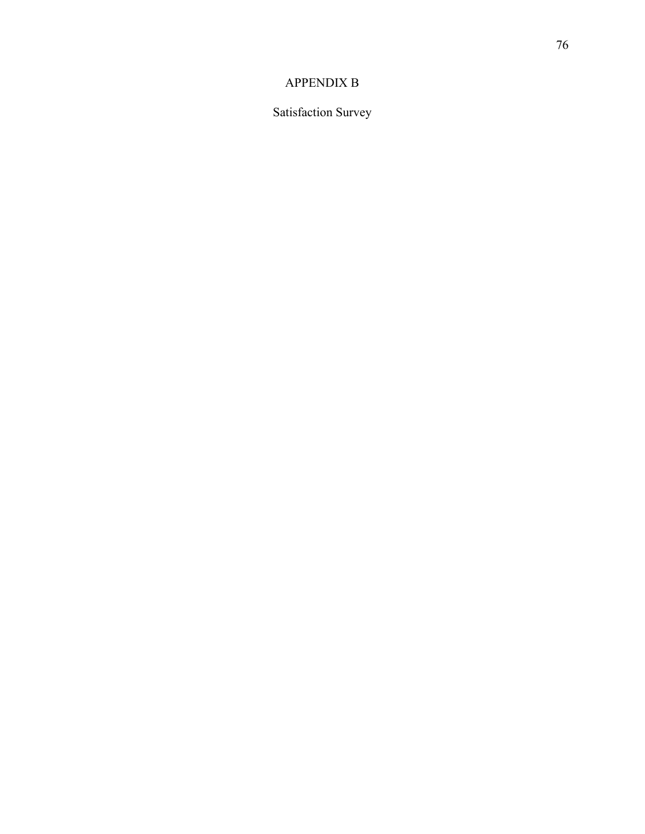## APPENDIX B

Satisfaction Survey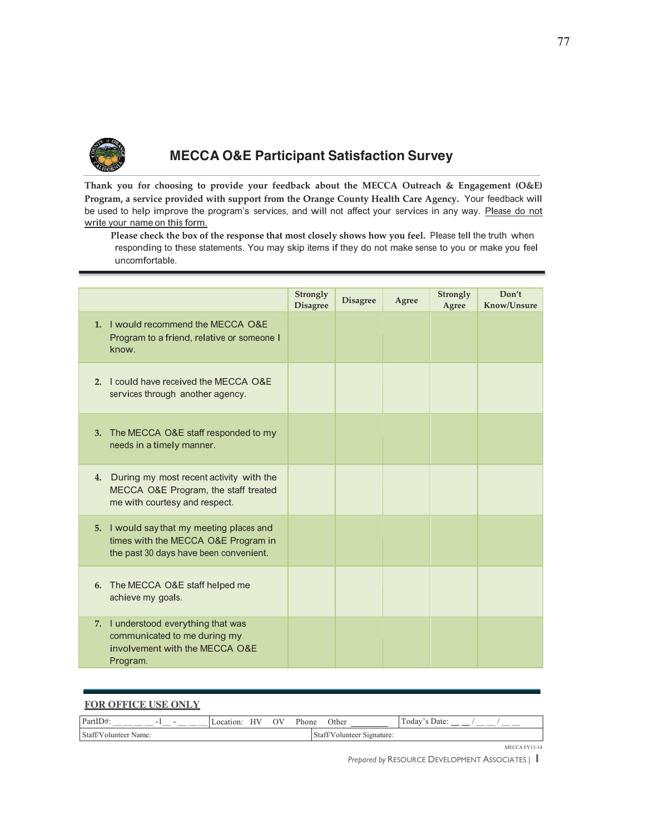

# **MECCA O&E Participant Satisfaction Survey**

Thank you for choosing to provide your feedback about the MECCA Outreach & Engagement (O&E) Program, a service provided with support from the Orange County Health Care Agency. Your feedback will be used to help improve the program's services, and will not affect your services in any way. Please do not write your name on this form.

Please check the box of the response that most closely shows how you feel. Please tell the truth when responding to these statements. You may skip items if they do not make sense to you or make you feel uncomfortable.

|                                                                                                                            | Strongly<br><b>Disagree</b> | <b>Disagree</b> | Agree | Strongly<br>Agree | Don't<br>Know/Unsure |
|----------------------------------------------------------------------------------------------------------------------------|-----------------------------|-----------------|-------|-------------------|----------------------|
| 1. I would recommend the MECCA O&E<br>Program to a friend, relative or someone I<br>know.                                  |                             |                 |       |                   |                      |
| 2. I could have received the MECCA O&E<br>services through another agency.                                                 |                             |                 |       |                   |                      |
| 3. The MECCA O&E staff responded to my<br>needs in a timely manner.                                                        |                             |                 |       |                   |                      |
| 4. During my most recent activity with the<br>MECCA O&E Program, the staff treated<br>me with courtesy and respect.        |                             |                 |       |                   |                      |
| 5. I would say that my meeting places and<br>times with the MECCA O&E Program in<br>the past 30 days have been convenient. |                             |                 |       |                   |                      |
| 6. The MECCA O&E staff helped me<br>achieve my goals.                                                                      |                             |                 |       |                   |                      |
| 7. I understood everything that was<br>communicated to me during my<br>involvement with the MECCA O&E<br>Program.          |                             |                 |       |                   |                      |

| <b>FOR OFFICE USE ONLY</b> |              |    |       |                            |               |
|----------------------------|--------------|----|-------|----------------------------|---------------|
| PartID#:<br>- 1            | Location: HV | OV | Phone | Other                      | Today's Date: |
| Staff/Volunteer Name:      |              |    |       | Staff/Volunteer Signature: |               |

MECCA FY13-14

Prepared by RESOURCE DEVELOPMENT ASSOCIATES | |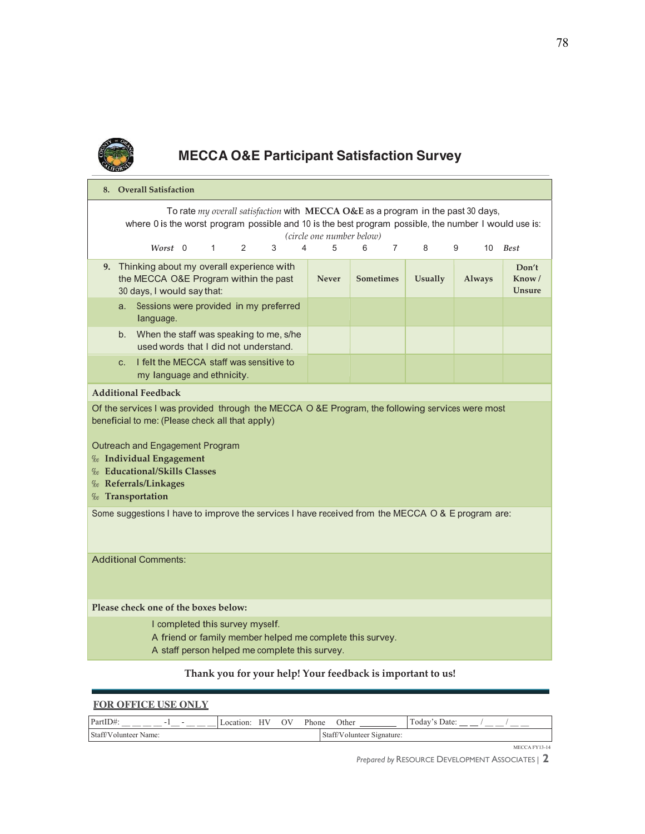

# **MECCA O&E Participant Satisfaction Survey**

| 8. Overall Satisfaction                                                                                                                                                                                                                                                                                                  |                                                                                                                     |                 |  |              |               |   |   |   |                  |                |                |               |                                  |
|--------------------------------------------------------------------------------------------------------------------------------------------------------------------------------------------------------------------------------------------------------------------------------------------------------------------------|---------------------------------------------------------------------------------------------------------------------|-----------------|--|--------------|---------------|---|---|---|------------------|----------------|----------------|---------------|----------------------------------|
| To rate my overall satisfaction with MECCA O&E as a program in the past 30 days,<br>where 0 is the worst program possible and 10 is the best program possible, the number I would use is:<br>(circle one number below)                                                                                                   |                                                                                                                     |                 |  |              |               |   |   |   |                  |                |                |               |                                  |
|                                                                                                                                                                                                                                                                                                                          |                                                                                                                     | $Worst \quad 0$ |  | $\mathbf{1}$ | $\mathcal{P}$ | 3 | 4 | 5 | 6                | $\overline{7}$ | 8              | 9<br>10       | <b>Best</b>                      |
|                                                                                                                                                                                                                                                                                                                          | 9. Thinking about my overall experience with<br>the MECCA O&E Program within the past<br>30 days, I would say that: |                 |  |              |               |   |   |   | <b>Sometimes</b> |                | <b>Usually</b> | <b>Always</b> | Don't<br>Know /<br><b>Unsure</b> |
|                                                                                                                                                                                                                                                                                                                          | Sessions were provided in my preferred<br>a.<br>language.                                                           |                 |  |              |               |   |   |   |                  |                |                |               |                                  |
|                                                                                                                                                                                                                                                                                                                          | b. When the staff was speaking to me, s/he<br>used words that I did not understand.                                 |                 |  |              |               |   |   |   |                  |                |                |               |                                  |
|                                                                                                                                                                                                                                                                                                                          | I felt the MECCA staff was sensitive to<br>C.<br>my language and ethnicity.                                         |                 |  |              |               |   |   |   |                  |                |                |               |                                  |
|                                                                                                                                                                                                                                                                                                                          | <b>Additional Feedback</b>                                                                                          |                 |  |              |               |   |   |   |                  |                |                |               |                                  |
| Of the services I was provided through the MECCA O &E Program, the following services were most<br>beneficial to me: (Please check all that apply)<br>Outreach and Engagement Program<br><b>%</b> Individual Engagement<br><b>% Educational/Skills Classes</b><br><b>% Referrals/Linkages</b><br><b>%</b> Transportation |                                                                                                                     |                 |  |              |               |   |   |   |                  |                |                |               |                                  |
| Some suggestions I have to improve the services I have received from the MECCA O & E program are:                                                                                                                                                                                                                        |                                                                                                                     |                 |  |              |               |   |   |   |                  |                |                |               |                                  |
| <b>Additional Comments:</b>                                                                                                                                                                                                                                                                                              |                                                                                                                     |                 |  |              |               |   |   |   |                  |                |                |               |                                  |
| Please check one of the boxes below:                                                                                                                                                                                                                                                                                     |                                                                                                                     |                 |  |              |               |   |   |   |                  |                |                |               |                                  |
| I completed this survey myself.<br>A friend or family member helped me complete this survey.<br>A staff person helped me complete this survey.                                                                                                                                                                           |                                                                                                                     |                 |  |              |               |   |   |   |                  |                |                |               |                                  |
| Thank you for your help! Your feedback is important to us!                                                                                                                                                                                                                                                               |                                                                                                                     |                 |  |              |               |   |   |   |                  |                |                |               |                                  |

| <b>FOR OFFICE USE ONLY</b> |              |  |    |                            |       |               |  |  |  |
|----------------------------|--------------|--|----|----------------------------|-------|---------------|--|--|--|
| PartID#:<br>- 1            | Location: HV |  | OV | Phone                      | Other | Today's Date: |  |  |  |
| Staff/Volunteer Name:      |              |  |    | Staff/Volunteer Signature: |       |               |  |  |  |

MECCA FY13-14

Prepared by RESOURCE DEVELOPMENT ASSOCIATES | 2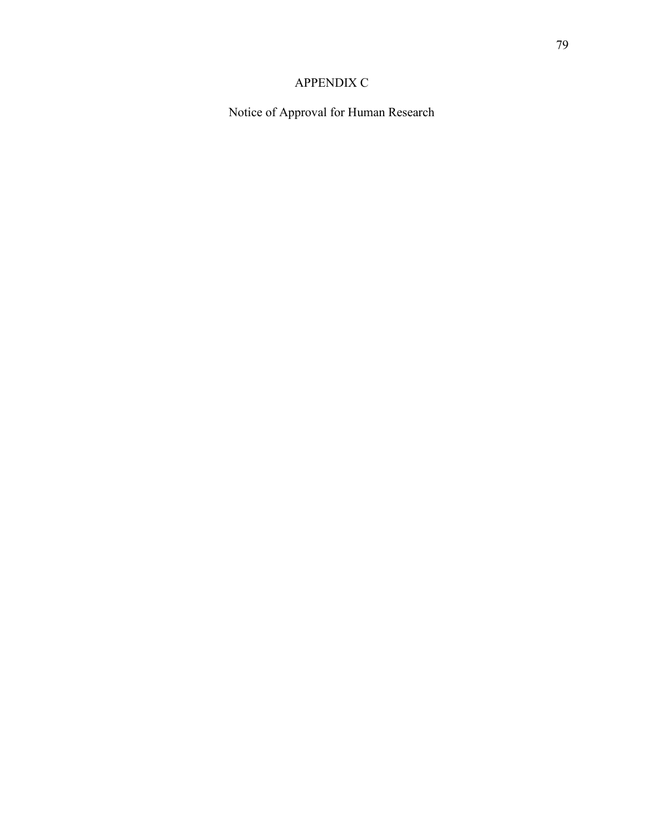# APPENDIX C

Notice of Approval for Human Research